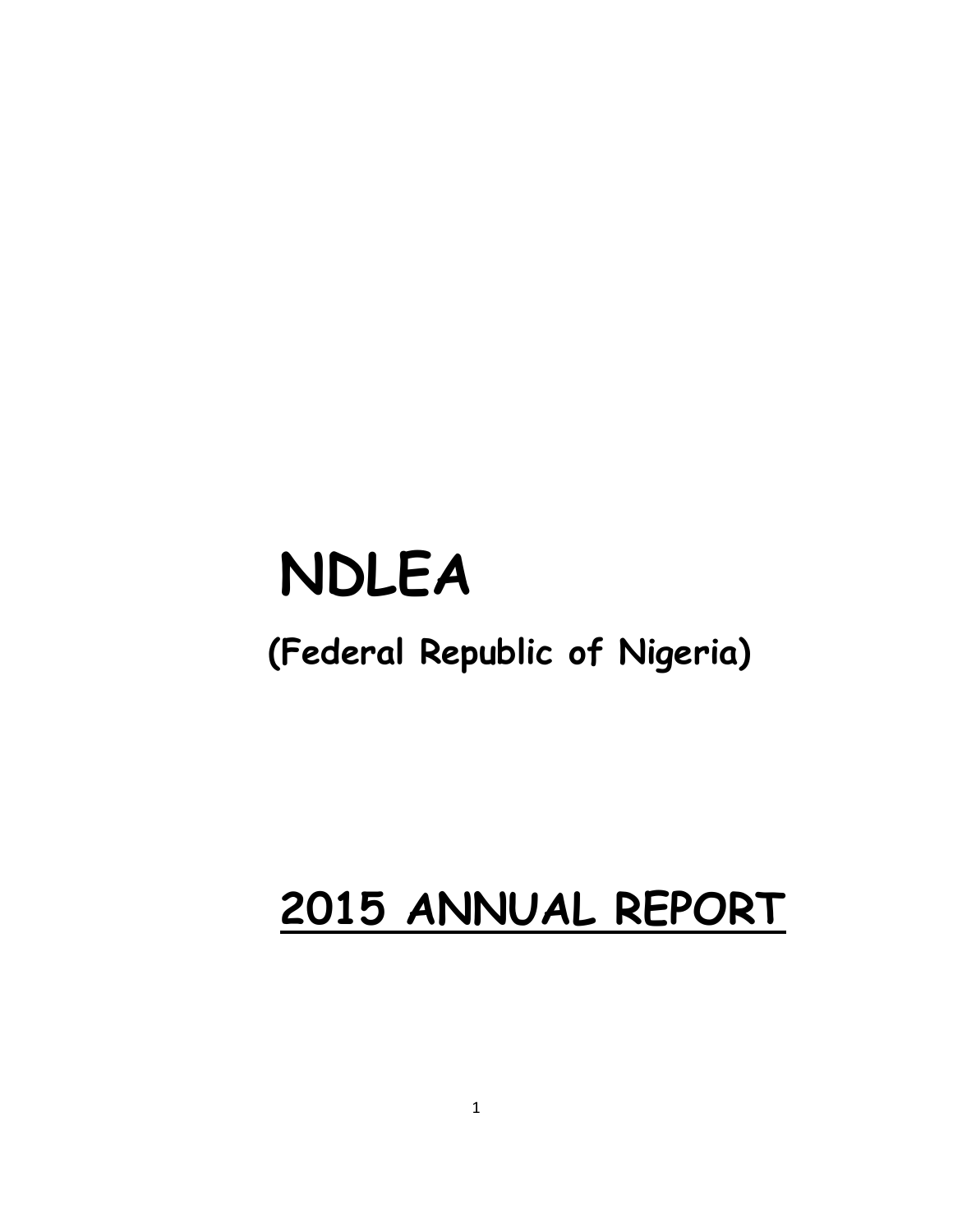# **NDLEA**

## **(Federal Republic of Nigeria)**

## **2015 ANNUAL REPORT**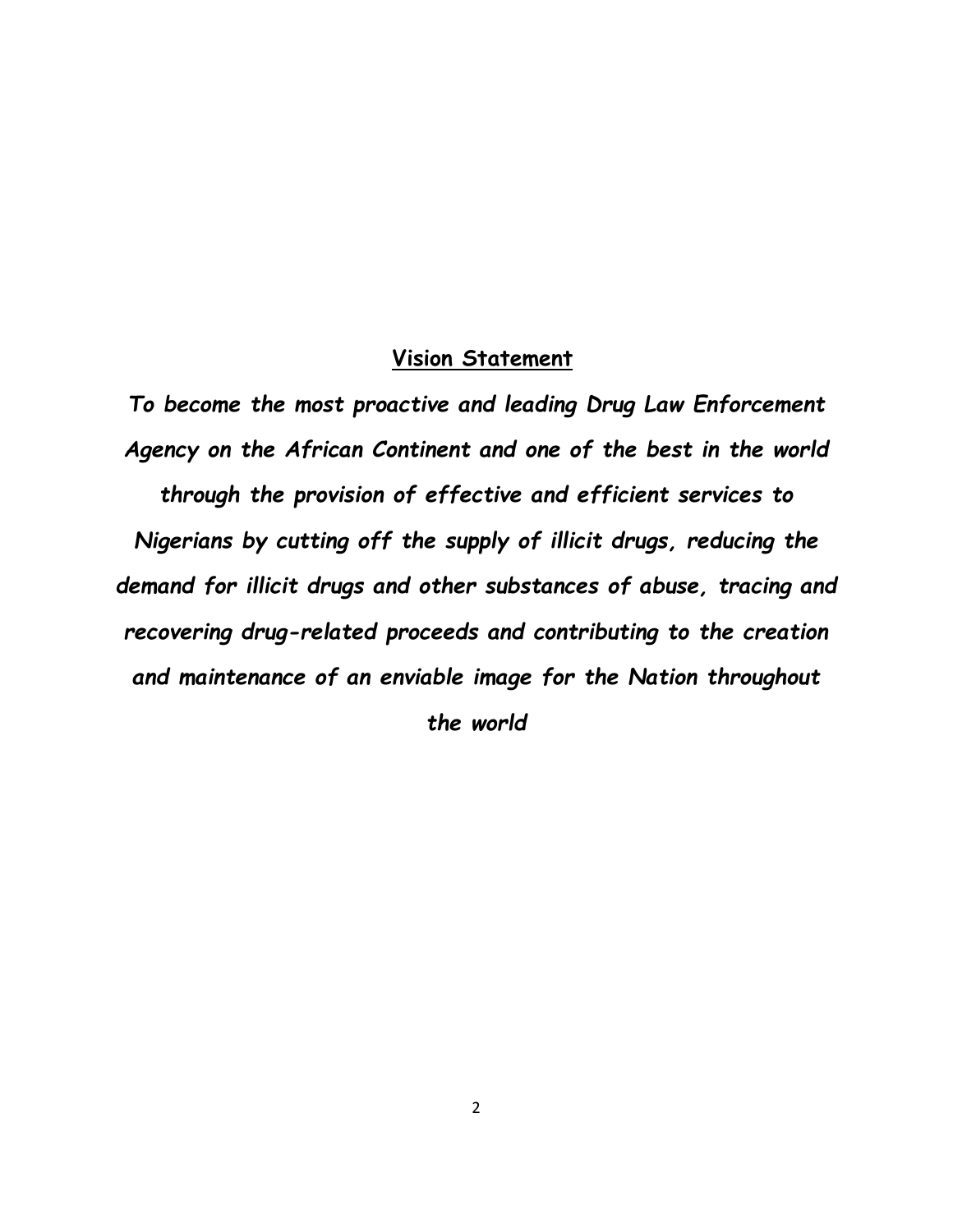#### **Vision Statement**

*To become the most proactive and leading Drug Law Enforcement Agency on the African Continent and one of the best in the world through the provision of effective and efficient services to Nigerians by cutting off the supply of illicit drugs, reducing the demand for illicit drugs and other substances of abuse, tracing and recovering drug-related proceeds and contributing to the creation and maintenance of an enviable image for the Nation throughout the world*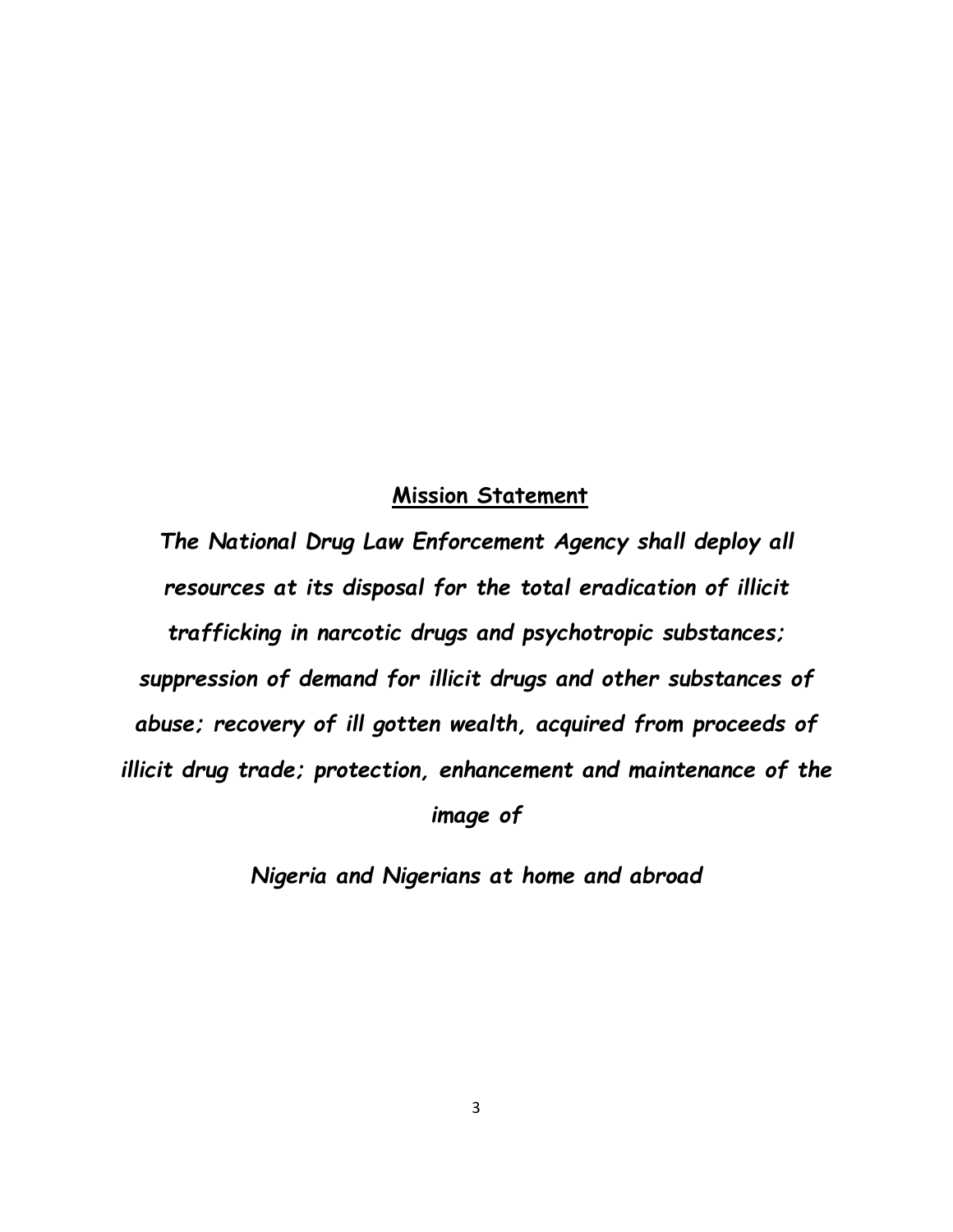#### **Mission Statement**

*The National Drug Law Enforcement Agency shall deploy all resources at its disposal for the total eradication of illicit trafficking in narcotic drugs and psychotropic substances; suppression of demand for illicit drugs and other substances of abuse; recovery of ill gotten wealth, acquired from proceeds of illicit drug trade; protection, enhancement and maintenance of the* 

*image of*

*Nigeria and Nigerians at home and abroad*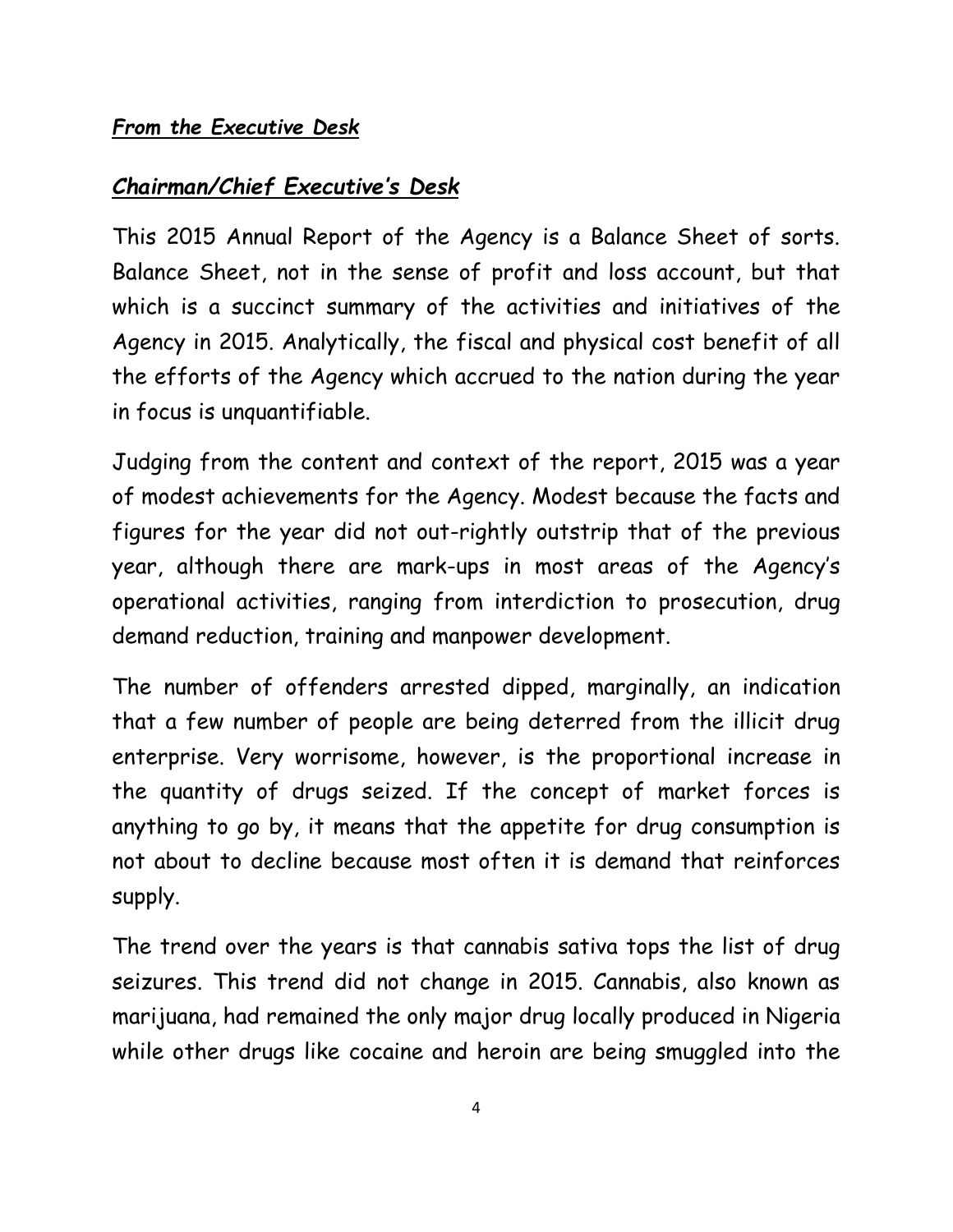#### *Chairman/Chief Executive's Desk*

This 2015 Annual Report of the Agency is a Balance Sheet of sorts. Balance Sheet, not in the sense of profit and loss account, but that which is a succinct summary of the activities and initiatives of the Agency in 2015. Analytically, the fiscal and physical cost benefit of all the efforts of the Agency which accrued to the nation during the year in focus is unquantifiable.

Judging from the content and context of the report, 2015 was a year of modest achievements for the Agency. Modest because the facts and figures for the year did not out-rightly outstrip that of the previous year, although there are mark-ups in most areas of the Agency's operational activities, ranging from interdiction to prosecution, drug demand reduction, training and manpower development.

The number of offenders arrested dipped, marginally, an indication that a few number of people are being deterred from the illicit drug enterprise. Very worrisome, however, is the proportional increase in the quantity of drugs seized. If the concept of market forces is anything to go by, it means that the appetite for drug consumption is not about to decline because most often it is demand that reinforces supply.

The trend over the years is that cannabis sativa tops the list of drug seizures. This trend did not change in 2015. Cannabis, also known as marijuana, had remained the only major drug locally produced in Nigeria while other drugs like cocaine and heroin are being smuggled into the

4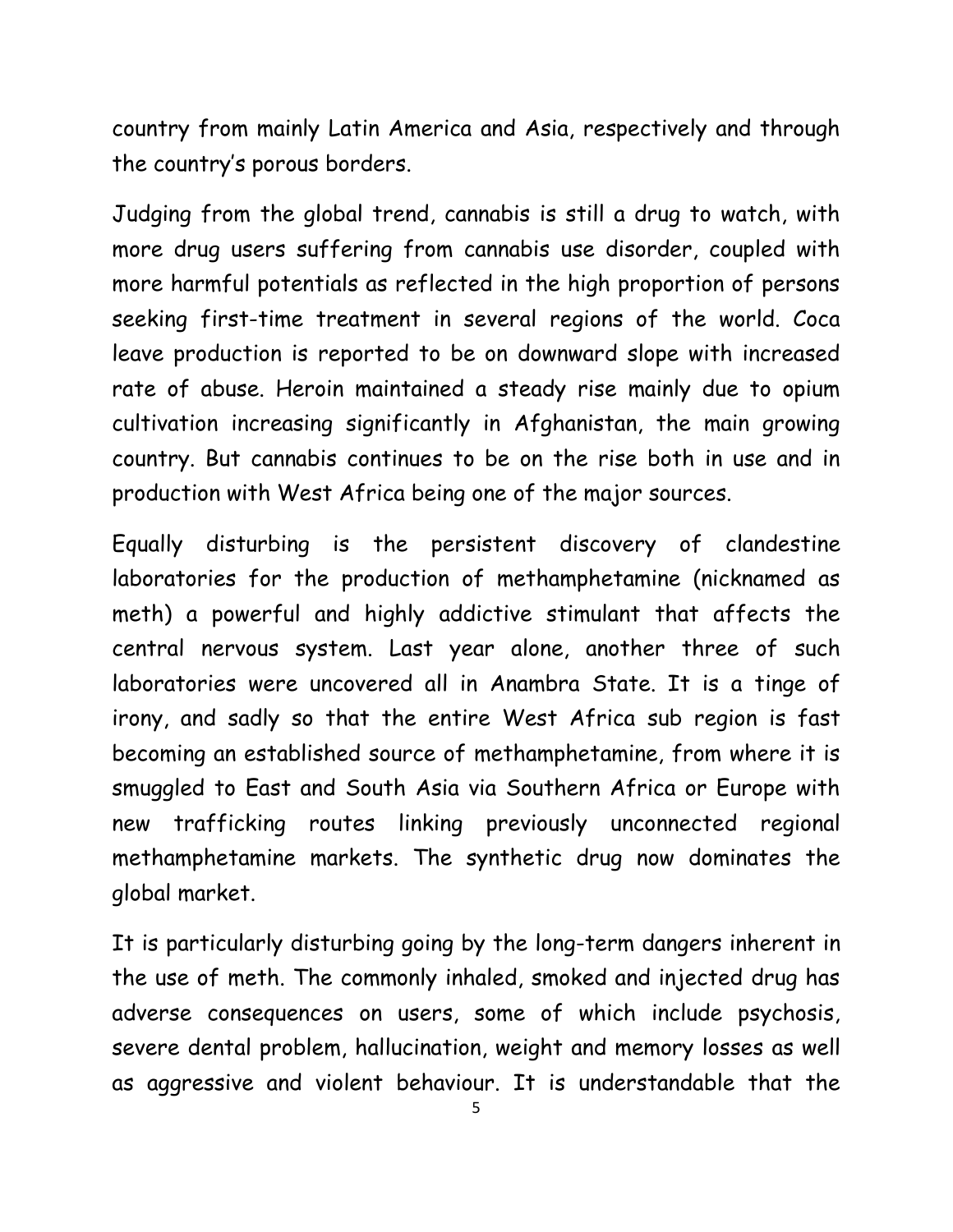country from mainly Latin America and Asia, respectively and through the country's porous borders.

Judging from the global trend, cannabis is still a drug to watch, with more drug users suffering from cannabis use disorder, coupled with more harmful potentials as reflected in the high proportion of persons seeking first-time treatment in several regions of the world. Coca leave production is reported to be on downward slope with increased rate of abuse. Heroin maintained a steady rise mainly due to opium cultivation increasing significantly in Afghanistan, the main growing country. But cannabis continues to be on the rise both in use and in production with West Africa being one of the major sources.

Equally disturbing is the persistent discovery of clandestine laboratories for the production of methamphetamine (nicknamed as meth) a powerful and highly addictive stimulant that affects the central nervous system. Last year alone, another three of such laboratories were uncovered all in Anambra State. It is a tinge of irony, and sadly so that the entire West Africa sub region is fast becoming an established source of methamphetamine, from where it is smuggled to East and South Asia via Southern Africa or Europe with new trafficking routes linking previously unconnected regional methamphetamine markets. The synthetic drug now dominates the global market.

It is particularly disturbing going by the long-term dangers inherent in the use of meth. The commonly inhaled, smoked and injected drug has adverse consequences on users, some of which include psychosis, severe dental problem, hallucination, weight and memory losses as well as aggressive and violent behaviour. It is understandable that the

<sup>5</sup>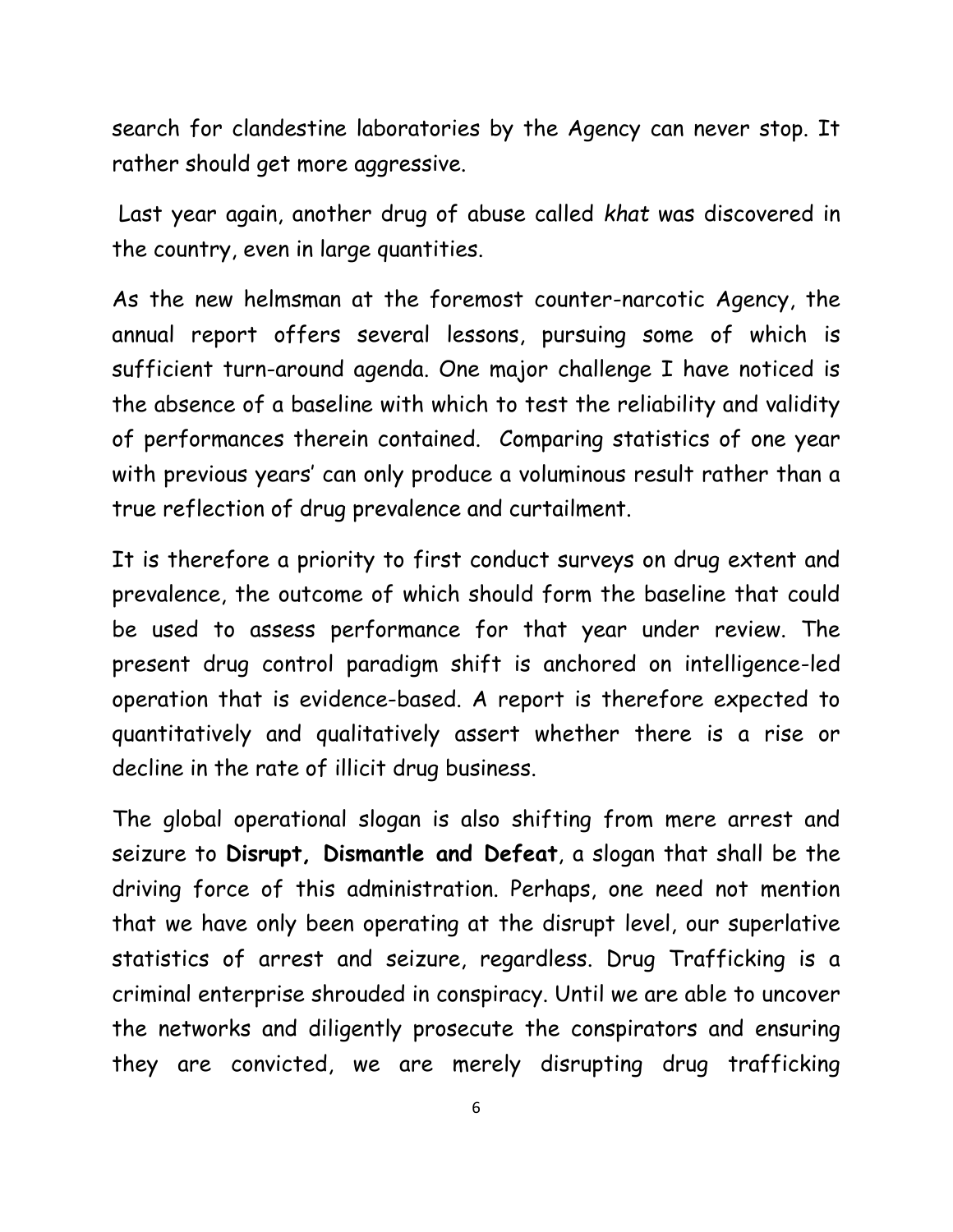search for clandestine laboratories by the Agency can never stop. It rather should get more aggressive.

Last year again, another drug of abuse called *khat* was discovered in the country, even in large quantities.

As the new helmsman at the foremost counter-narcotic Agency, the annual report offers several lessons, pursuing some of which is sufficient turn-around agenda. One major challenge I have noticed is the absence of a baseline with which to test the reliability and validity of performances therein contained. Comparing statistics of one year with previous years' can only produce a voluminous result rather than a true reflection of drug prevalence and curtailment.

It is therefore a priority to first conduct surveys on drug extent and prevalence, the outcome of which should form the baseline that could be used to assess performance for that year under review. The present drug control paradigm shift is anchored on intelligence-led operation that is evidence-based. A report is therefore expected to quantitatively and qualitatively assert whether there is a rise or decline in the rate of illicit drug business.

The global operational slogan is also shifting from mere arrest and seizure to **Disrupt, Dismantle and Defeat**, a slogan that shall be the driving force of this administration. Perhaps, one need not mention that we have only been operating at the disrupt level, our superlative statistics of arrest and seizure, regardless. Drug Trafficking is a criminal enterprise shrouded in conspiracy. Until we are able to uncover the networks and diligently prosecute the conspirators and ensuring they are convicted, we are merely disrupting drug trafficking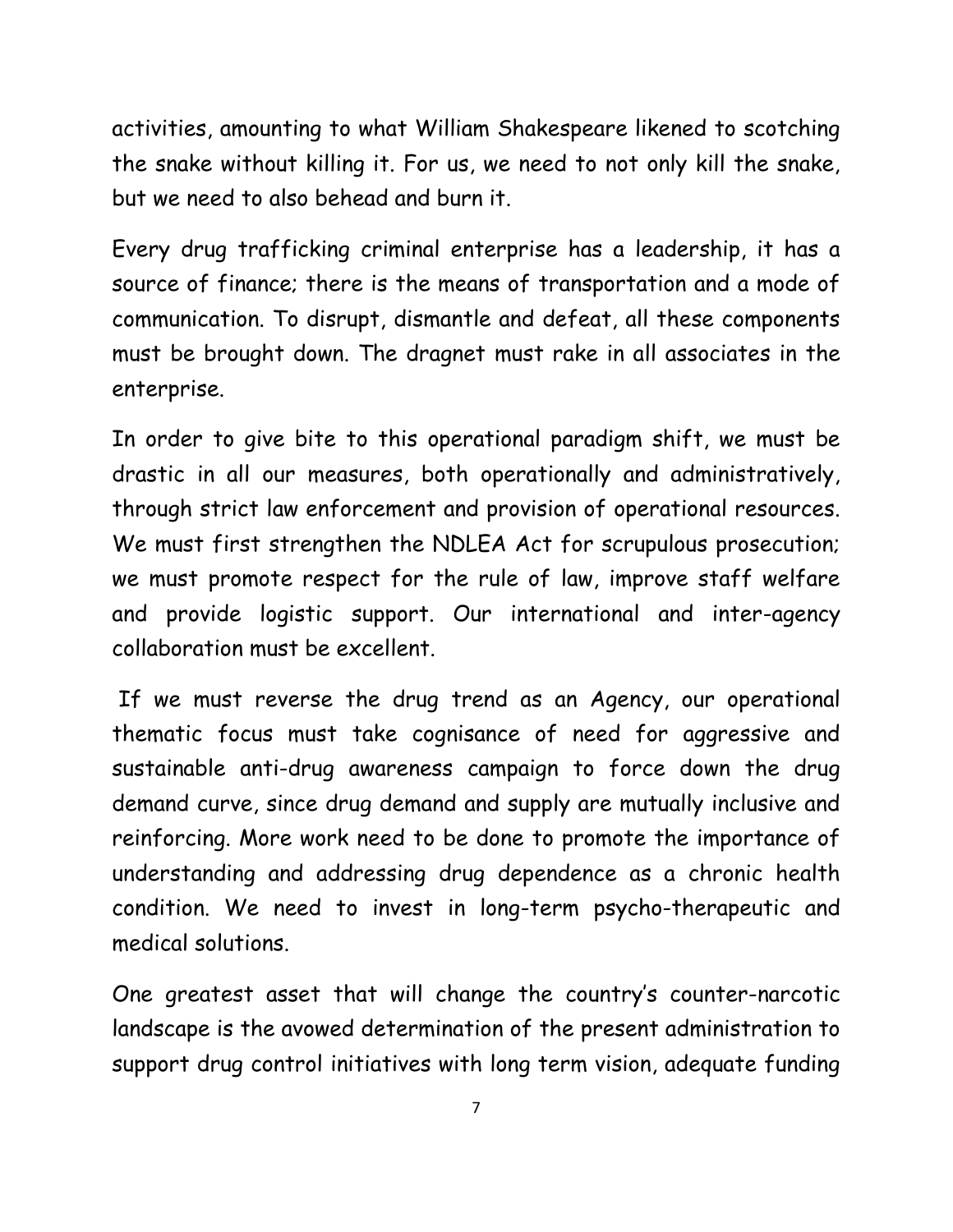activities, amounting to what William Shakespeare likened to scotching the snake without killing it. For us, we need to not only kill the snake, but we need to also behead and burn it.

Every drug trafficking criminal enterprise has a leadership, it has a source of finance; there is the means of transportation and a mode of communication. To disrupt, dismantle and defeat, all these components must be brought down. The dragnet must rake in all associates in the enterprise.

In order to give bite to this operational paradigm shift, we must be drastic in all our measures, both operationally and administratively, through strict law enforcement and provision of operational resources. We must first strengthen the NDLEA Act for scrupulous prosecution; we must promote respect for the rule of law, improve staff welfare and provide logistic support. Our international and inter-agency collaboration must be excellent.

If we must reverse the drug trend as an Agency, our operational thematic focus must take cognisance of need for aggressive and sustainable anti-drug awareness campaign to force down the drug demand curve, since drug demand and supply are mutually inclusive and reinforcing. More work need to be done to promote the importance of understanding and addressing drug dependence as a chronic health condition. We need to invest in long-term psycho-therapeutic and medical solutions.

One greatest asset that will change the country's counter-narcotic landscape is the avowed determination of the present administration to support drug control initiatives with long term vision, adequate funding

7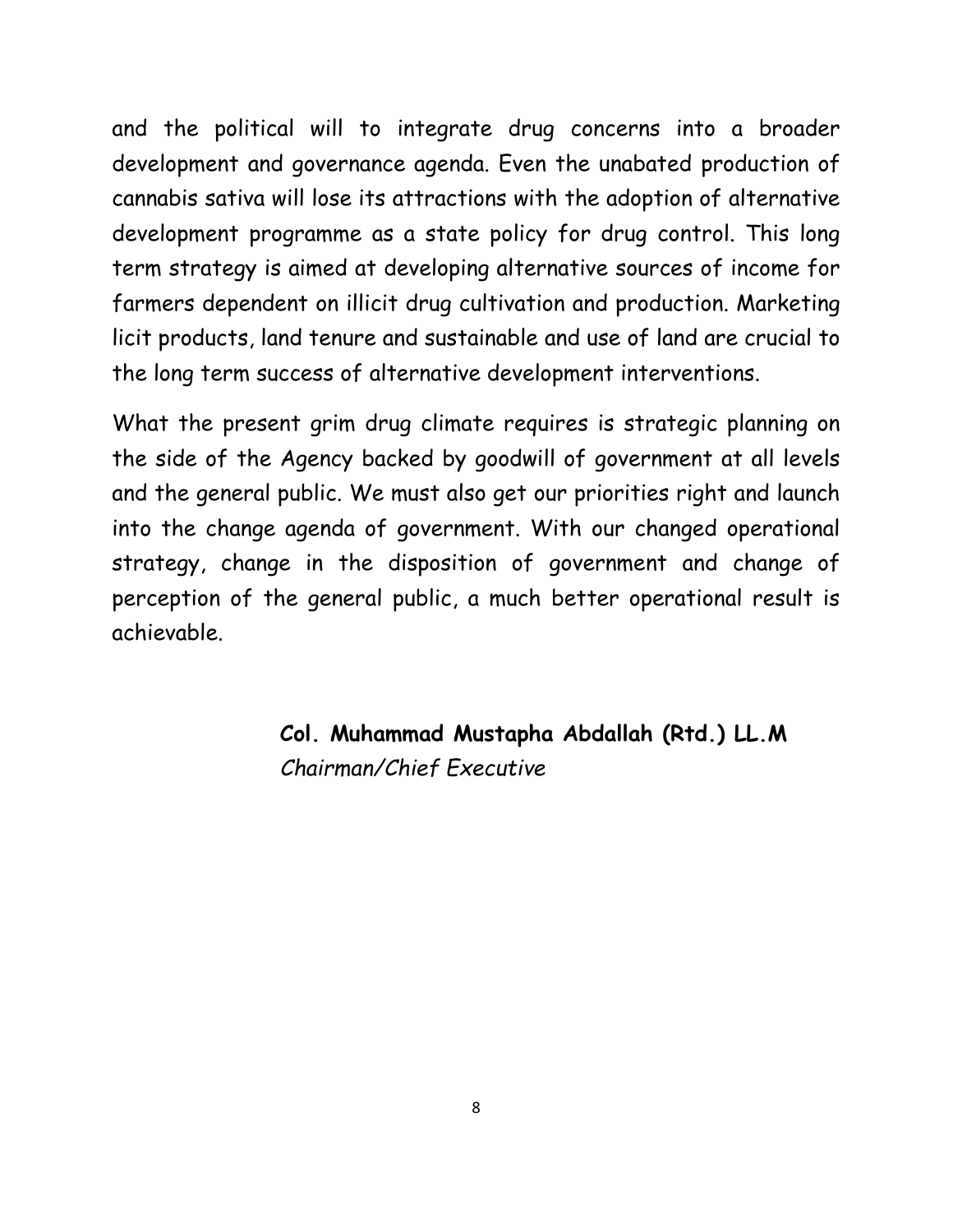and the political will to integrate drug concerns into a broader development and governance agenda. Even the unabated production of cannabis sativa will lose its attractions with the adoption of alternative development programme as a state policy for drug control. This long term strategy is aimed at developing alternative sources of income for farmers dependent on illicit drug cultivation and production. Marketing licit products, land tenure and sustainable and use of land are crucial to the long term success of alternative development interventions.

What the present grim drug climate requires is strategic planning on the side of the Agency backed by goodwill of government at all levels and the general public. We must also get our priorities right and launch into the change agenda of government. With our changed operational strategy, change in the disposition of government and change of perception of the general public, a much better operational result is achievable.

> **Col. Muhammad Mustapha Abdallah (Rtd.) LL.M** *Chairman/Chief Executive*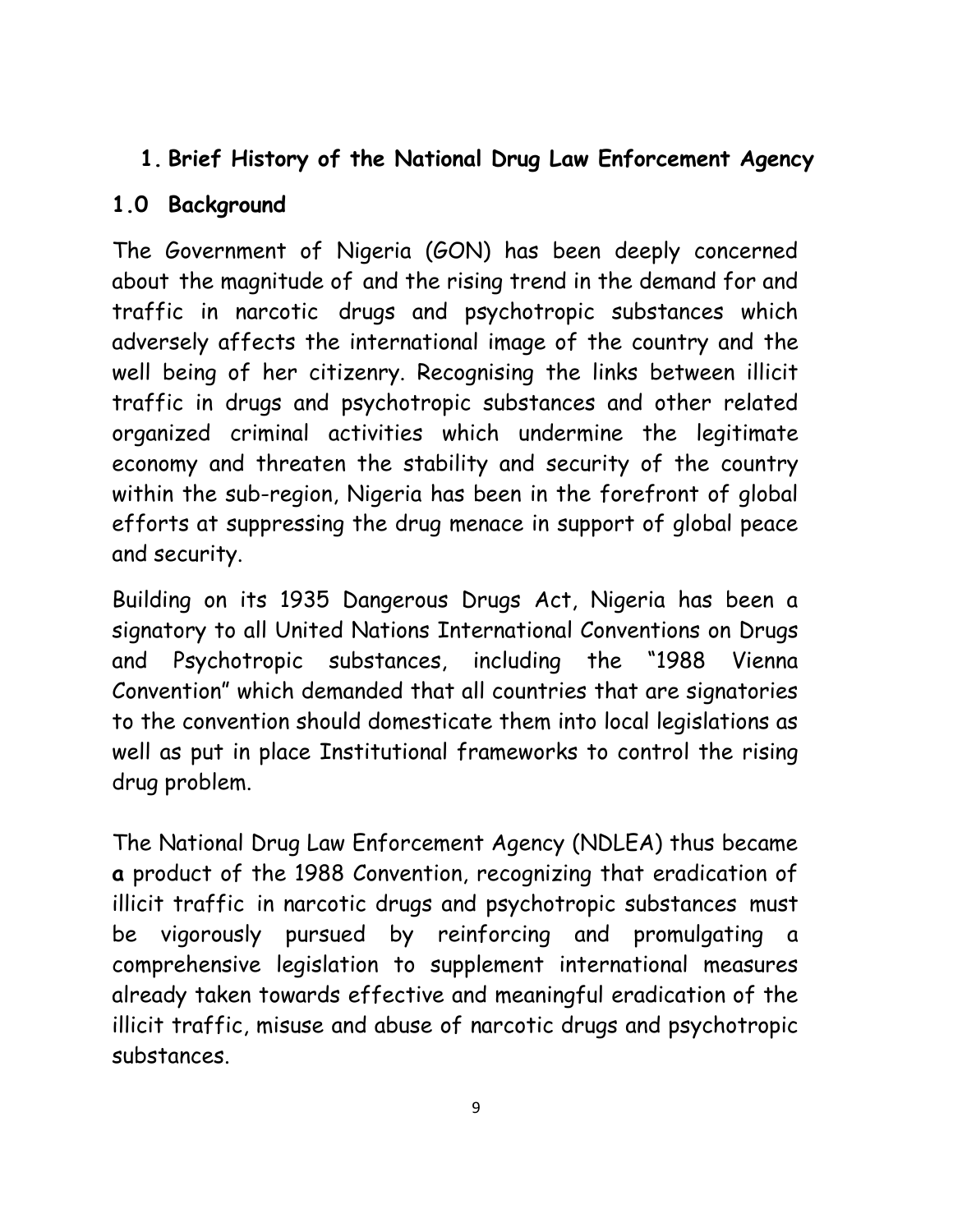### **1. Brief History of the National Drug Law Enforcement Agency**

#### **1.0 Background**

The Government of Nigeria (GON) has been deeply concerned about the magnitude of and the rising trend in the demand for and traffic in narcotic drugs and psychotropic substances which adversely affects the international image of the country and the well being of her citizenry. Recognising the links between illicit traffic in drugs and psychotropic substances and other related organized criminal activities which undermine the legitimate economy and threaten the stability and security of the country within the sub-region, Nigeria has been in the forefront of global efforts at suppressing the drug menace in support of global peace and security.

Building on its 1935 Dangerous Drugs Act, Nigeria has been a signatory to all United Nations International Conventions on Drugs and Psychotropic substances, including the "1988 Vienna Convention" which demanded that all countries that are signatories to the convention should domesticate them into local legislations as well as put in place Institutional frameworks to control the rising drug problem.

The National Drug Law Enforcement Agency (NDLEA) thus became **a** product of the 1988 Convention, recognizing that eradication of illicit traffic in narcotic drugs and psychotropic substances must be vigorously pursued by reinforcing and promulgating a comprehensive legislation to supplement international measures already taken towards effective and meaningful eradication of the illicit traffic, misuse and abuse of narcotic drugs and psychotropic substances.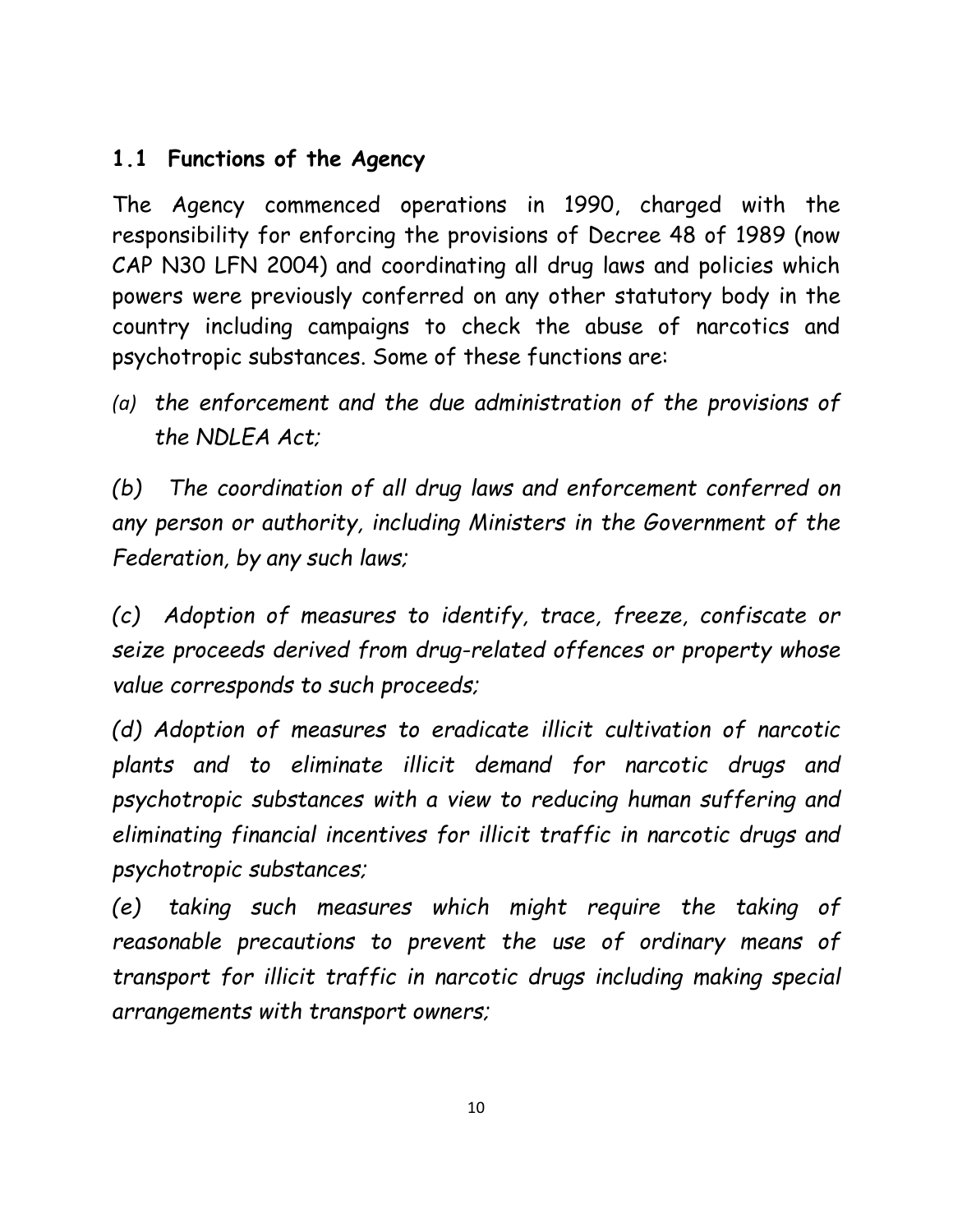### **1.1 Functions of the Agency**

The Agency commenced operations in 1990, charged with the responsibility for enforcing the provisions of Decree 48 of 1989 (now CAP N30 LFN 2004) and coordinating all drug laws and policies which powers were previously conferred on any other statutory body in the country including campaigns to check the abuse of narcotics and psychotropic substances. Some of these functions are:

*(a) the enforcement and the due administration of the provisions of the NDLEA Act;*

*(b) The coordination of all drug laws and enforcement conferred on any person or authority, including Ministers in the Government of the Federation, by any such laws;* 

*(c) Adoption of measures to identify, trace, freeze, confiscate or seize proceeds derived from drug-related offences or property whose value corresponds to such proceeds;*

*(d) Adoption of measures to eradicate illicit cultivation of narcotic plants and to eliminate illicit demand for narcotic drugs and psychotropic substances with a view to reducing human suffering and eliminating financial incentives for illicit traffic in narcotic drugs and psychotropic substances;*

*(e) taking such measures which might require the taking of reasonable precautions to prevent the use of ordinary means of transport for illicit traffic in narcotic drugs including making special arrangements with transport owners;*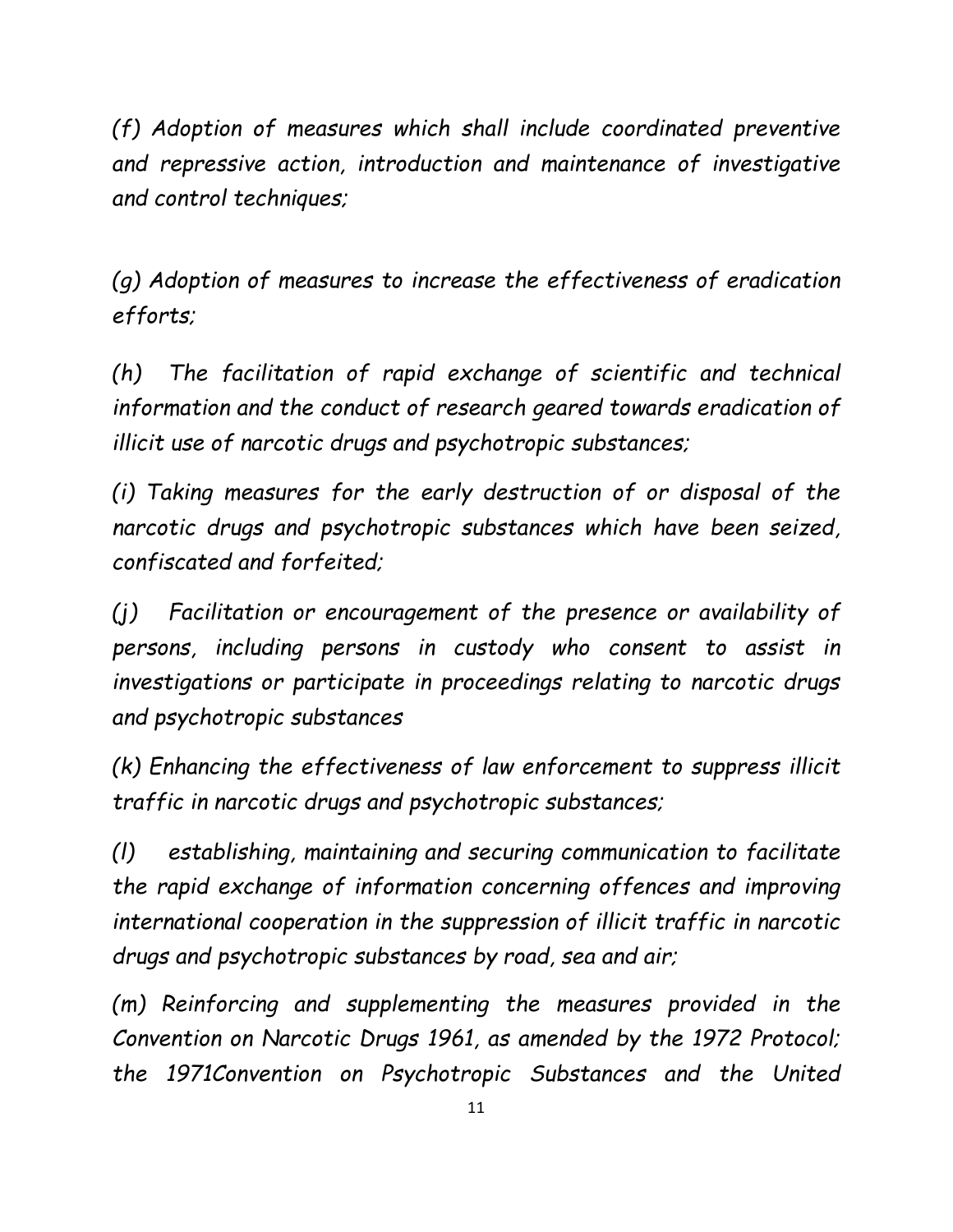*(f) Adoption of measures which shall include coordinated preventive and repressive action, introduction and maintenance of investigative and control techniques;*

*(g) Adoption of measures to increase the effectiveness of eradication efforts;*

*(h) The facilitation of rapid exchange of scientific and technical information and the conduct of research geared towards eradication of illicit use of narcotic drugs and psychotropic substances;*

*(i) Taking measures for the early destruction of or disposal of the narcotic drugs and psychotropic substances which have been seized, confiscated and forfeited;*

*(j) Facilitation or encouragement of the presence or availability of persons, including persons in custody who consent to assist in investigations or participate in proceedings relating to narcotic drugs and psychotropic substances*

*(k) Enhancing the effectiveness of law enforcement to suppress illicit traffic in narcotic drugs and psychotropic substances;*

*(l) establishing, maintaining and securing communication to facilitate the rapid exchange of information concerning offences and improving international cooperation in the suppression of illicit traffic in narcotic drugs and psychotropic substances by road, sea and air;*

*(m) Reinforcing and supplementing the measures provided in the Convention on Narcotic Drugs 1961, as amended by the 1972 Protocol; the 1971Convention on Psychotropic Substances and the United*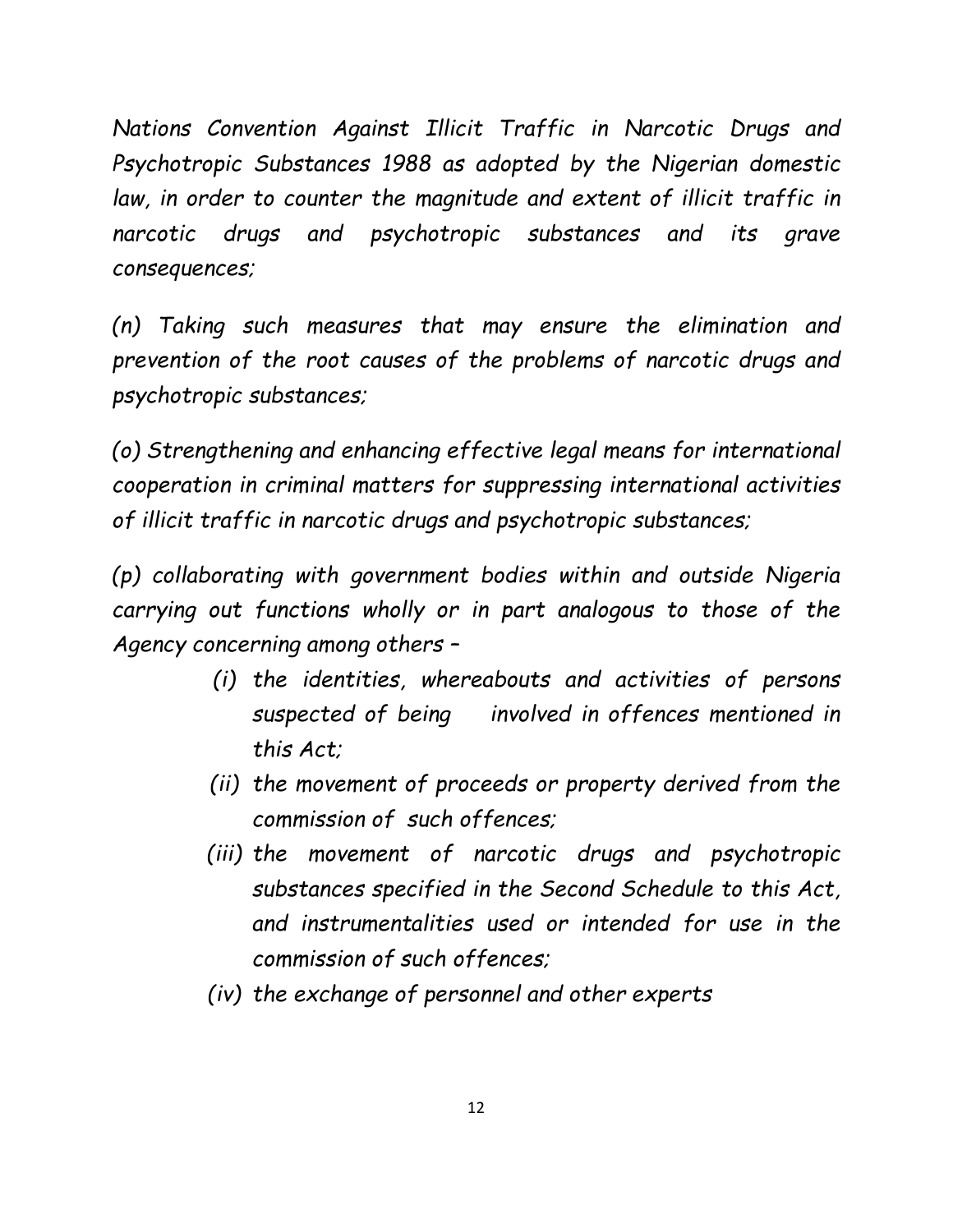*Nations Convention Against Illicit Traffic in Narcotic Drugs and Psychotropic Substances 1988 as adopted by the Nigerian domestic*  law, in order to counter the magnitude and extent of illicit traffic in *narcotic drugs and psychotropic substances and its grave consequences;*

*(n) Taking such measures that may ensure the elimination and prevention of the root causes of the problems of narcotic drugs and psychotropic substances;*

*(o) Strengthening and enhancing effective legal means for international cooperation in criminal matters for suppressing international activities of illicit traffic in narcotic drugs and psychotropic substances;*

*(p) collaborating with government bodies within and outside Nigeria carrying out functions wholly or in part analogous to those of the Agency concerning among others –*

- *(i) the identities, whereabouts and activities of persons suspected of being involved in offences mentioned in this Act;*
- *(ii) the movement of proceeds or property derived from the commission of such offences;*
- *(iii) the movement of narcotic drugs and psychotropic substances specified in the Second Schedule to this Act, and instrumentalities used or intended for use in the commission of such offences;*
- *(iv) the exchange of personnel and other experts*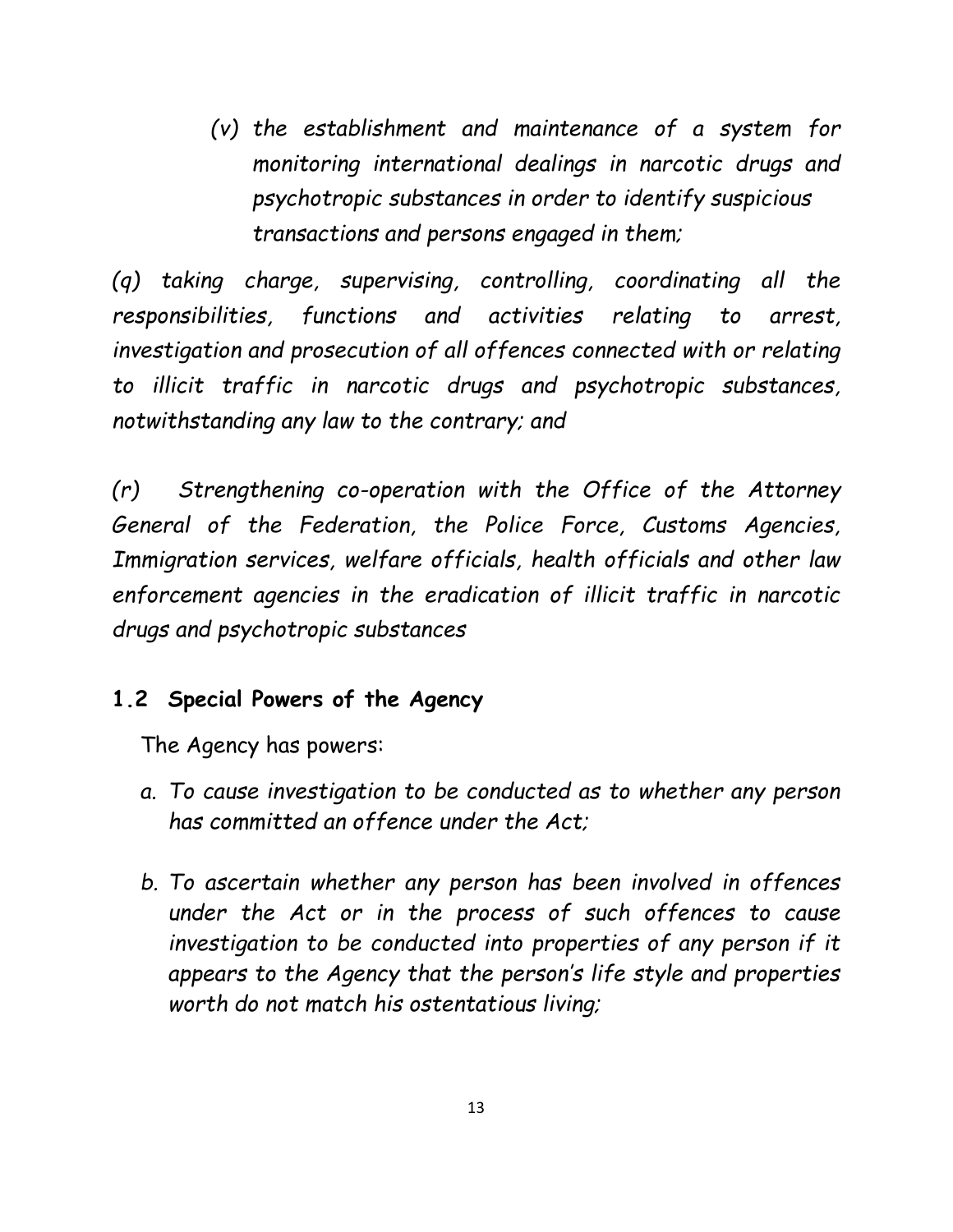*(v) the establishment and maintenance of a system for monitoring international dealings in narcotic drugs and psychotropic substances in order to identify suspicious transactions and persons engaged in them;*

*(q) taking charge, supervising, controlling, coordinating all the responsibilities, functions and activities relating to arrest, investigation and prosecution of all offences connected with or relating to illicit traffic in narcotic drugs and psychotropic substances, notwithstanding any law to the contrary; and*

*(r) Strengthening co-operation with the Office of the Attorney General of the Federation, the Police Force, Customs Agencies, Immigration services, welfare officials, health officials and other law enforcement agencies in the eradication of illicit traffic in narcotic drugs and psychotropic substances* 

#### **1.2 Special Powers of the Agency**

The Agency has powers:

- *a. To cause investigation to be conducted as to whether any person has committed an offence under the Act;*
- *b. To ascertain whether any person has been involved in offences under the Act or in the process of such offences to cause*  investigation to be conducted into properties of any person if it *appears to the Agency that the person's life style and properties worth do not match his ostentatious living;*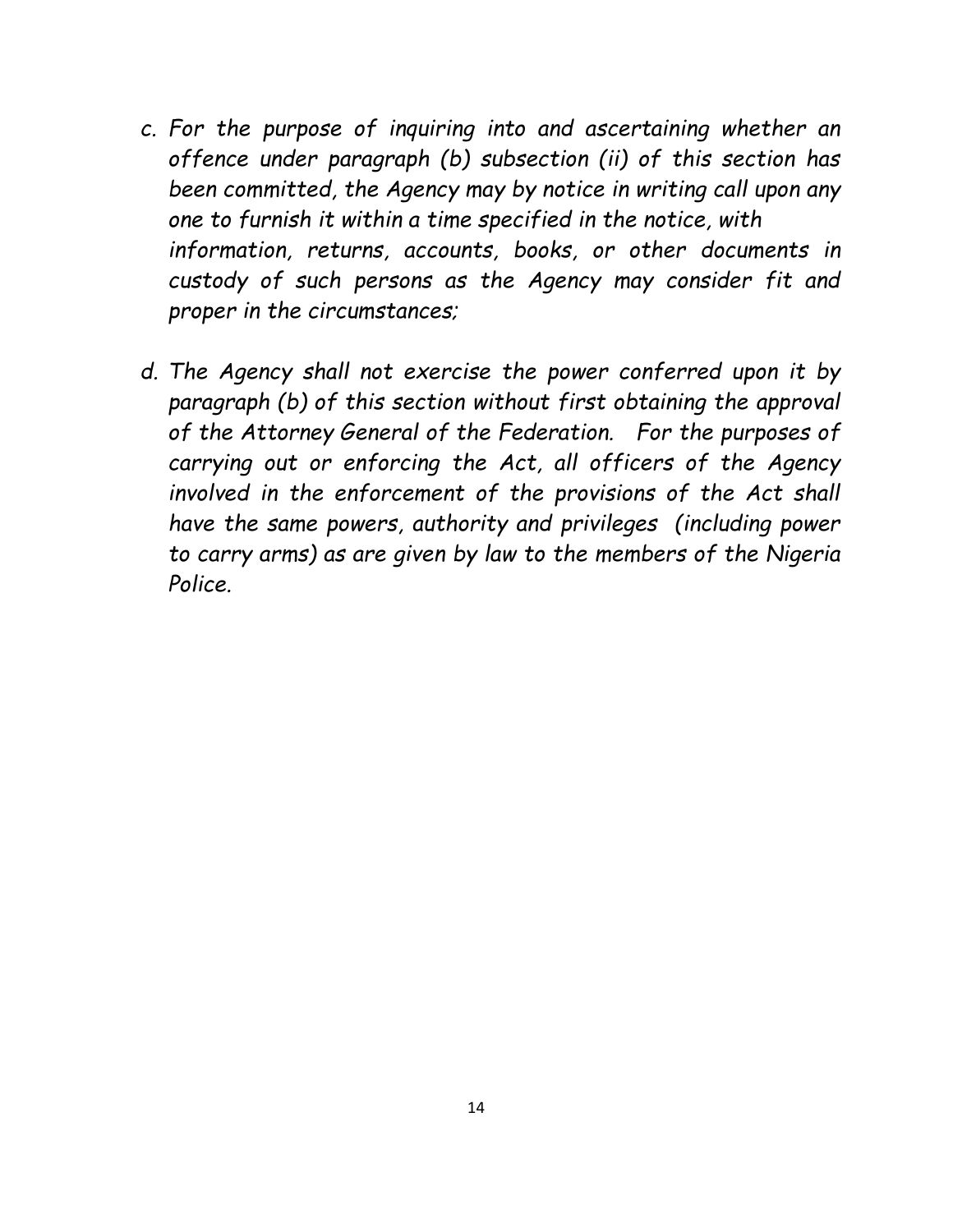- *c. For the purpose of inquiring into and ascertaining whether an offence under paragraph (b) subsection (ii) of this section has been committed, the Agency may by notice in writing call upon any one to furnish it within a time specified in the notice, with information, returns, accounts, books, or other documents in custody of such persons as the Agency may consider fit and proper in the circumstances;*
- *d. The Agency shall not exercise the power conferred upon it by paragraph (b) of this section without first obtaining the approval of the Attorney General of the Federation. For the purposes of carrying out or enforcing the Act, all officers of the Agency involved in the enforcement of the provisions of the Act shall have the same powers, authority and privileges (including power to carry arms) as are given by law to the members of the Nigeria Police.*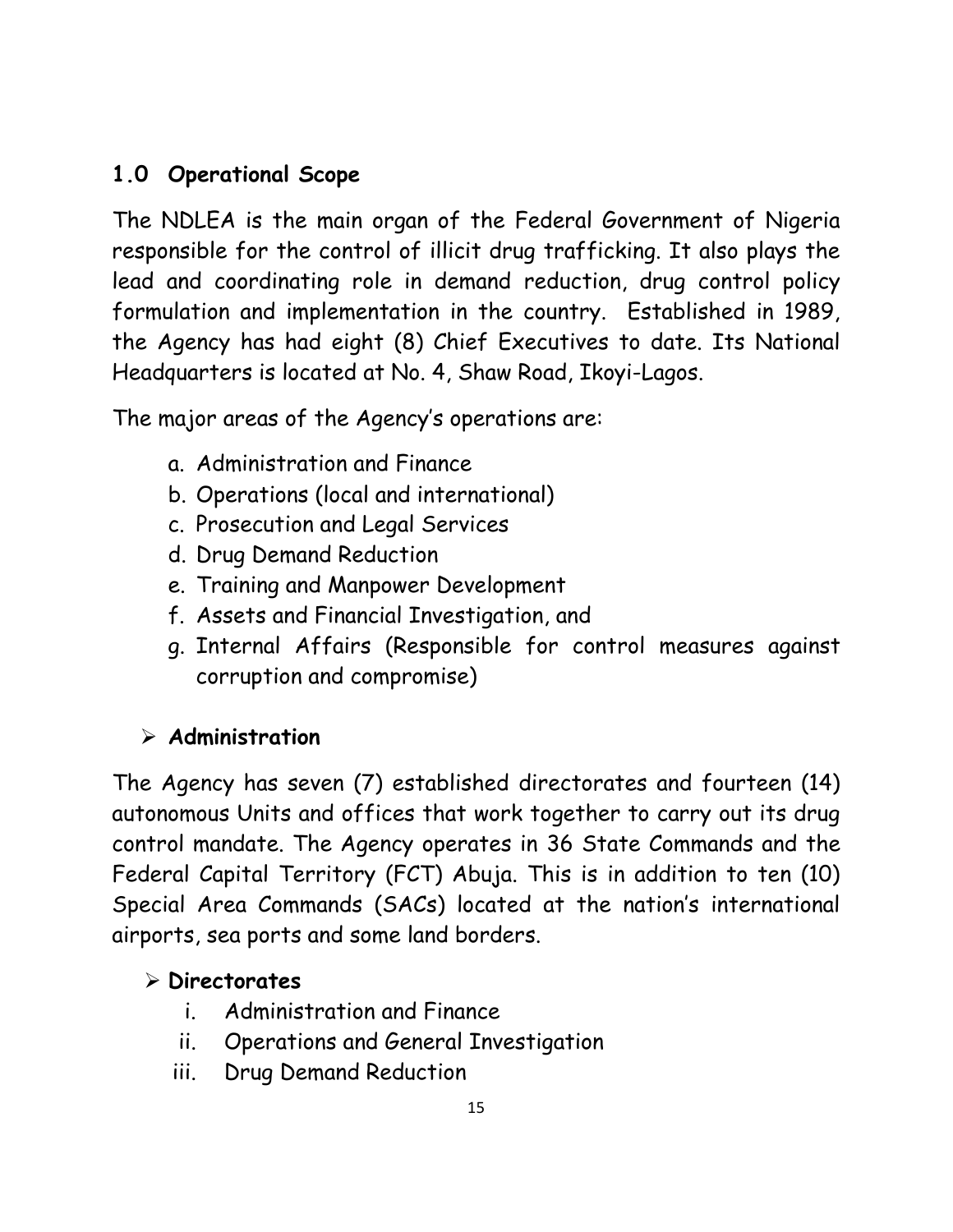## **1.0 Operational Scope**

The NDLEA is the main organ of the Federal Government of Nigeria responsible for the control of illicit drug trafficking. It also plays the lead and coordinating role in demand reduction, drug control policy formulation and implementation in the country. Established in 1989, the Agency has had eight (8) Chief Executives to date. Its National Headquarters is located at No. 4, Shaw Road, Ikoyi-Lagos.

The major areas of the Agency's operations are:

- a. Administration and Finance
- b. Operations (local and international)
- c. Prosecution and Legal Services
- d. Drug Demand Reduction
- e. Training and Manpower Development
- f. Assets and Financial Investigation, and
- g. Internal Affairs (Responsible for control measures against corruption and compromise)

#### ➢ **Administration**

The Agency has seven (7) established directorates and fourteen (14) autonomous Units and offices that work together to carry out its drug control mandate. The Agency operates in 36 State Commands and the Federal Capital Territory (FCT) Abuja. This is in addition to ten (10) Special Area Commands (SACs) located at the nation's international airports, sea ports and some land borders.

#### ➢ **Directorates**

- i. Administration and Finance
- ii. Operations and General Investigation
- iii. Drug Demand Reduction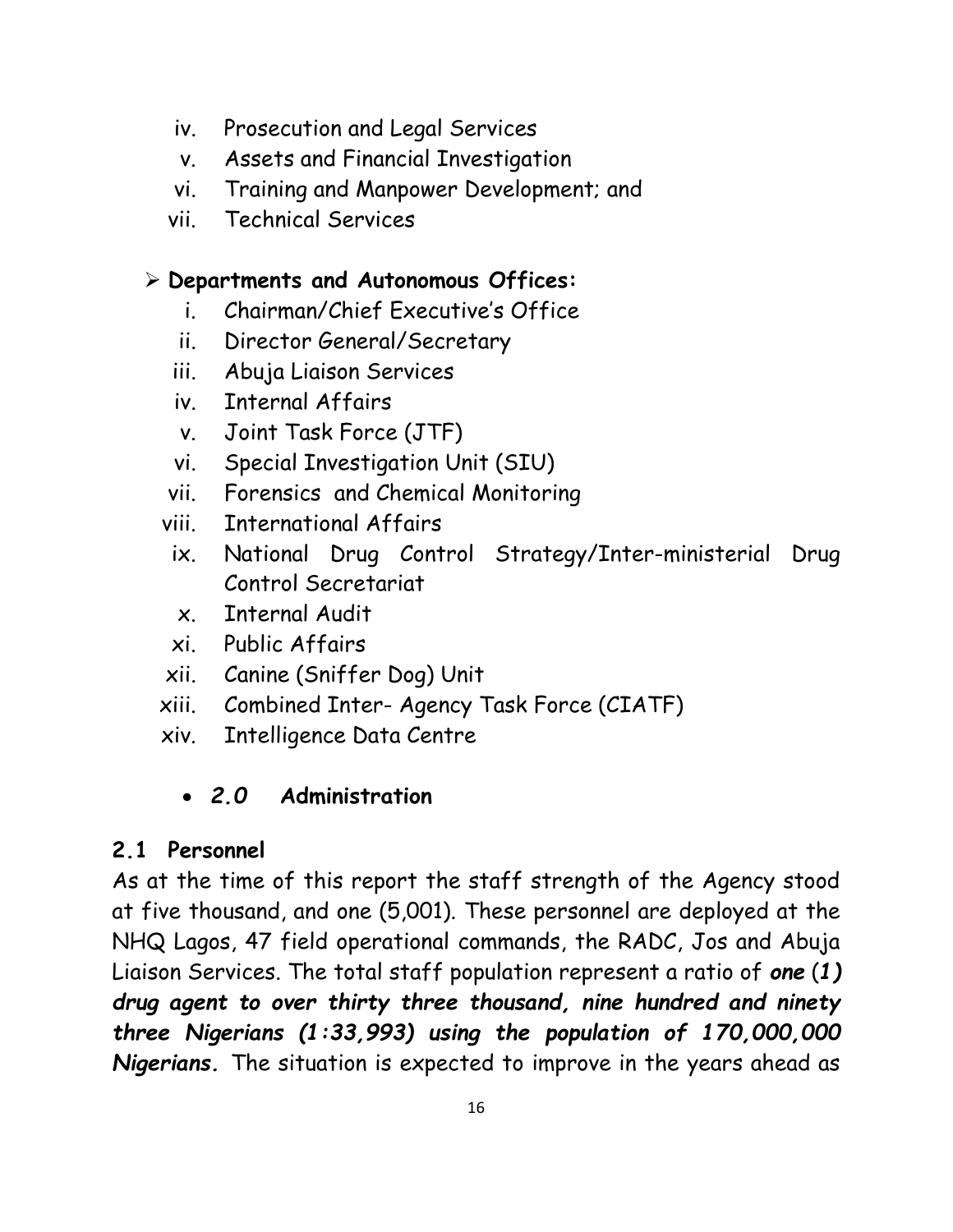- iv. Prosecution and Legal Services
- v. Assets and Financial Investigation
- vi. Training and Manpower Development; and
- vii. Technical Services

#### ➢ **Departments and Autonomous Offices:**

- i. Chairman/Chief Executive's Office
- ii. Director General/Secretary
- iii. Abuja Liaison Services
- iv. Internal Affairs
- v. Joint Task Force (JTF)
- vi. Special Investigation Unit (SIU)
- vii. Forensics and Chemical Monitoring
- viii. International Affairs
- ix. National Drug Control Strategy/Inter-ministerial Drug Control Secretariat
- x. Internal Audit
- xi. Public Affairs
- xii. Canine (Sniffer Dog) Unit
- xiii. Combined Inter- Agency Task Force (CIATF)
- xiv. Intelligence Data Centre

#### • *2.0* **Administration**

#### **2.1 Personnel**

As at the time of this report the staff strength of the Agency stood at five thousand, and one (5,001). These personnel are deployed at the NHQ Lagos, 47 field operational commands, the RADC, Jos and Abuja Liaison Services. The total staff population represent a ratio of *one* (*1) drug agent to over thirty three thousand, nine hundred and ninety three Nigerians (1:33,993) using the population of 170,000,000 Nigerians.* The situation is expected to improve in the years ahead as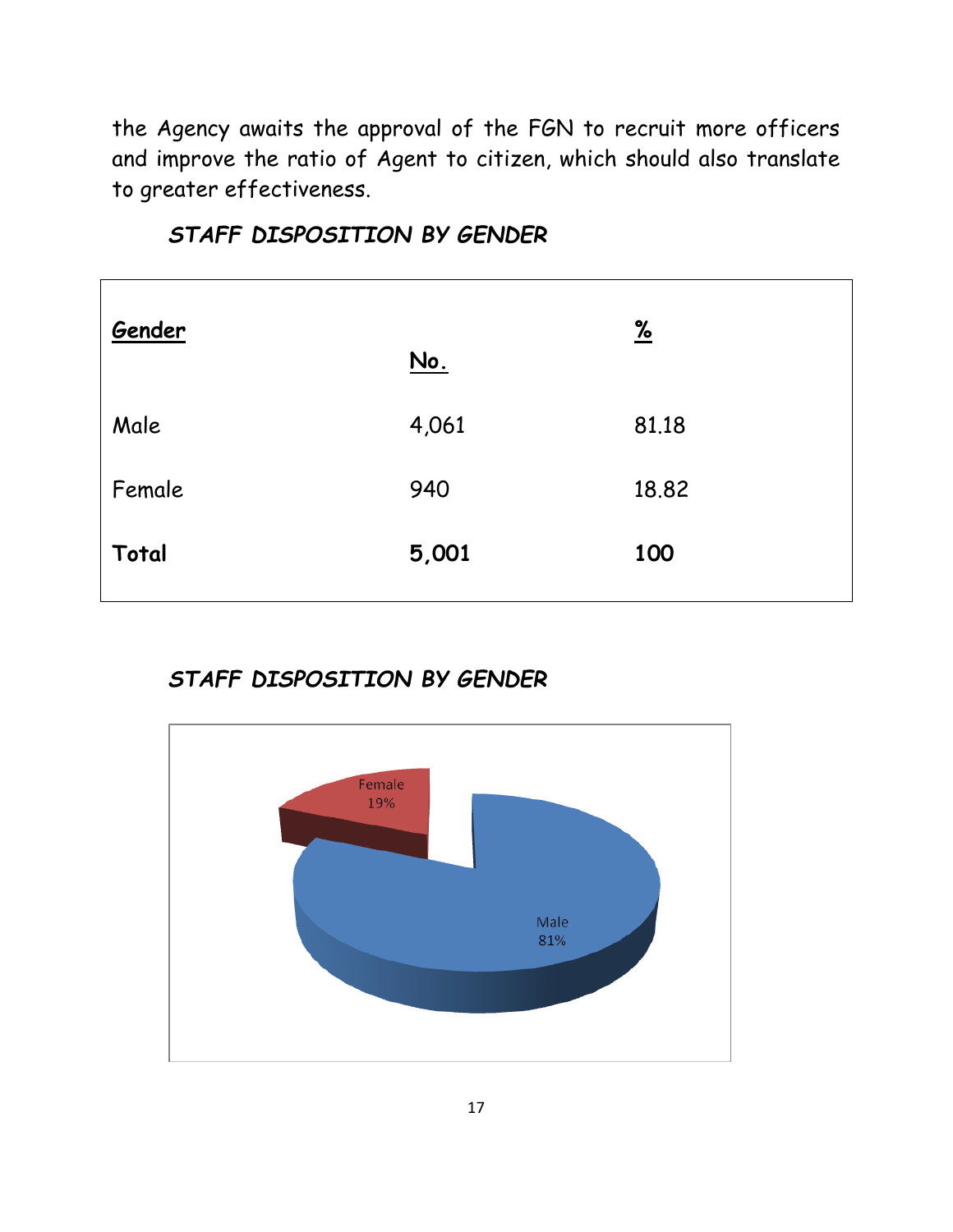the Agency awaits the approval of the FGN to recruit more officers and improve the ratio of Agent to citizen, which should also translate to greater effectiveness.

| Gender | <u>No.</u> | $\frac{9}{6}$ |
|--------|------------|---------------|
| Male   | 4,061      | 81.18         |
| Female | 940        | 18.82         |
| Total  | 5,001      | 100           |
|        |            |               |

*STAFF DISPOSITION BY GENDER*

*STAFF DISPOSITION BY GENDER*

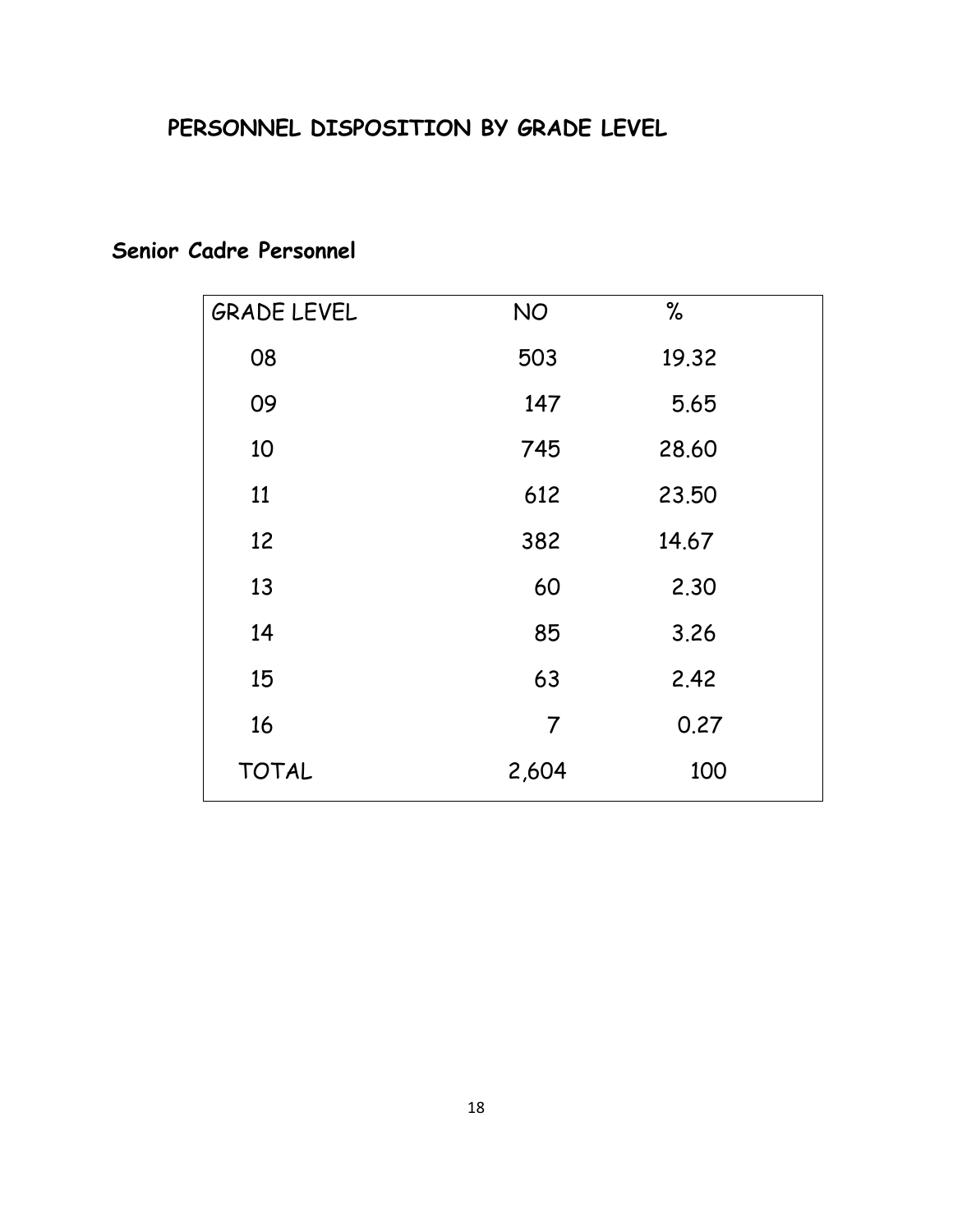#### **PERSONNEL DISPOSITION BY GRADE LEVEL**

| <b>GRADE LEVEL</b> | <b>NO</b>      | $\%$  |  |
|--------------------|----------------|-------|--|
| 08                 | 503            | 19.32 |  |
| 09                 | 147            | 5.65  |  |
| 10                 | 745            | 28.60 |  |
| 11                 | 612            | 23.50 |  |
| 12                 | 382            | 14.67 |  |
| 13                 | 60             | 2.30  |  |
| 14                 | 85             | 3.26  |  |
| 15                 | 63             | 2.42  |  |
| 16                 | $\overline{7}$ | 0.27  |  |
| <b>TOTAL</b>       | 2,604          | 100   |  |

#### **Senior Cadre Personnel**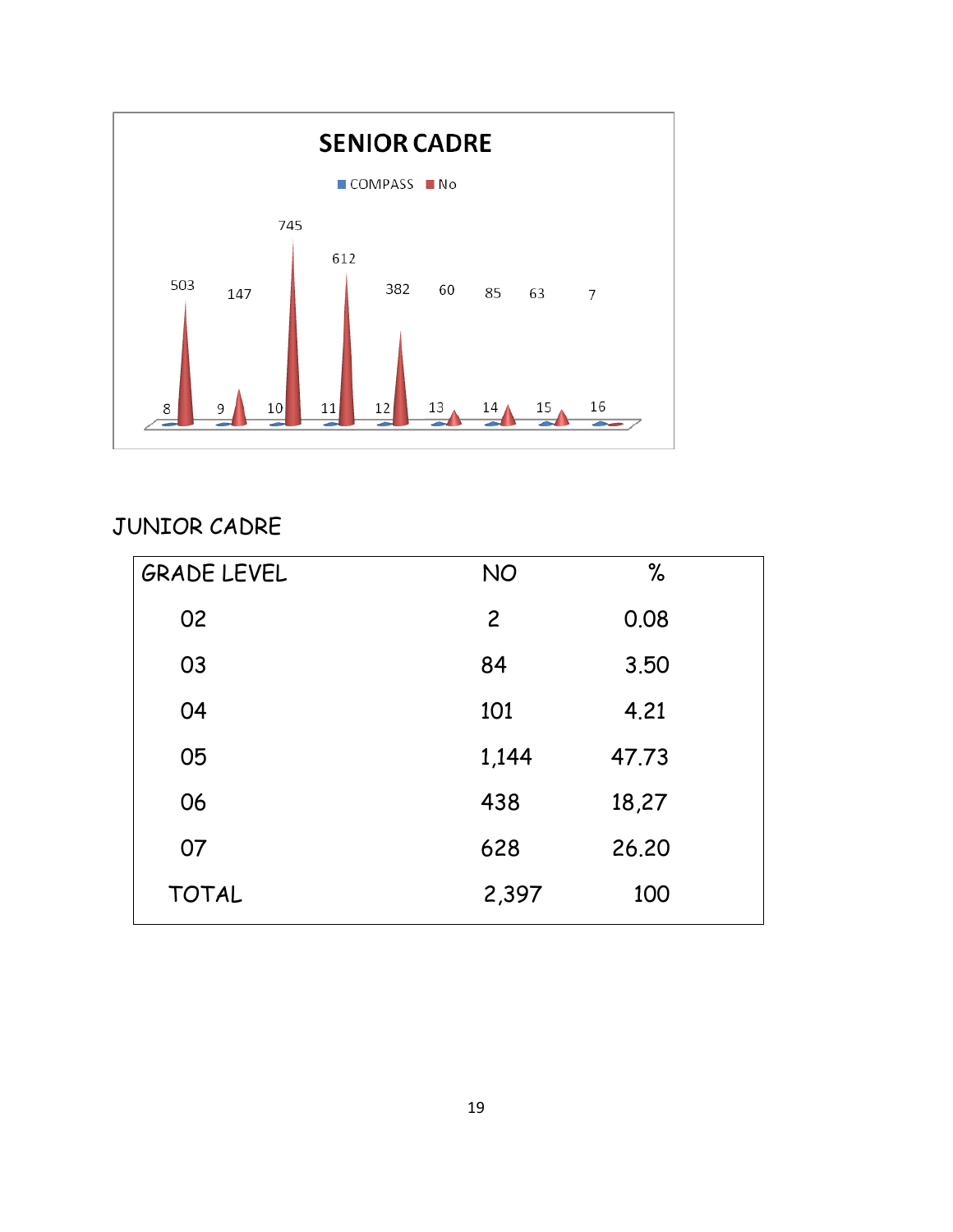

JUNIOR CADRE

| <b>GRADE LEVEL</b> | <b>NO</b>      | %     |
|--------------------|----------------|-------|
| 02                 | $\overline{2}$ | 0.08  |
| 03                 | 84             | 3.50  |
| 04                 | 101            | 4.21  |
| 05                 | 1,144          | 47.73 |
| 06                 | 438            | 18,27 |
| 07                 | 628            | 26,20 |
| <b>TOTAL</b>       | 2,397          | 100   |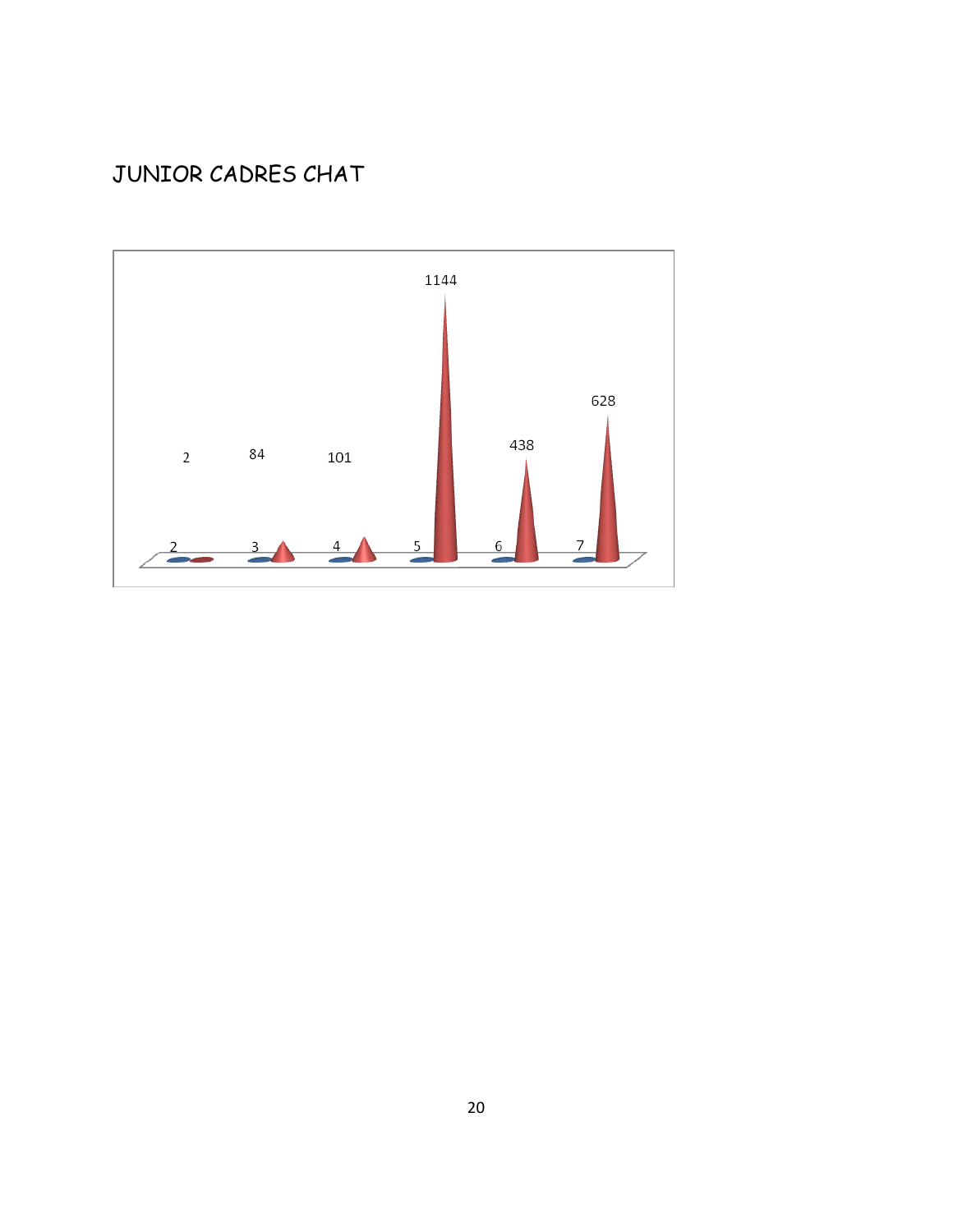## JUNIOR CADRES CHAT

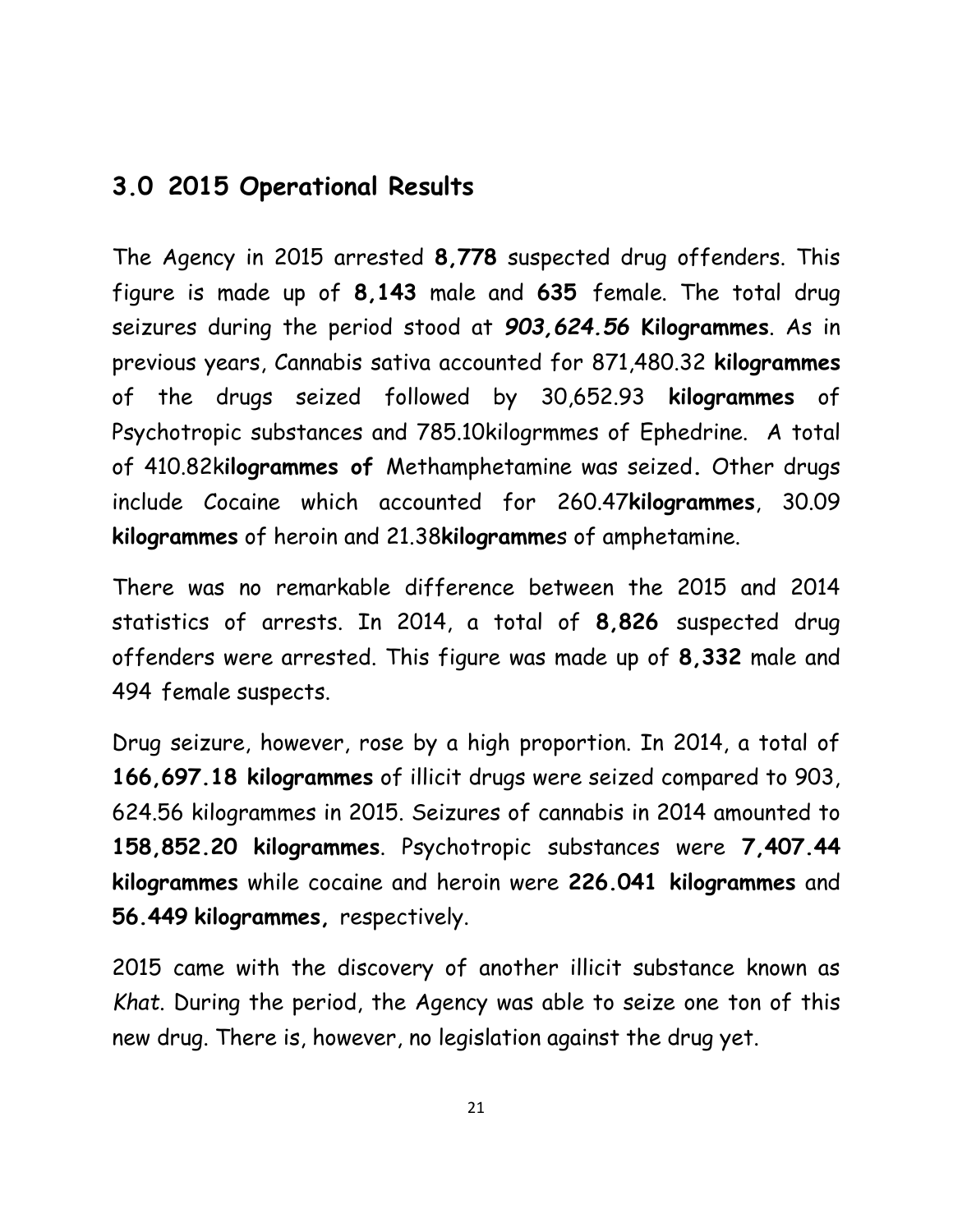#### **3.0 2015 Operational Results**

The Agency in 2015 arrested **8,778** suspected drug offenders. This figure is made up of **8,143** male and **635** female. The total drug seizures during the period stood at *903,624.56* **Kilogrammes**. As in previous years, Cannabis sativa accounted for 871,480.32 **kilogrammes** of the drugs seized followed by 30,652.93 **kilogrammes** of Psychotropic substances and 785.10kilogrmmes of Ephedrine. A total of 410.82k**ilogrammes of** Methamphetamine was seized**.** Other drugs include Cocaine which accounted for 260.47**kilogrammes**, 30.09 **kilogrammes** of heroin and 21.38**kilogramme**s of amphetamine.

There was no remarkable difference between the 2015 and 2014 statistics of arrests. In 2014, a total of **8,826** suspected drug offenders were arrested. This figure was made up of **8,332** male and 494 female suspects.

Drug seizure, however, rose by a high proportion. In 2014, a total of **166,697.18 kilogrammes** of illicit drugs were seized compared to 903, 624.56 kilogrammes in 2015. Seizures of cannabis in 2014 amounted to **158,852.20 kilogrammes**. Psychotropic substances were **7,407.44 kilogrammes** while cocaine and heroin were **226.041 kilogrammes** and **56.449 kilogrammes,** respectively.

2015 came with the discovery of another illicit substance known as *Khat*. During the period, the Agency was able to seize one ton of this new drug. There is, however, no legislation against the drug yet.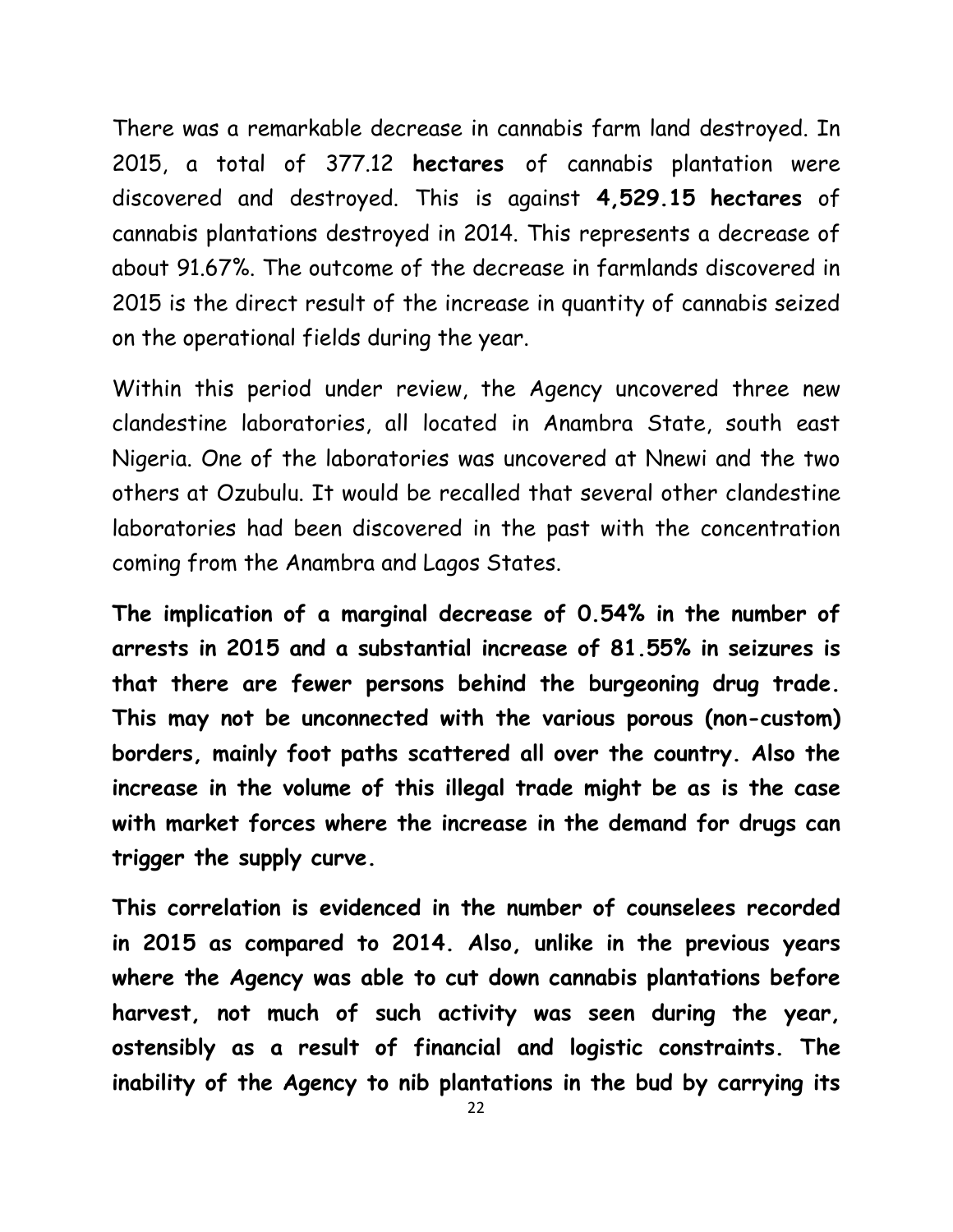There was a remarkable decrease in cannabis farm land destroyed. In 2015, a total of 377.12 **hectares** of cannabis plantation were discovered and destroyed. This is against **4,529.15 hectares** of cannabis plantations destroyed in 2014. This represents a decrease of about 91.67%. The outcome of the decrease in farmlands discovered in 2015 is the direct result of the increase in quantity of cannabis seized on the operational fields during the year.

Within this period under review, the Agency uncovered three new clandestine laboratories, all located in Anambra State, south east Nigeria. One of the laboratories was uncovered at Nnewi and the two others at Ozubulu. It would be recalled that several other clandestine laboratories had been discovered in the past with the concentration coming from the Anambra and Lagos States.

**The implication of a marginal decrease of 0.54% in the number of arrests in 2015 and a substantial increase of 81.55% in seizures is that there are fewer persons behind the burgeoning drug trade. This may not be unconnected with the various porous (non-custom) borders, mainly foot paths scattered all over the country. Also the increase in the volume of this illegal trade might be as is the case with market forces where the increase in the demand for drugs can trigger the supply curve.**

**This correlation is evidenced in the number of counselees recorded in 2015 as compared to 2014. Also, unlike in the previous years where the Agency was able to cut down cannabis plantations before harvest, not much of such activity was seen during the year, ostensibly as a result of financial and logistic constraints. The inability of the Agency to nib plantations in the bud by carrying its**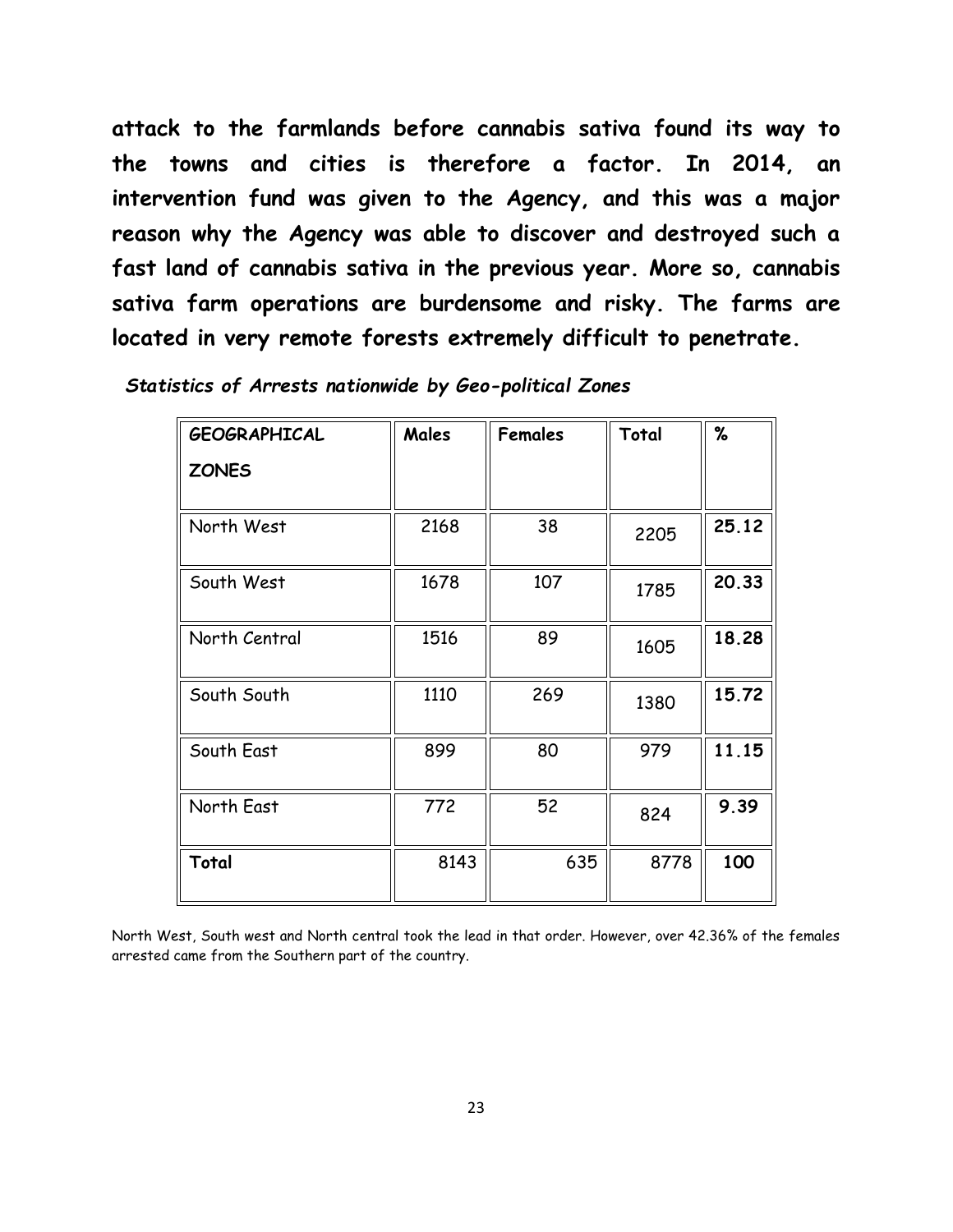**attack to the farmlands before cannabis sativa found its way to the towns and cities is therefore a factor. In 2014, an intervention fund was given to the Agency, and this was a major reason why the Agency was able to discover and destroyed such a fast land of cannabis sativa in the previous year. More so, cannabis sativa farm operations are burdensome and risky. The farms are located in very remote forests extremely difficult to penetrate.** 

| <b>GEOGRAPHICAL</b> | Males | <b>Females</b> | Total | %     |
|---------------------|-------|----------------|-------|-------|
| <b>ZONES</b>        |       |                |       |       |
| North West          | 2168  | 38             | 2205  | 25.12 |
| South West          | 1678  | 107            | 1785  | 20.33 |
| North Central       | 1516  | 89             | 1605  | 18.28 |
| South South         | 1110  | 269            | 1380  | 15.72 |
| South East          | 899   | 80             | 979   | 11.15 |
| North East          | 772   | 52             | 824   | 9.39  |
| Total               | 8143  | 635            | 8778  | 100   |

*Statistics of Arrests nationwide by Geo-political Zones*

North West, South west and North central took the lead in that order. However, over 42.36% of the females arrested came from the Southern part of the country.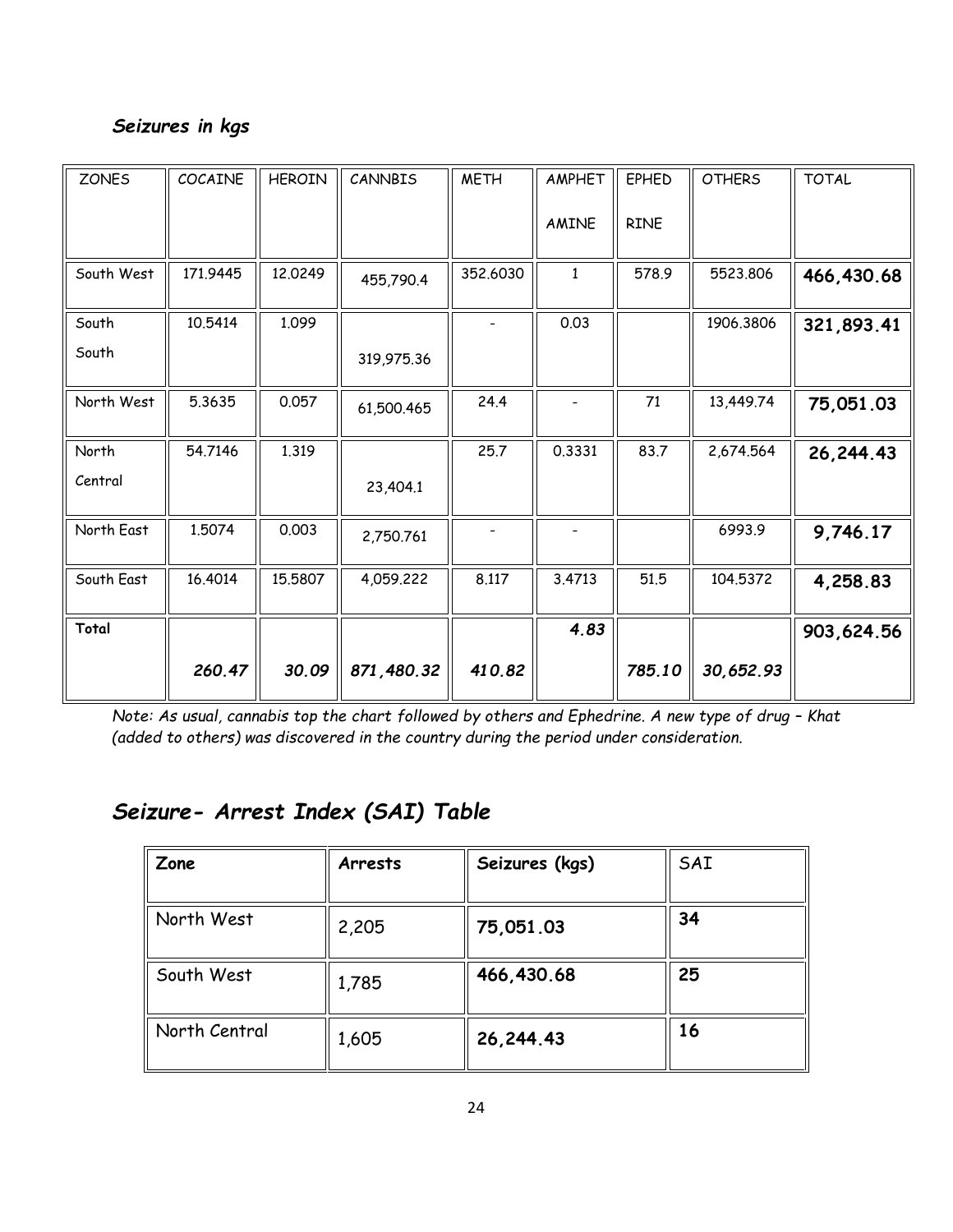#### *Seizures in kgs*

| <b>ZONES</b> | COCAINE  | <b>HEROIN</b> | CANNBIS    | <b>METH</b> | AMPHET       | <b>EPHED</b> | <b>OTHERS</b> | <b>TOTAL</b> |
|--------------|----------|---------------|------------|-------------|--------------|--------------|---------------|--------------|
|              |          |               |            |             | AMINE        | <b>RINE</b>  |               |              |
| South West   | 171.9445 | 12.0249       | 455,790.4  | 352.6030    | $\mathbf{1}$ | 578.9        | 5523.806      | 466,430.68   |
| South        | 10.5414  | 1.099         |            |             | 0.03         |              | 1906.3806     | 321,893.41   |
| South        |          |               | 319,975.36 |             |              |              |               |              |
| North West   | 5.3635   | 0.057         | 61,500.465 | 24.4        |              | 71           | 13,449.74     | 75,051.03    |
| North        | 54.7146  | 1.319         |            | 25.7        | 0.3331       | 83.7         | 2,674.564     | 26, 244. 43  |
| Central      |          |               | 23,404.1   |             |              |              |               |              |
| North East   | 1.5074   | 0.003         | 2,750.761  |             |              |              | 6993.9        | 9,746.17     |
| South East   | 16.4014  | 15.5807       | 4,059.222  | 8.117       | 3.4713       | 51.5         | 104.5372      | 4,258.83     |
| Total        |          |               |            |             | 4.83         |              |               | 903,624.56   |
|              | 260.47   | 30.09         | 871,480.32 | 410.82      |              | 785.10       | 30,652.93     |              |

*Note: As usual, cannabis top the chart followed by others and Ephedrine. A new type of drug - Khat (added to others) was discovered in the country during the period under consideration.*

### *Seizure- Arrest Index (SAI) Table*

| Zone          | Arrests | Seizures (kgs) | SAI |
|---------------|---------|----------------|-----|
| North West    | 2,205   | 75,051.03      | 34  |
| South West    | 1,785   | 466,430.68     | 25  |
| North Central | 1,605   | 26, 244. 43    | 16  |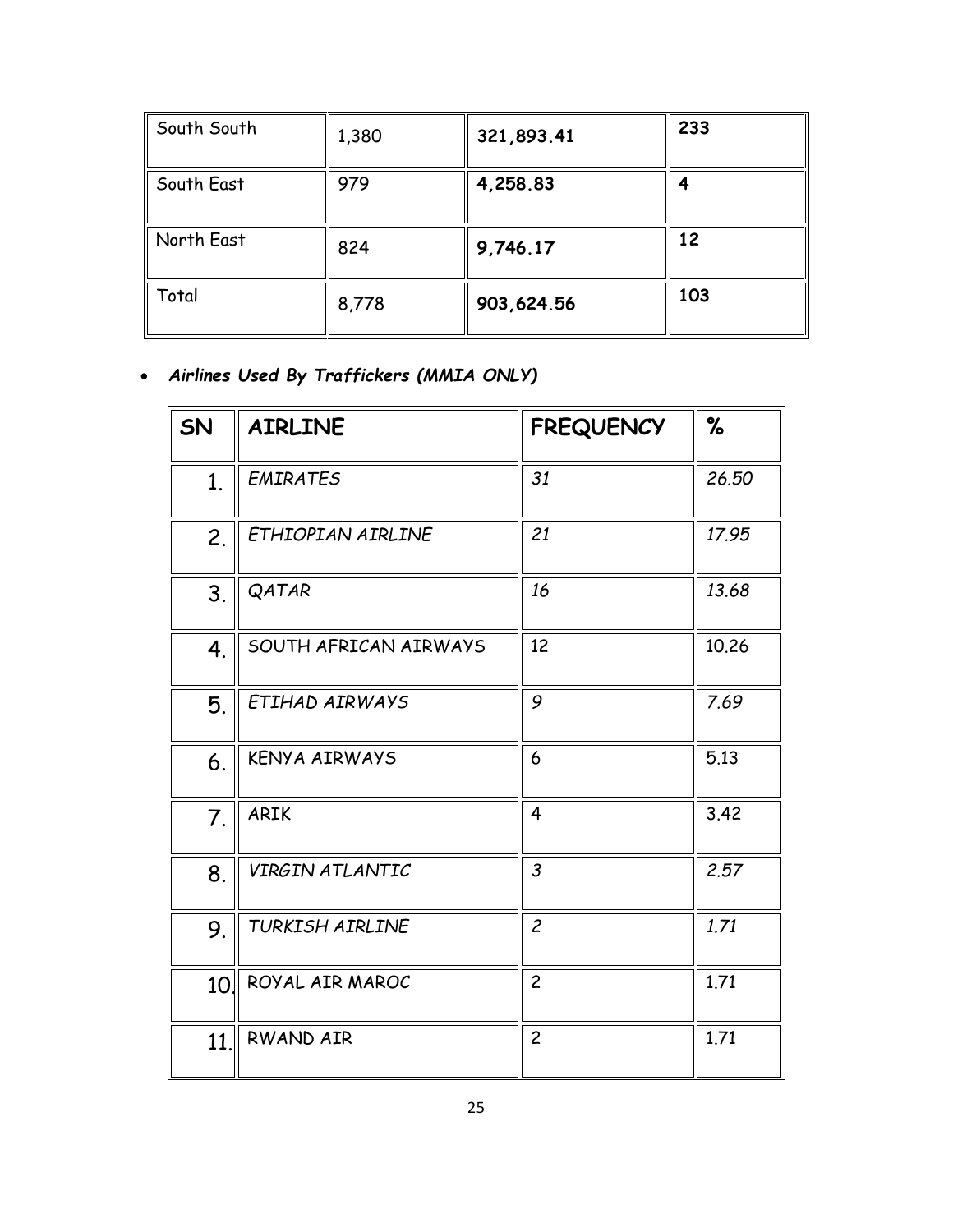| South South | 1,380 | 321,893.41 | 233 |
|-------------|-------|------------|-----|
| South East  | 979   | 4,258.83   |     |
| North East  | 824   | 9,746.17   | 12  |
| Total       | 8,778 | 903,624.56 | 103 |

• *Airlines Used By Traffickers (MMIA ONLY)*

| SN             | <b>AIRLINE</b>        | <b>FREQUENCY</b> | %     |
|----------------|-----------------------|------------------|-------|
| 1 <sub>1</sub> | <b>EMIRATES</b>       | 31               | 26.50 |
| 2.             | ETHIOPIAN AIRLINE     | 21               | 17.95 |
| 3.             | QATAR                 | 16               | 13.68 |
| 4.             | SOUTH AFRICAN AIRWAYS | 12               | 10.26 |
| 5.             | ETIHAD AIRWAYS        | 9                | 7.69  |
| 6.             | <b>KENYA AIRWAYS</b>  | 6                | 5.13  |
| 7.             | <b>ARIK</b>           | 4                | 3.42  |
| 8.             | VIRGIN ATLANTIC       | $\mathfrak{Z}$   | 2.57  |
| 9.             | TURKISH AIRLINE       | $\overline{c}$   | 1.71  |
| 10.            | ROYAL AIR MAROC       | $\overline{c}$   | 1.71  |
| 11.            | RWAND AIR             | $\overline{c}$   | 1.71  |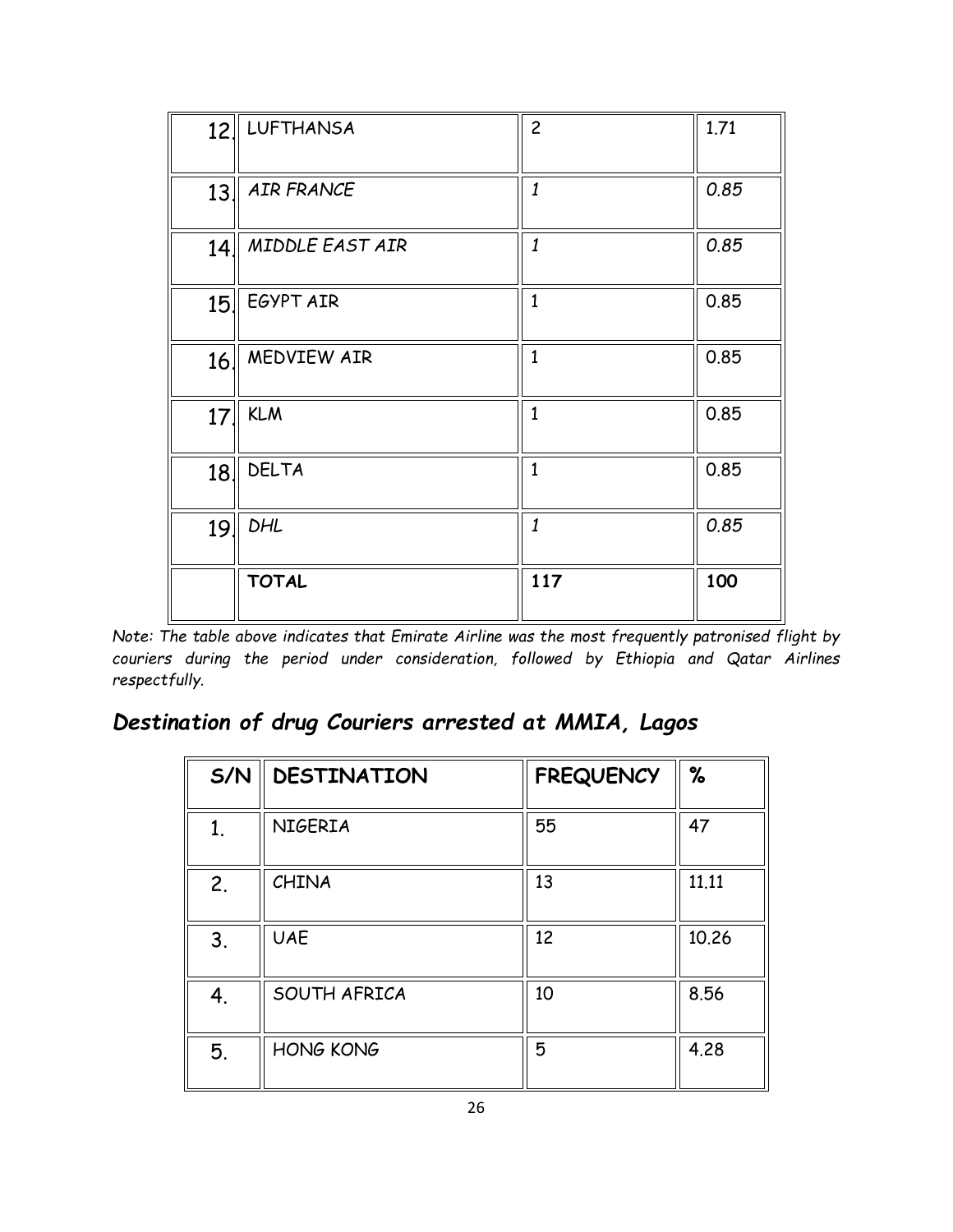| 12  | <b>LUFTHANSA</b>  | $\overline{c}$   | 1.71 |
|-----|-------------------|------------------|------|
| 13. | <b>AIR FRANCE</b> | $\it 1$          | 0.85 |
| 14  | MIDDLE EAST AIR   | $\boldsymbol{1}$ | 0.85 |
| 15  | EGYPT AIR         | $\overline{1}$   | 0.85 |
| 16  | MEDVIEW AIR       | $\mathbf{1}$     | 0.85 |
| 17. | <b>KLM</b>        | $\mathbf{1}$     | 0.85 |
| 18. | <b>DELTA</b>      | $\overline{1}$   | 0.85 |
| 19. | <b>DHL</b>        | 1                | 0.85 |
|     | <b>TOTAL</b>      | 117              | 100  |

*Note: The table above indicates that Emirate Airline was the most frequently patronised flight by couriers during the period under consideration, followed by Ethiopia and Qatar Airlines respectfully.* 

## *Destination of drug Couriers arrested at MMIA, Lagos*

| S/N | <b>DESTINATION</b> | <b>FREQUENCY</b> | %     |
|-----|--------------------|------------------|-------|
| 1.  | <b>NIGERIA</b>     | 55               | 47    |
| 2.  | CHINA              | 13               | 11.11 |
| 3.  | <b>UAE</b>         | 12               | 10.26 |
| 4.  | SOUTH AFRICA       | 10               | 8.56  |
| 5.  | <b>HONG KONG</b>   | 5                | 4.28  |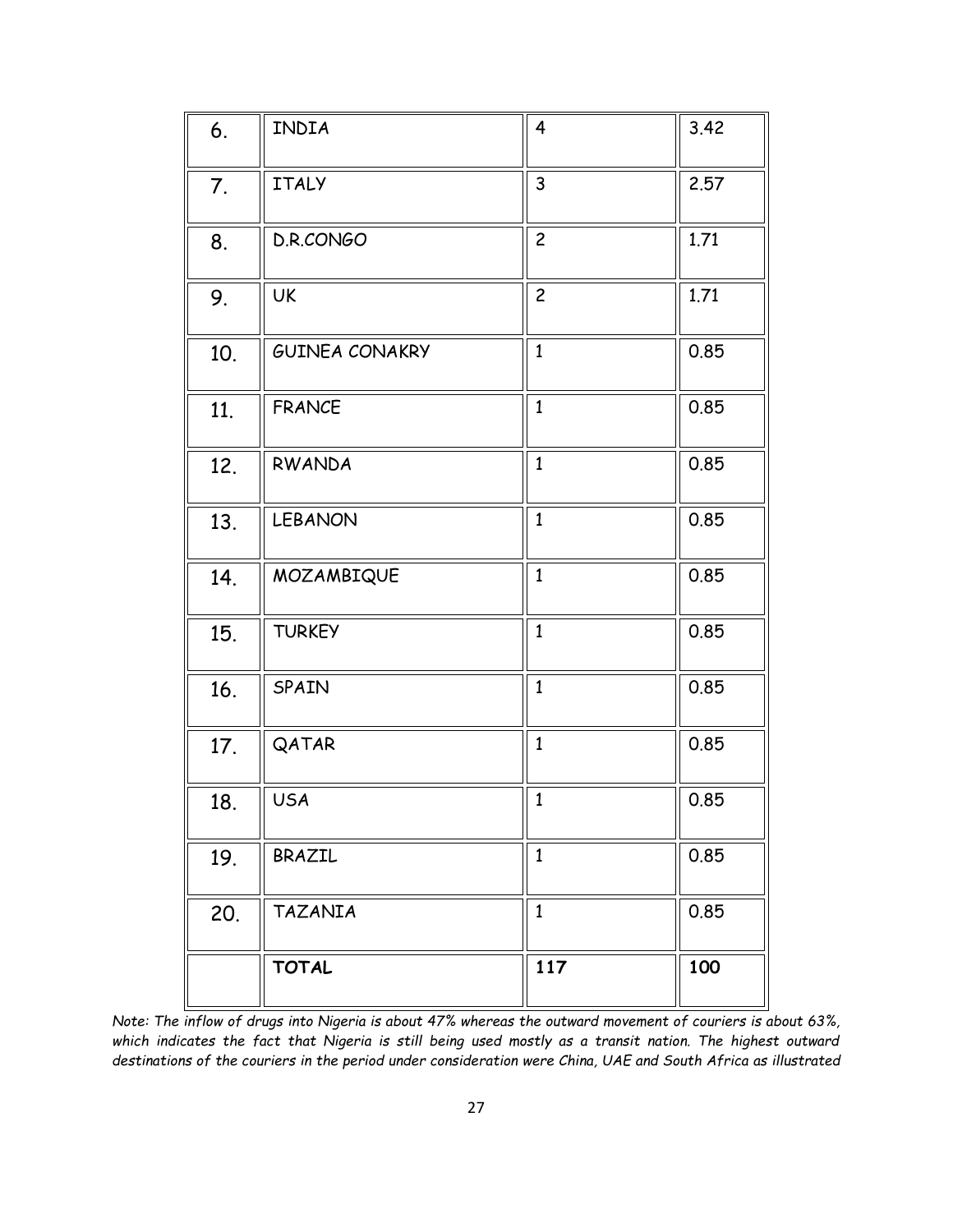| 6.  | INDIA                 | $\overline{4}$ | 3.42 |
|-----|-----------------------|----------------|------|
| 7.  | <b>ITALY</b>          | 3              | 2.57 |
| 8.  | D.R.CONGO             | $\overline{c}$ | 1.71 |
| 9.  | UK                    | $\overline{c}$ | 1.71 |
| 10. | <b>GUINEA CONAKRY</b> | $\mathbf{1}$   | 0.85 |
| 11. | <b>FRANCE</b>         | $\mathbf{1}$   | 0.85 |
| 12. | RWANDA                | $\mathbf{1}$   | 0.85 |
| 13. | <b>LEBANON</b>        | $\mathbf{1}$   | 0.85 |
| 14. | MOZAMBIQUE            | $\mathbf{1}$   | 0.85 |
| 15. | <b>TURKEY</b>         | $\mathbf{1}$   | 0.85 |
| 16. | SPAIN                 | $\mathbf{1}$   | 0.85 |
| 17. | QATAR                 | $\mathbf{1}$   | 0.85 |
| 18. | <b>USA</b>            | $\mathbf{1}$   | 0.85 |
| 19. | BRAZIL                | $\mathbf{1}$   | 0.85 |
| 20. | <b>TAZANIA</b>        | $\mathbf{1}$   | 0.85 |
|     | <b>TOTAL</b>          | 117            | 100  |

*Note: The inflow of drugs into Nigeria is about 47% whereas the outward movement of couriers is about 63%, which indicates the fact that Nigeria is still being used mostly as a transit nation. The highest outward destinations of the couriers in the period under consideration were China, UAE and South Africa as illustrated*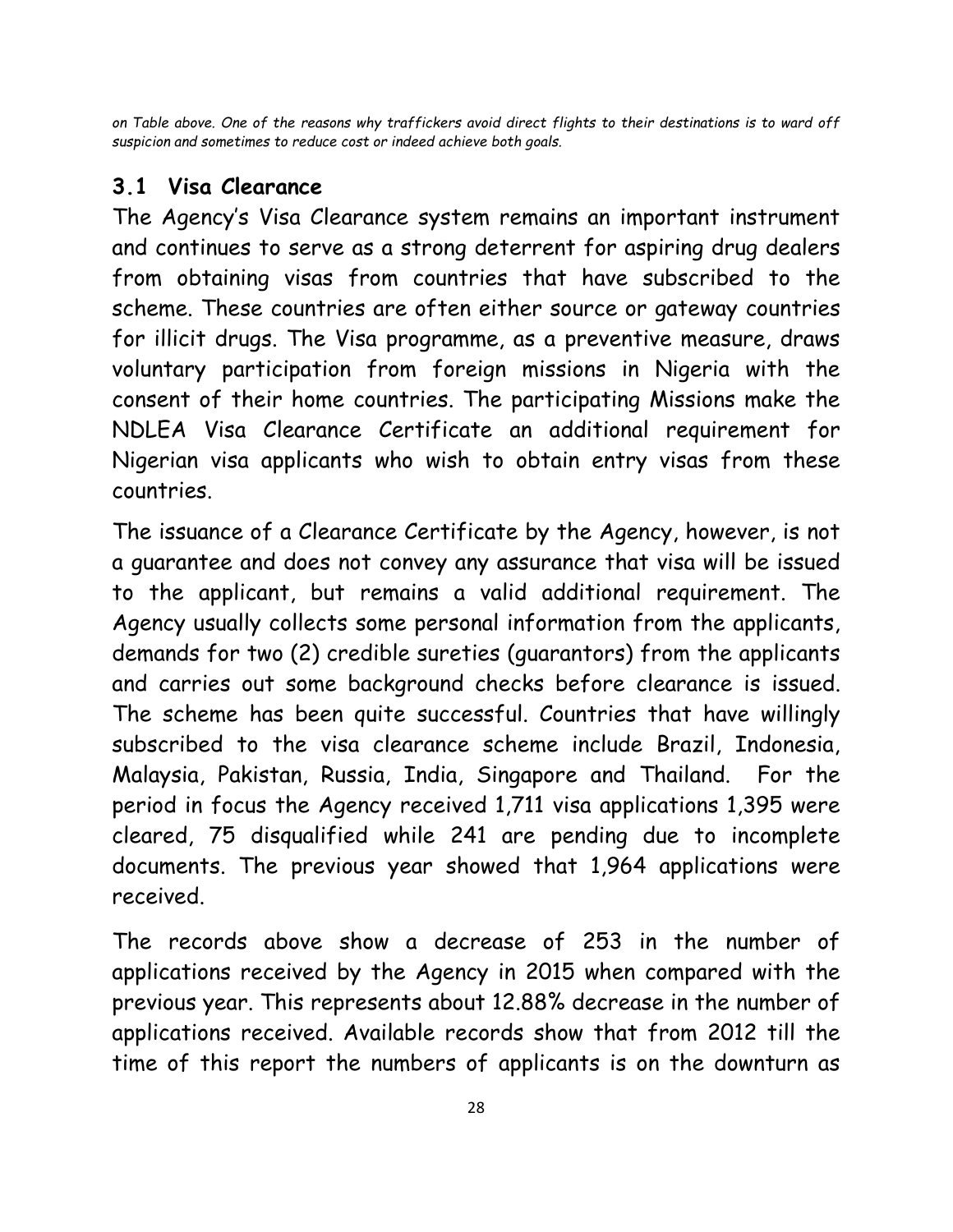*on Table above. One of the reasons why traffickers avoid direct flights to their destinations is to ward off suspicion and sometimes to reduce cost or indeed achieve both goals.* 

#### **3.1 Visa Clearance**

The Agency's Visa Clearance system remains an important instrument and continues to serve as a strong deterrent for aspiring drug dealers from obtaining visas from countries that have subscribed to the scheme. These countries are often either source or gateway countries for illicit drugs. The Visa programme, as a preventive measure, draws voluntary participation from foreign missions in Nigeria with the consent of their home countries. The participating Missions make the NDLEA Visa Clearance Certificate an additional requirement for Nigerian visa applicants who wish to obtain entry visas from these countries.

The issuance of a Clearance Certificate by the Agency, however, is not a guarantee and does not convey any assurance that visa will be issued to the applicant, but remains a valid additional requirement. The Agency usually collects some personal information from the applicants, demands for two (2) credible sureties (guarantors) from the applicants and carries out some background checks before clearance is issued. The scheme has been quite successful. Countries that have willingly subscribed to the visa clearance scheme include Brazil, Indonesia, Malaysia, Pakistan, Russia, India, Singapore and Thailand. For the period in focus the Agency received 1,711 visa applications 1,395 were cleared, 75 disqualified while 241 are pending due to incomplete documents. The previous year showed that 1,964 applications were received.

The records above show a decrease of 253 in the number of applications received by the Agency in 2015 when compared with the previous year. This represents about 12.88% decrease in the number of applications received. Available records show that from 2012 till the time of this report the numbers of applicants is on the downturn as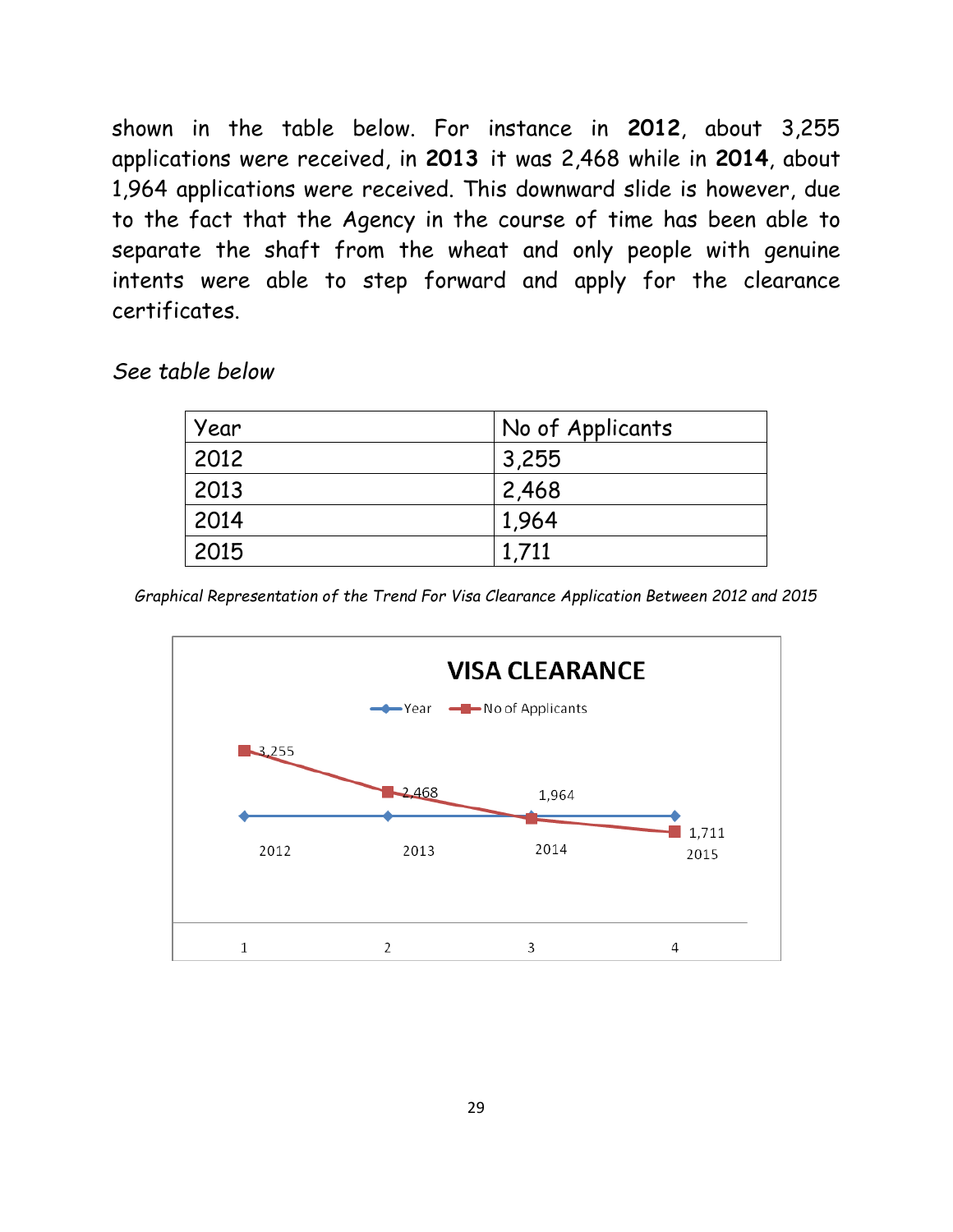shown in the table below. For instance in **2012**, about 3,255 applications were received, in **2013** it was 2,468 while in **2014**, about 1,964 applications were received. This downward slide is however, due to the fact that the Agency in the course of time has been able to separate the shaft from the wheat and only people with genuine intents were able to step forward and apply for the clearance certificates.

#### *See table below*

| Year | No of Applicants |
|------|------------------|
| 2012 | 3,255            |
| 2013 | 2,468            |
| 2014 | 1,964            |
| 2015 | 1.711            |

*Graphical Representation of the Trend For Visa Clearance Application Between 2012 and 2015*

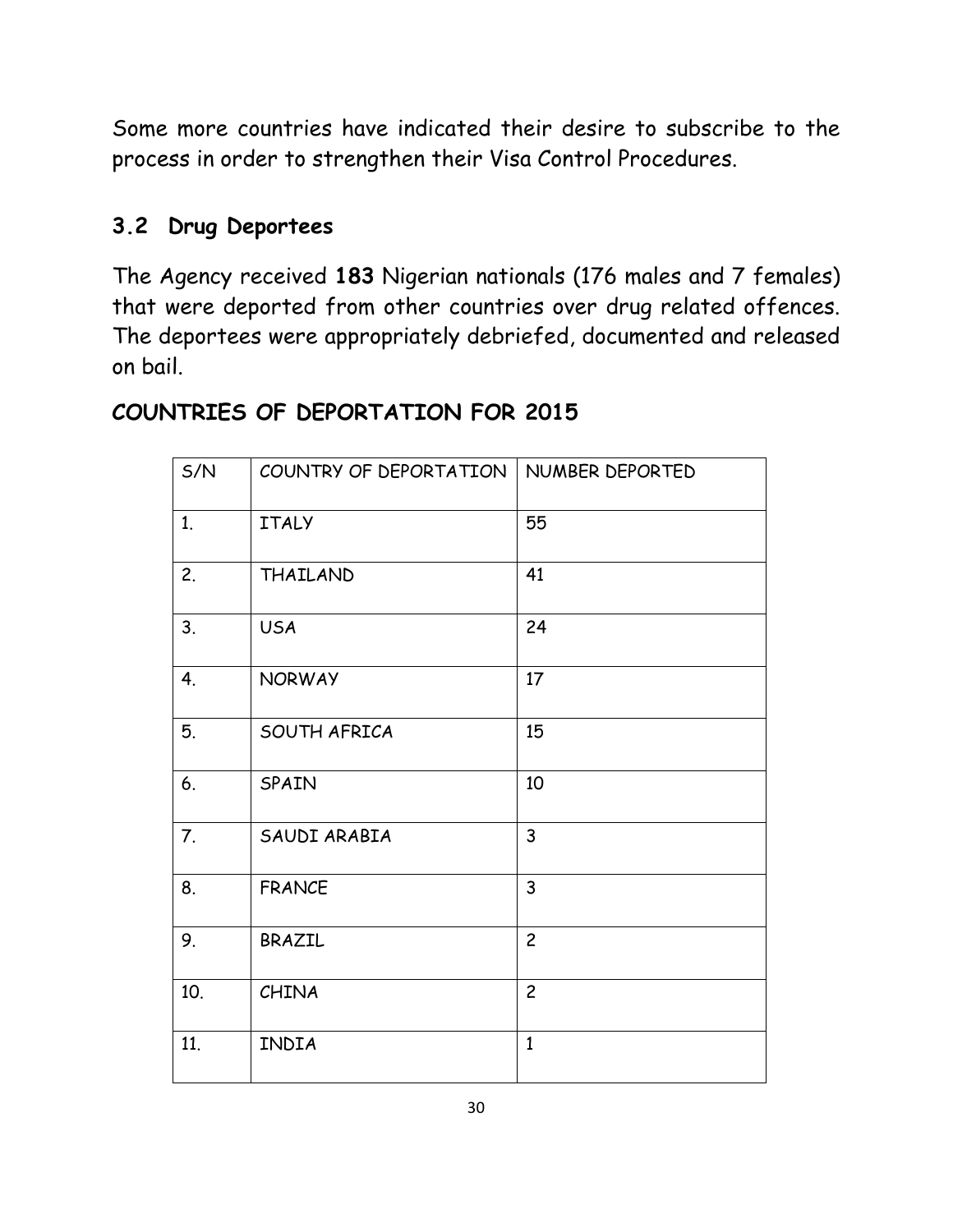Some more countries have indicated their desire to subscribe to the process in order to strengthen their Visa Control Procedures.

### **3.2 Drug Deportees**

The Agency received **183** Nigerian nationals (176 males and 7 females) that were deported from other countries over drug related offences. The deportees were appropriately debriefed, documented and released on bail.

## S/N COUNTRY OF DEPORTATION | NUMBER DEPORTED 1. ITALY 55 2. THAILAND 41 3. USA 24 4. NORWAY 17 5. SOUTH AFRICA 15 6. SPAIN 10 7. SAUDI ARABIA 3 8. FRANCE 3 9. BRAZIL 2 10. CHINA 2 11. INDIA 1

#### **COUNTRIES OF DEPORTATION FOR 2015**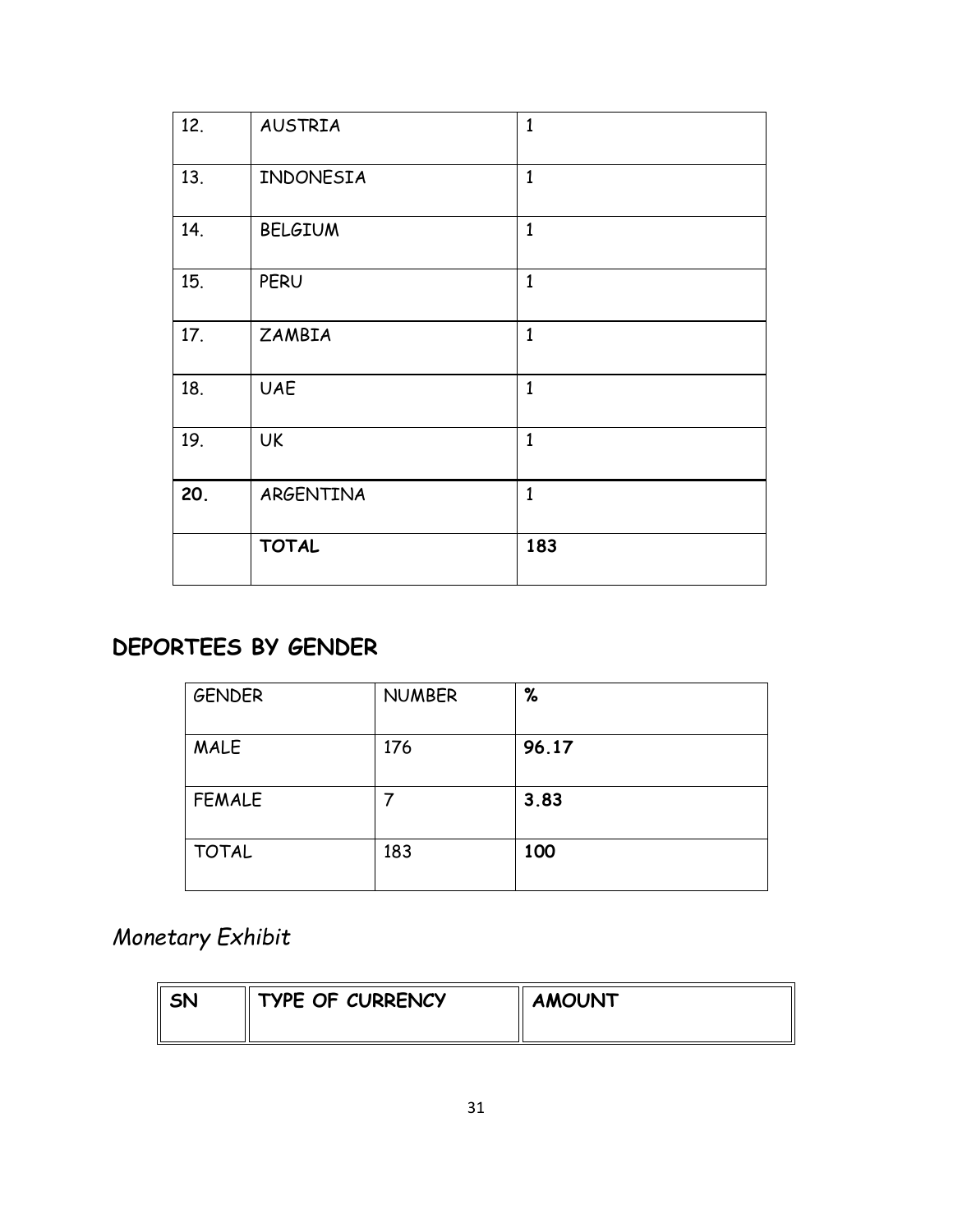| 12. | <b>AUSTRIA</b> | $\mathbf{1}$   |
|-----|----------------|----------------|
| 13. | INDONESIA      | $\mathbf{1}$   |
| 14. | <b>BELGIUM</b> | $\mathbf{1}$   |
| 15. | PERU           | $\overline{1}$ |
| 17. | ZAMBIA         | $\mathbf{1}$   |
| 18. | <b>UAE</b>     | $\mathbf{1}$   |
| 19. | <b>UK</b>      | $\mathbf{1}$   |
| 20. | ARGENTINA      | $\mathbf{1}$   |
|     | <b>TOTAL</b>   | 183            |

## **DEPORTEES BY GENDER**

| <b>GENDER</b> | <b>NUMBER</b> | %     |
|---------------|---------------|-------|
| <b>MALE</b>   | 176           | 96.17 |
| <b>FEMALE</b> |               | 3.83  |
| <b>TOTAL</b>  | 183           | 100   |

## *Monetary Exhibit*

| SN | TYPE OF CURRENCY | <b>AMOUNT</b> |
|----|------------------|---------------|
|    |                  |               |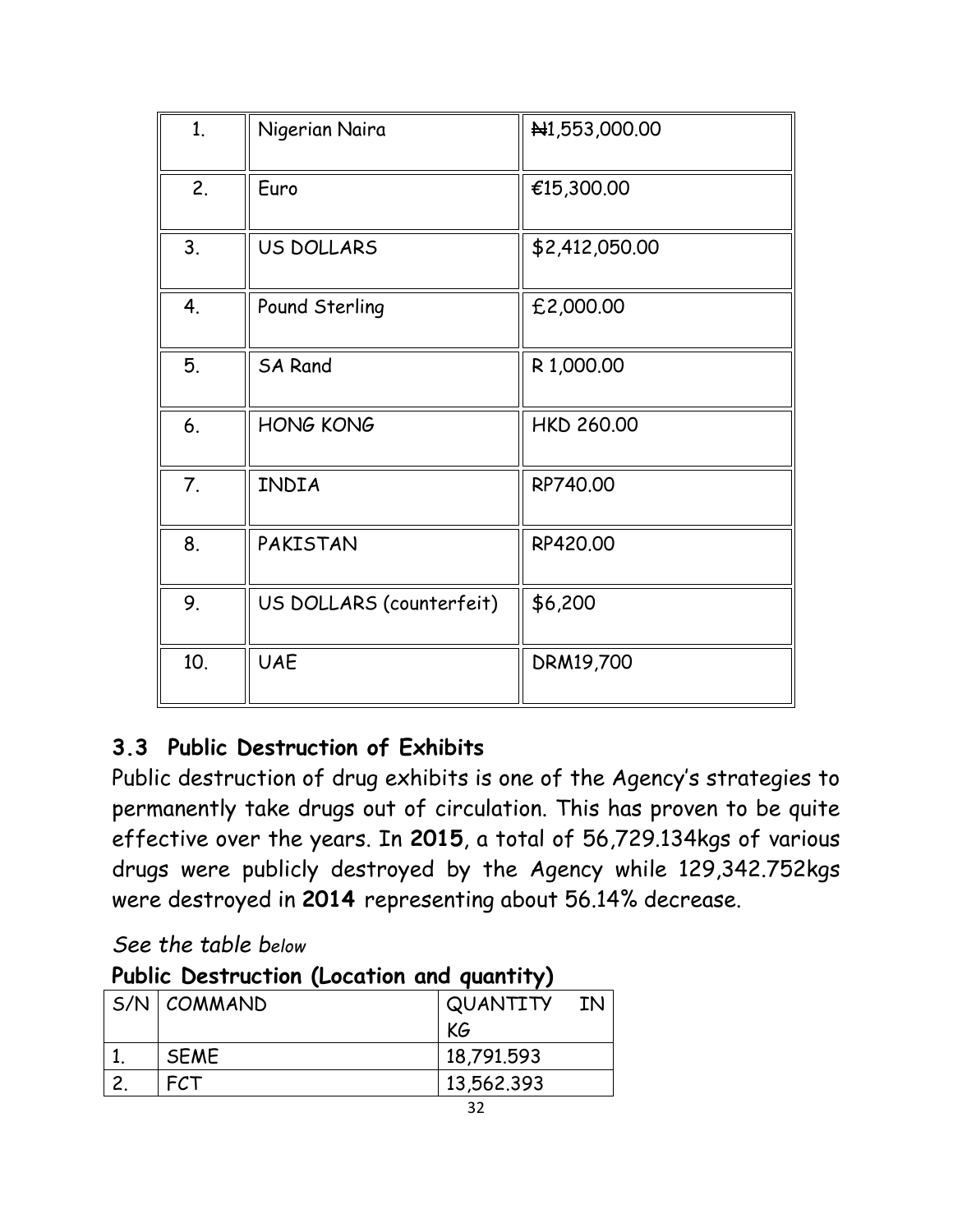| 1 <sub>1</sub> | Nigerian Naira           | N <sub>1</sub> ,553,000.00 |
|----------------|--------------------------|----------------------------|
| 2.             | Euro                     | €15,300.00                 |
| 3.             | US DOLLARS               | \$2,412,050.00             |
| 4.             | Pound Sterling           | £2,000.00                  |
| 5.             | <b>SA Rand</b>           | R 1,000.00                 |
| 6.             | <b>HONG KONG</b>         | <b>HKD 260.00</b>          |
| 7.             | INDIA                    | RP740.00                   |
| 8.             | PAKISTAN                 | RP420.00                   |
| 9.             | US DOLLARS (counterfeit) | \$6,200                    |
| 10.            | <b>UAE</b>               | DRM19,700                  |

## **3.3 Public Destruction of Exhibits**

Public destruction of drug exhibits is one of the Agency's strategies to permanently take drugs out of circulation. This has proven to be quite effective over the years. In **2015**, a total of 56,729.134kgs of various drugs were publicly destroyed by the Agency while 129,342.752kgs were destroyed in **2014** representing about 56.14% decrease.

*See the table below*

| Public Destruction (Location and quantity) |                 |             |  |  |
|--------------------------------------------|-----------------|-------------|--|--|
|                                            | $SNN$ $COMMAND$ | QUANTITY IN |  |  |
|                                            |                 | KG          |  |  |
|                                            | <b>SEME</b>     | 18,791.593  |  |  |
|                                            | <b>FCT</b>      | 13,562.393  |  |  |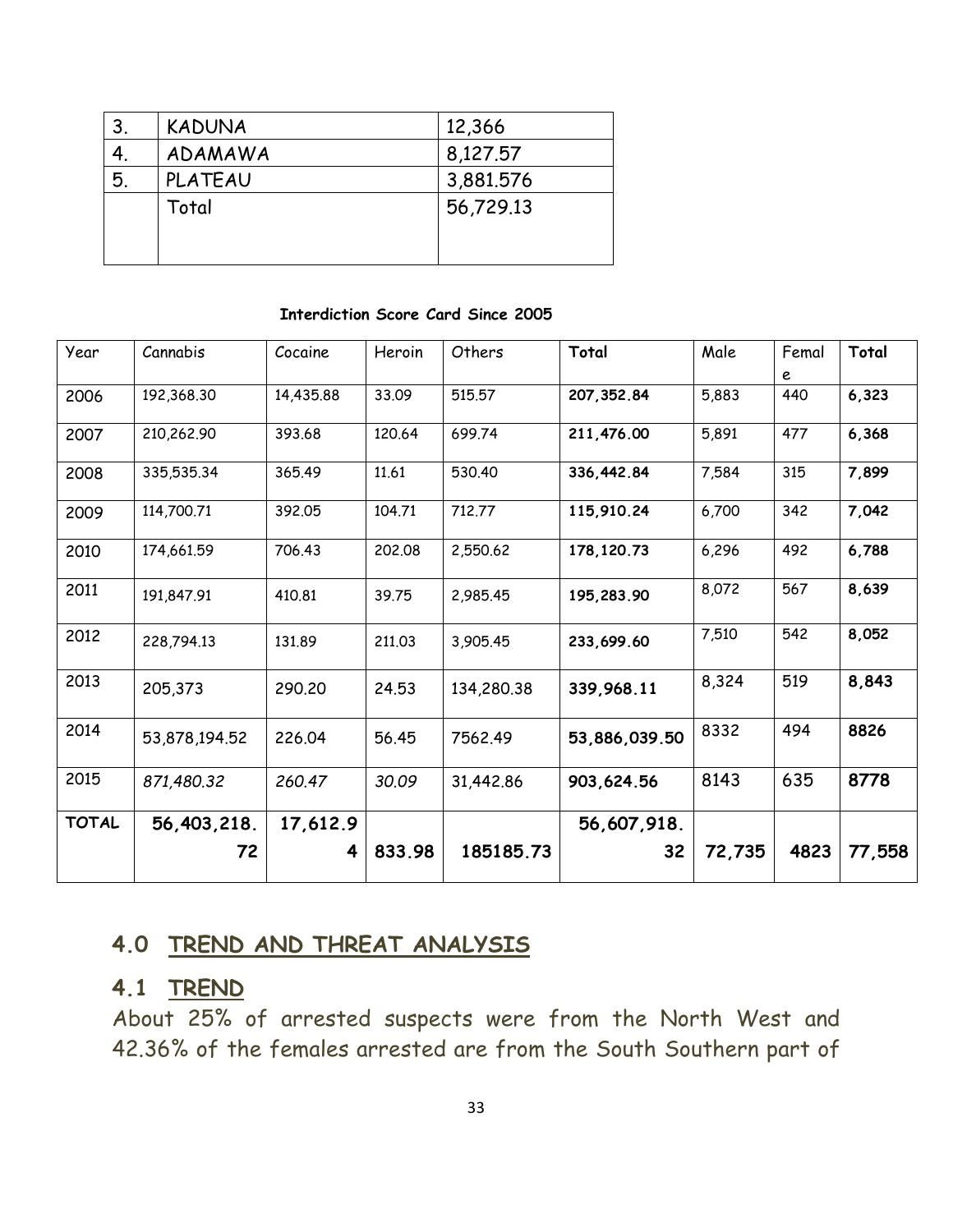| 3. | <b>KADUNA</b> | 12,366    |
|----|---------------|-----------|
|    | ADAMAWA       | 8,127.57  |
| 5. | PLATEAU       | 3,881.576 |
|    | Total         | 56,729.13 |

#### **Interdiction Score Card Since 2005**

| Year         | Cannabis      | Cocaine   | Heroin | Others     | Total         | Male   | Femal | Total  |
|--------------|---------------|-----------|--------|------------|---------------|--------|-------|--------|
|              |               |           |        |            |               |        | e     |        |
| 2006         | 192,368.30    | 14,435.88 | 33.09  | 515.57     | 207, 352.84   | 5,883  | 440   | 6,323  |
| 2007         | 210,262.90    | 393.68    | 120.64 | 699.74     | 211,476.00    | 5,891  | 477   | 6,368  |
| 2008         | 335,535.34    | 365.49    | 11.61  | 530.40     | 336,442.84    | 7,584  | 315   | 7,899  |
| 2009         | 114,700.71    | 392.05    | 104.71 | 712.77     | 115,910.24    | 6,700  | 342   | 7,042  |
| 2010         | 174,661.59    | 706.43    | 202.08 | 2,550.62   | 178, 120.73   | 6,296  | 492   | 6,788  |
| 2011         | 191,847.91    | 410.81    | 39.75  | 2,985.45   | 195,283.90    | 8,072  | 567   | 8,639  |
| 2012         | 228,794.13    | 131.89    | 211.03 | 3,905.45   | 233,699.60    | 7,510  | 542   | 8,052  |
| 2013         | 205,373       | 290,20    | 24.53  | 134,280.38 | 339,968.11    | 8,324  | 519   | 8,843  |
| 2014         | 53,878,194.52 | 226,04    | 56.45  | 7562.49    | 53,886,039.50 | 8332   | 494   | 8826   |
| 2015         | 871,480.32    | 260.47    | 30.09  | 31,442.86  | 903,624.56    | 8143   | 635   | 8778   |
| <b>TOTAL</b> | 56,403,218.   | 17,612.9  |        |            | 56,607,918.   |        |       |        |
|              | 72            | 4         | 833.98 | 185185.73  | 32            | 72,735 | 4823  | 77,558 |

#### **4.0 TREND AND THREAT ANALYSIS**

#### **4.1 TREND**

About 25% of arrested suspects were from the North West and 42.36% of the females arrested are from the South Southern part of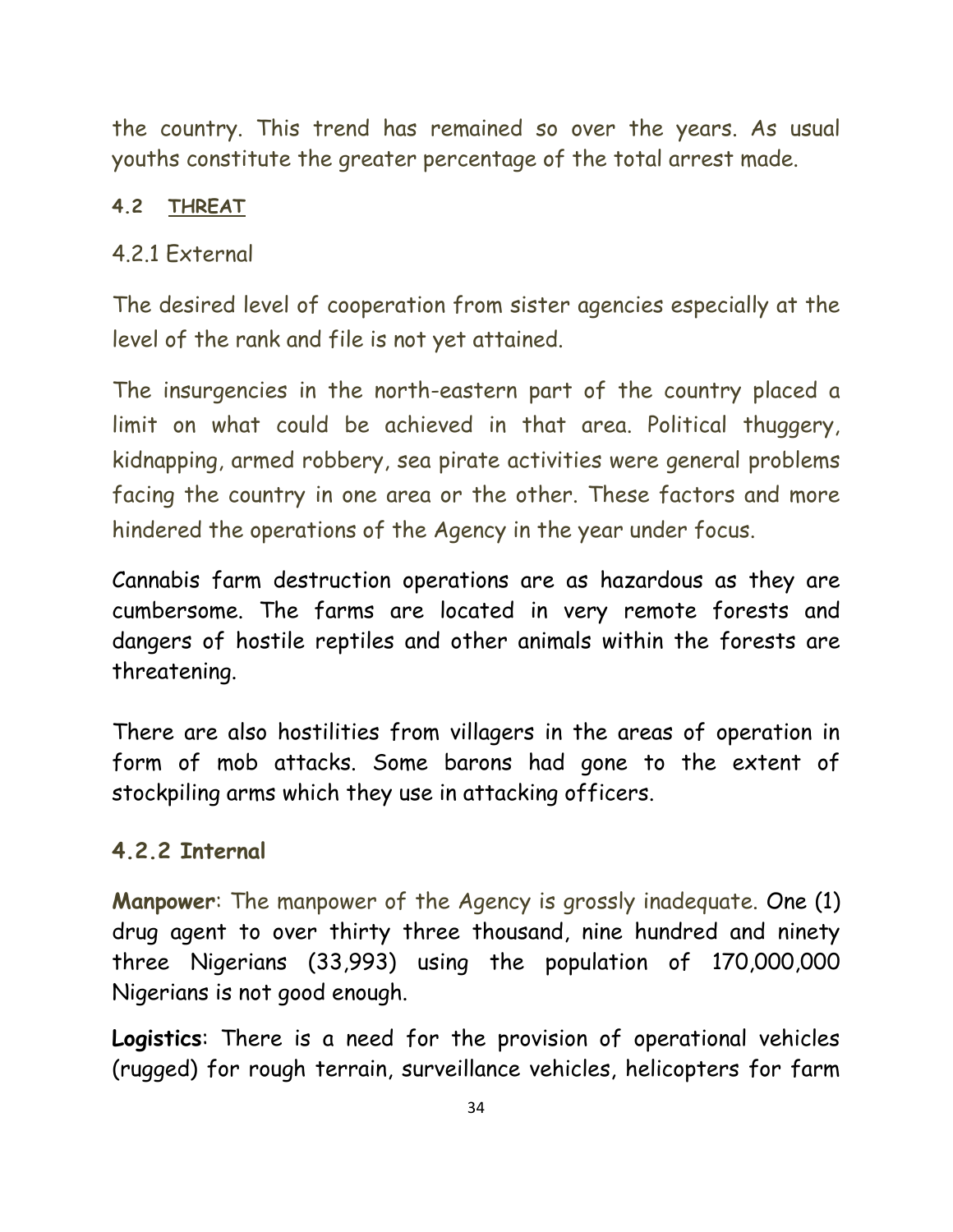the country. This trend has remained so over the years. As usual youths constitute the greater percentage of the total arrest made.

#### **4.2 THREAT**

#### 4.2.1 External

The desired level of cooperation from sister agencies especially at the level of the rank and file is not yet attained.

The insurgencies in the north-eastern part of the country placed a limit on what could be achieved in that area. Political thuggery, kidnapping, armed robbery, sea pirate activities were general problems facing the country in one area or the other. These factors and more hindered the operations of the Agency in the year under focus.

Cannabis farm destruction operations are as hazardous as they are cumbersome. The farms are located in very remote forests and dangers of hostile reptiles and other animals within the forests are threatening.

There are also hostilities from villagers in the areas of operation in form of mob attacks. Some barons had gone to the extent of stockpiling arms which they use in attacking officers.

#### **4.2.2 Internal**

**Manpower**: The manpower of the Agency is grossly inadequate. One (1) drug agent to over thirty three thousand, nine hundred and ninety three Nigerians (33,993) using the population of 170,000,000 Nigerians is not good enough.

**Logistics**: There is a need for the provision of operational vehicles (rugged) for rough terrain, surveillance vehicles, helicopters for farm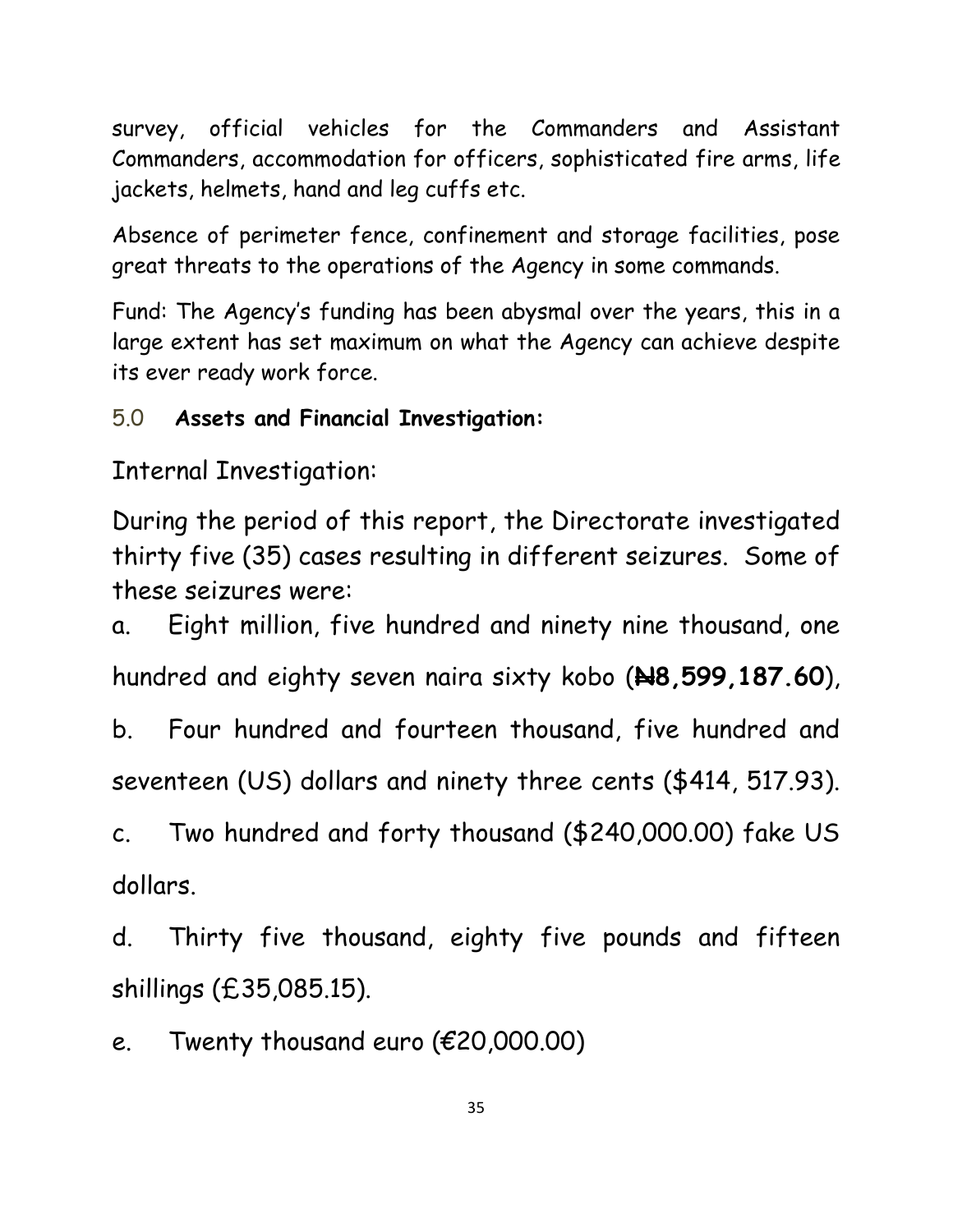survey, official vehicles for the Commanders and Assistant Commanders, accommodation for officers, sophisticated fire arms, life jackets, helmets, hand and leg cuffs etc.

Absence of perimeter fence, confinement and storage facilities, pose great threats to the operations of the Agency in some commands.

Fund: The Agency's funding has been abysmal over the years, this in a large extent has set maximum on what the Agency can achieve despite its ever ready work force.

### 5.0 **Assets and Financial Investigation:**

Internal Investigation:

During the period of this report, the Directorate investigated thirty five (35) cases resulting in different seizures. Some of these seizures were:

a. Eight million, five hundred and ninety nine thousand, one hundred and eighty seven naira sixty kobo (**N8,599,187.60**),

b. Four hundred and fourteen thousand, five hundred and seventeen (US) dollars and ninety three cents (\$414, 517.93).

c. Two hundred and forty thousand (\$240,000.00) fake US dollars.

d. Thirty five thousand, eighty five pounds and fifteen shillings (£35,085.15).

e. Twenty thousand euro (€20,000.00)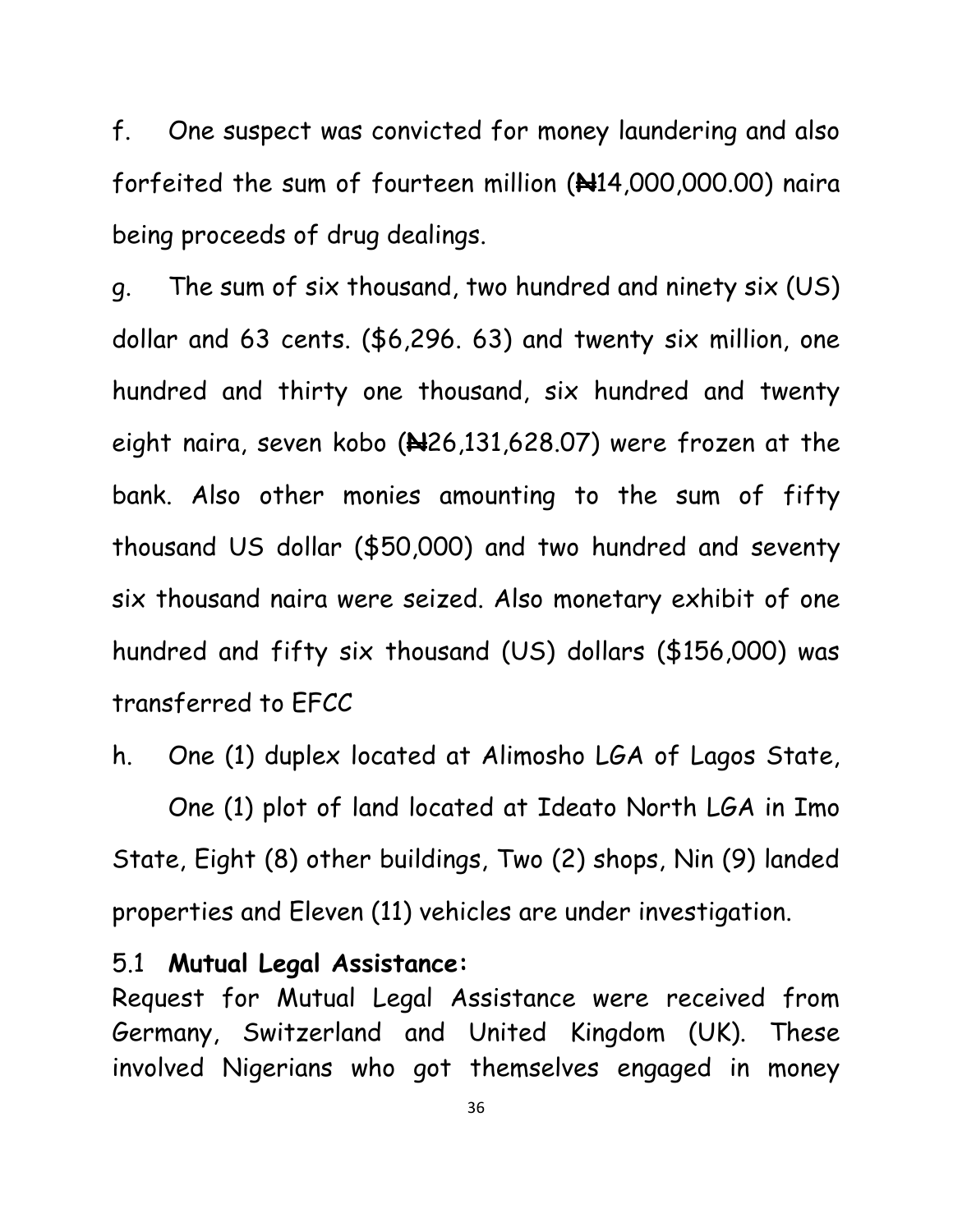f. One suspect was convicted for money laundering and also forfeited the sum of fourteen million (**N**14,000,000.00) naira being proceeds of drug dealings.

g. The sum of six thousand, two hundred and ninety six (US) dollar and 63 cents. (\$6,296. 63) and twenty six million, one hundred and thirty one thousand, six hundred and twenty eight naira, seven kobo (**N**26,131,628.07) were frozen at the bank. Also other monies amounting to the sum of fifty thousand US dollar (\$50,000) and two hundred and seventy six thousand naira were seized. Also monetary exhibit of one hundred and fifty six thousand (US) dollars (\$156,000) was transferred to EFCC

h. One (1) duplex located at Alimosho LGA of Lagos State, One (1) plot of land located at Ideato North LGA in Imo State, Eight (8) other buildings, Two (2) shops, Nin (9) landed properties and Eleven (11) vehicles are under investigation.

#### 5.1 **Mutual Legal Assistance:**

Request for Mutual Legal Assistance were received from Germany, Switzerland and United Kingdom (UK). These involved Nigerians who got themselves engaged in money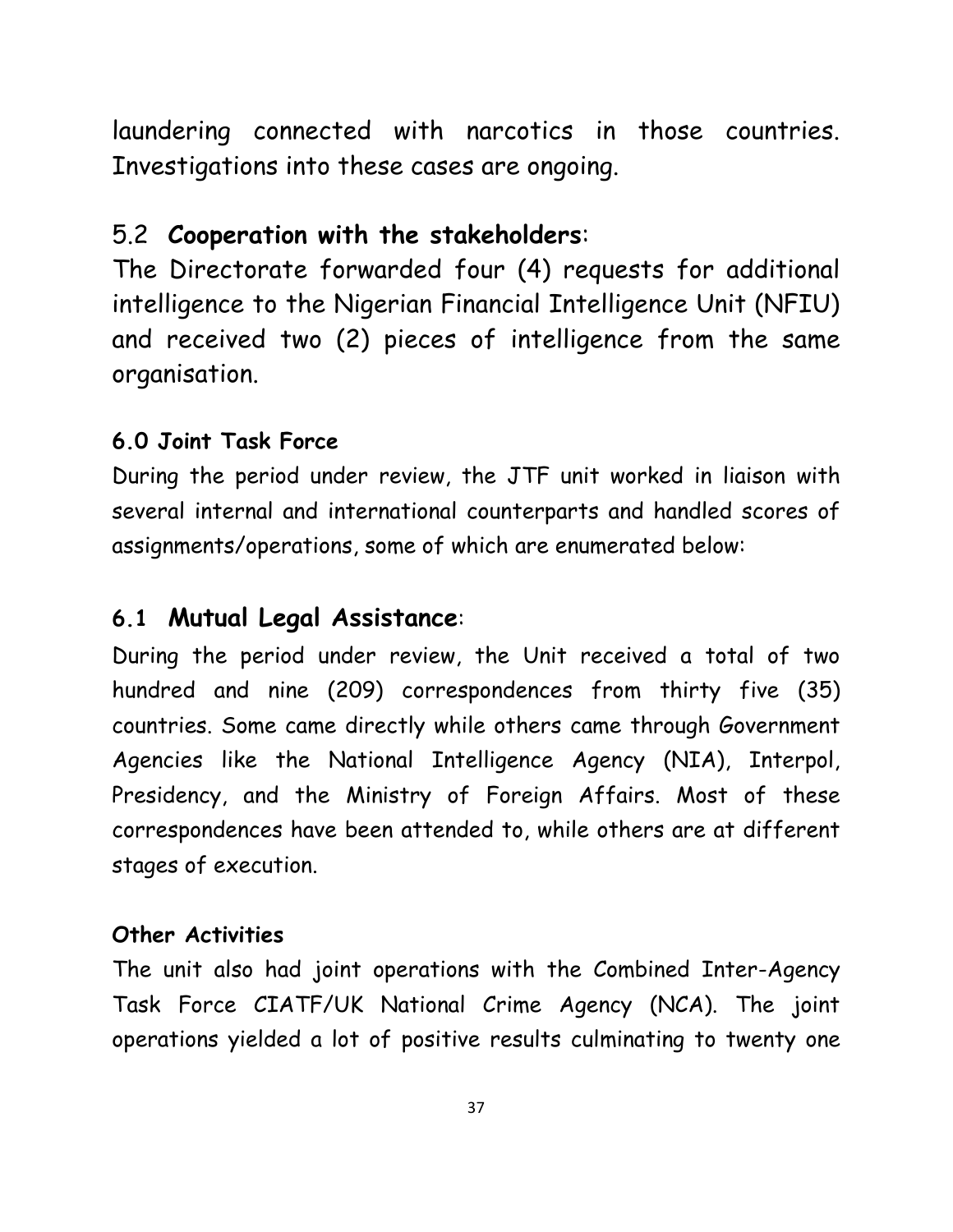laundering connected with narcotics in those countries. Investigations into these cases are ongoing.

### 5.2 **Cooperation with the stakeholders**:

The Directorate forwarded four (4) requests for additional intelligence to the Nigerian Financial Intelligence Unit (NFIU) and received two (2) pieces of intelligence from the same organisation.

#### **6.0 Joint Task Force**

During the period under review, the JTF unit worked in liaison with several internal and international counterparts and handled scores of assignments/operations, some of which are enumerated below:

### **6.1 Mutual Legal Assistance**:

During the period under review, the Unit received a total of two hundred and nine (209) correspondences from thirty five (35) countries. Some came directly while others came through Government Agencies like the National Intelligence Agency (NIA), Interpol, Presidency, and the Ministry of Foreign Affairs. Most of these correspondences have been attended to, while others are at different stages of execution.

#### **Other Activities**

The unit also had joint operations with the Combined Inter-Agency Task Force CIATF/UK National Crime Agency (NCA). The joint operations yielded a lot of positive results culminating to twenty one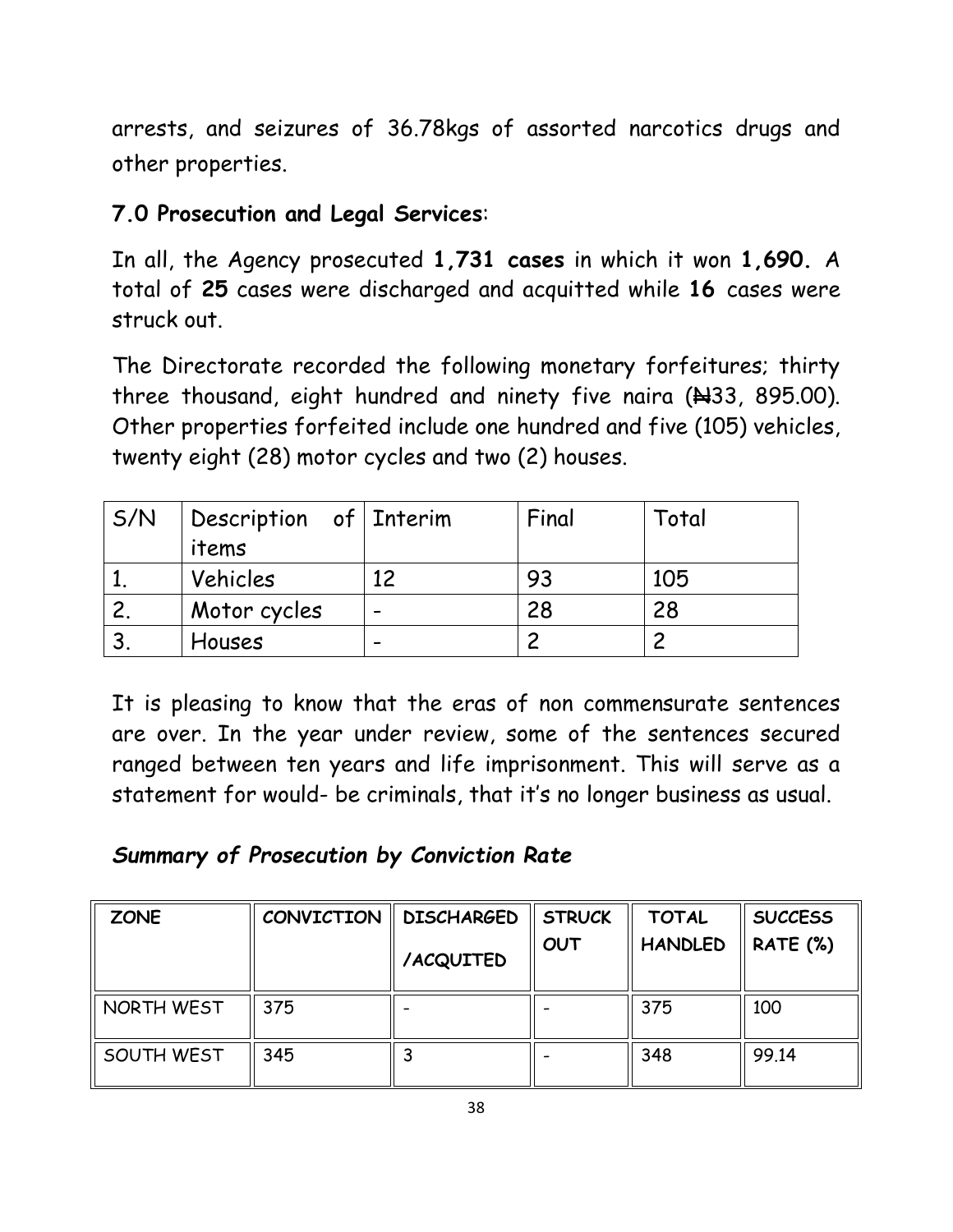arrests, and seizures of 36.78kgs of assorted narcotics drugs and other properties.

### **7.0 Prosecution and Legal Services**:

In all, the Agency prosecuted **1,731 cases** in which it won **1,690.** A total of **25** cases were discharged and acquitted while **16** cases were struck out.

The Directorate recorded the following monetary forfeitures; thirty three thousand, eight hundred and ninety five naira  $(A33, 895.00)$ . Other properties forfeited include one hundred and five (105) vehicles, twenty eight (28) motor cycles and two (2) houses.

| S/N | Description of Interim |    | Final | Total |
|-----|------------------------|----|-------|-------|
|     | items                  |    |       |       |
|     | Vehicles               | 12 | 93    | 105   |
|     | Motor cycles           |    | 28    | 28    |
|     | Houses                 |    |       |       |

It is pleasing to know that the eras of non commensurate sentences are over. In the year under review, some of the sentences secured ranged between ten years and life imprisonment. This will serve as a statement for would- be criminals, that it's no longer business as usual.

### *Summary of Prosecution by Conviction Rate*

| <b>ZONE</b> | CONVICTION | <b>DISCHARGED</b> | <b>STRUCK</b> | <b>TOTAL</b>   | <b>SUCCESS</b>  |
|-------------|------------|-------------------|---------------|----------------|-----------------|
|             |            | /ACQUITED         | OUT           | <b>HANDLED</b> | <b>RATE (%)</b> |
| NORTH WEST  | 375        |                   |               | 375            | 100             |
| SOUTH WEST  | 345        |                   |               | 348            | 99.14           |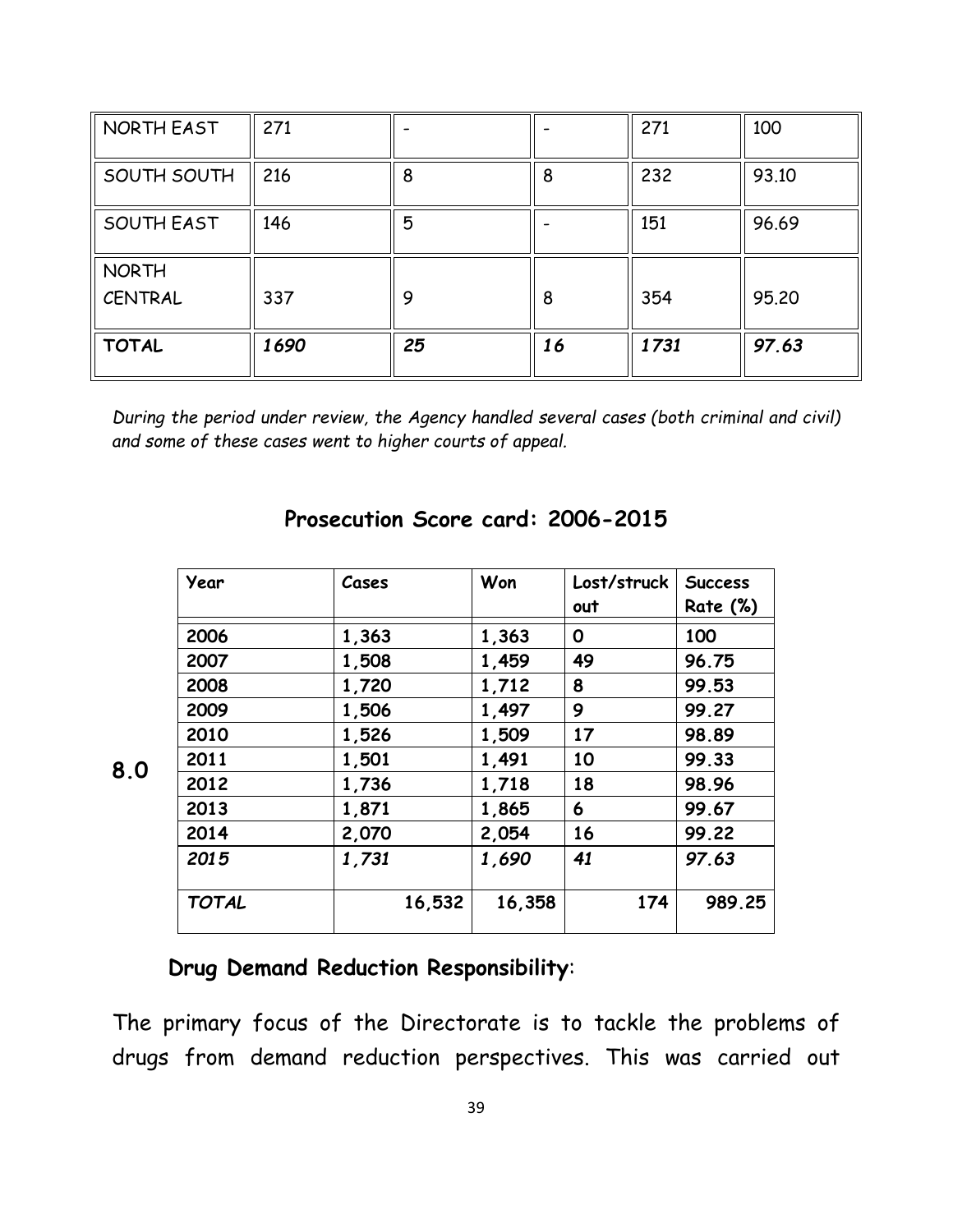| NORTH EAST        | 271  |    |    | 271  | 100   |
|-------------------|------|----|----|------|-------|
| SOUTH SOUTH       | 216  | 8  | 8  | 232  | 93.10 |
| <b>SOUTH EAST</b> | 146  | 5  |    | 151  | 96.69 |
| <b>NORTH</b>      |      |    |    |      |       |
| CENTRAL           | 337  | 9  | 8  | 354  | 95.20 |
| <b>TOTAL</b>      | 1690 | 25 | 16 | 1731 | 97.63 |

*During the period under review, the Agency handled several cases (both criminal and civil) and some of these cases went to higher courts of appeal.*

| Year         | Cases  | Won    | Lost/struck | <b>Success</b>  |
|--------------|--------|--------|-------------|-----------------|
|              |        |        | out         | <b>Rate (%)</b> |
| 2006         | 1,363  | 1,363  | O           | 100             |
| 2007         | 1,508  | 1,459  | 49          | 96.75           |
| 2008         | 1,720  | 1,712  | 8           | 99.53           |
| 2009         | 1,506  | 1,497  | 9           | 99.27           |
| 2010         | 1,526  | 1,509  | 17          | 98.89           |
| 2011         | 1,501  | 1,491  | 10          | 99.33           |
| 2012         | 1,736  | 1,718  | 18          | 98.96           |
| 2013         | 1,871  | 1,865  | 6           | 99.67           |
| 2014         | 2,070  | 2,054  | 16          | 99.22           |
| 2015         | 1,731  | 1,690  | 41          | 97.63           |
| <b>TOTAL</b> | 16,532 | 16,358 | 174         | 989.25          |

#### **Prosecution Score card: 2006-2015**

#### **Drug Demand Reduction Responsibility**:

**8.0**

The primary focus of the Directorate is to tackle the problems of drugs from demand reduction perspectives. This was carried out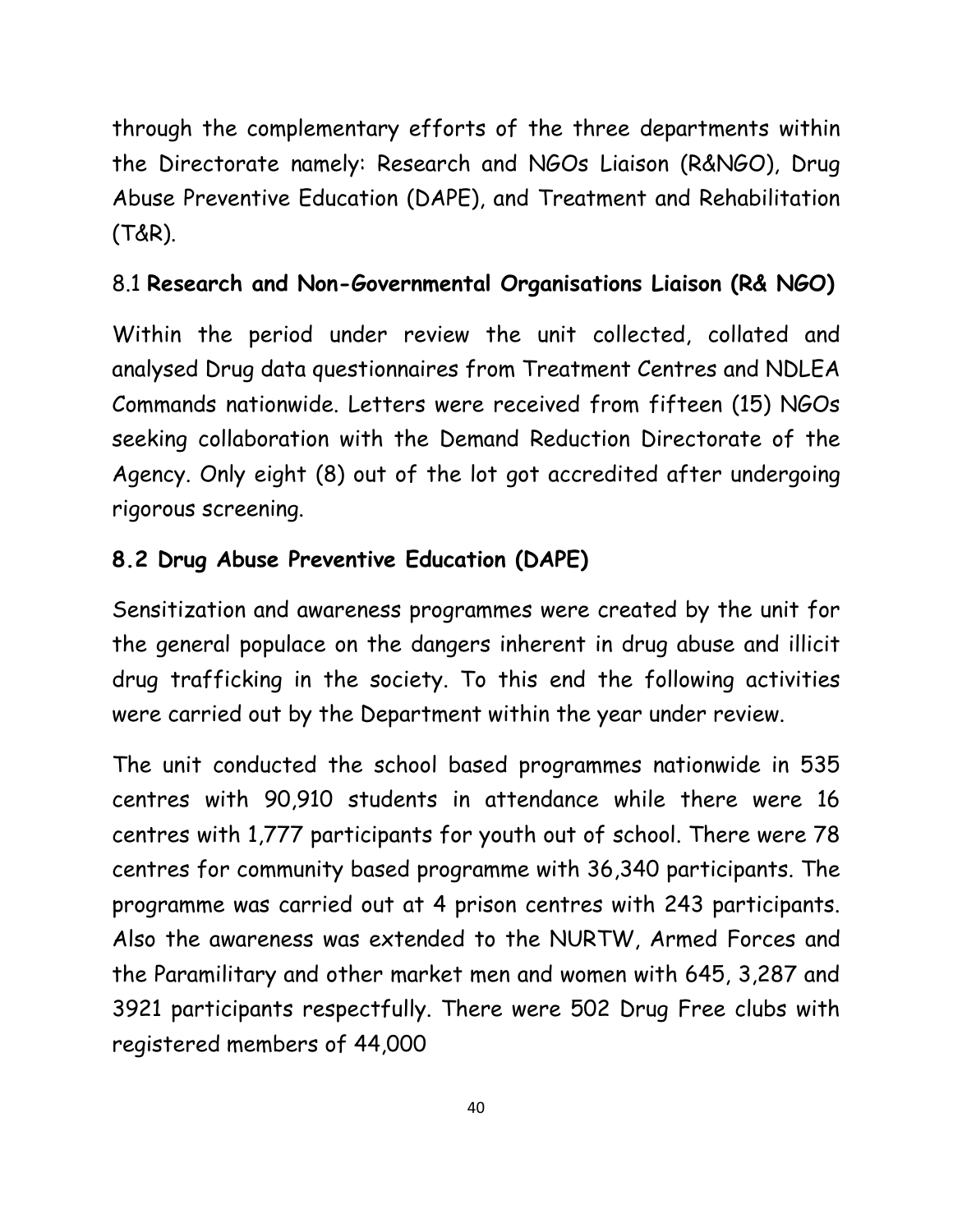through the complementary efforts of the three departments within the Directorate namely: Research and NGOs Liaison (R&NGO), Drug Abuse Preventive Education (DAPE), and Treatment and Rehabilitation (T&R).

## 8.1 **Research and Non-Governmental Organisations Liaison (R& NGO)**

Within the period under review the unit collected, collated and analysed Drug data questionnaires from Treatment Centres and NDLEA Commands nationwide. Letters were received from fifteen (15) NGOs seeking collaboration with the Demand Reduction Directorate of the Agency. Only eight (8) out of the lot got accredited after undergoing rigorous screening.

## **8.2 Drug Abuse Preventive Education (DAPE)**

Sensitization and awareness programmes were created by the unit for the general populace on the dangers inherent in drug abuse and illicit drug trafficking in the society. To this end the following activities were carried out by the Department within the year under review.

The unit conducted the school based programmes nationwide in 535 centres with 90,910 students in attendance while there were 16 centres with 1,777 participants for youth out of school. There were 78 centres for community based programme with 36,340 participants. The programme was carried out at 4 prison centres with 243 participants. Also the awareness was extended to the NURTW, Armed Forces and the Paramilitary and other market men and women with 645, 3,287 and 3921 participants respectfully. There were 502 Drug Free clubs with registered members of 44,000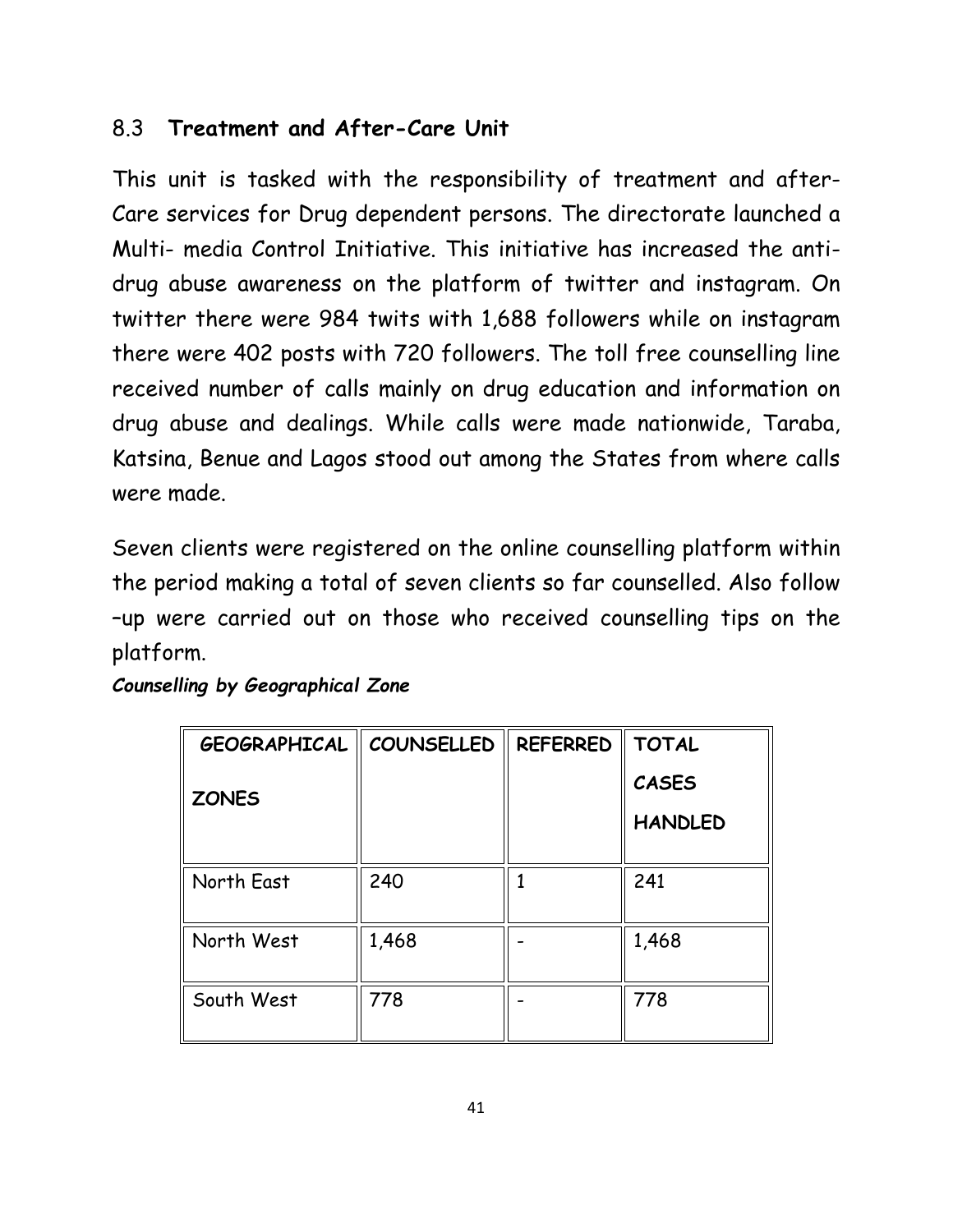### 8.3 **Treatment and After-Care Unit**

This unit is tasked with the responsibility of treatment and after-Care services for Drug dependent persons. The directorate launched a Multi- media Control Initiative. This initiative has increased the antidrug abuse awareness on the platform of twitter and instagram. On twitter there were 984 twits with 1,688 followers while on instagram there were 402 posts with 720 followers. The toll free counselling line received number of calls mainly on drug education and information on drug abuse and dealings. While calls were made nationwide, Taraba, Katsina, Benue and Lagos stood out among the States from where calls were made.

Seven clients were registered on the online counselling platform within the period making a total of seven clients so far counselled. Also follow –up were carried out on those who received counselling tips on the platform.

| <b>GEOGRAPHICAL   COUNSELLED</b> |       | <b>REFERRED</b> | <b>TOTAL</b>   |
|----------------------------------|-------|-----------------|----------------|
| <b>ZONES</b>                     |       |                 | <b>CASES</b>   |
|                                  |       |                 | <b>HANDLED</b> |
| North East                       | 240   |                 | 241            |
| North West                       | 1,468 |                 | 1,468          |
| South West                       | 778   |                 | 778            |

#### *Counselling by Geographical Zone*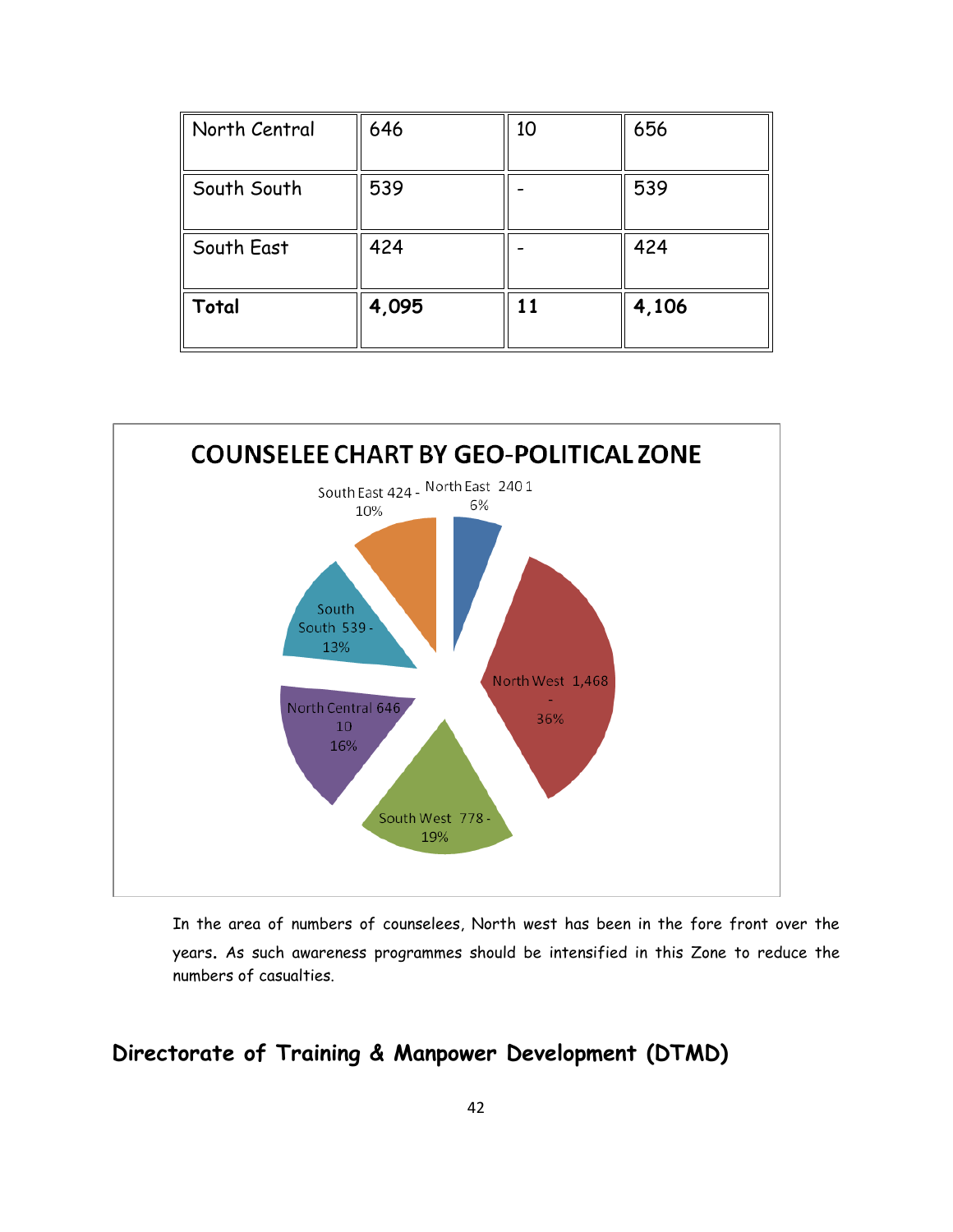| North Central | 646   | 10 | 656   |
|---------------|-------|----|-------|
| South South   | 539   |    | 539   |
| South East    | 424   |    | 424   |
| Total         | 4,095 | 11 | 4,106 |



In the area of numbers of counselees, North west has been in the fore front over the years. As such awareness programmes should be intensified in this Zone to reduce the numbers of casualties.

#### **Directorate of Training & Manpower Development (DTMD)**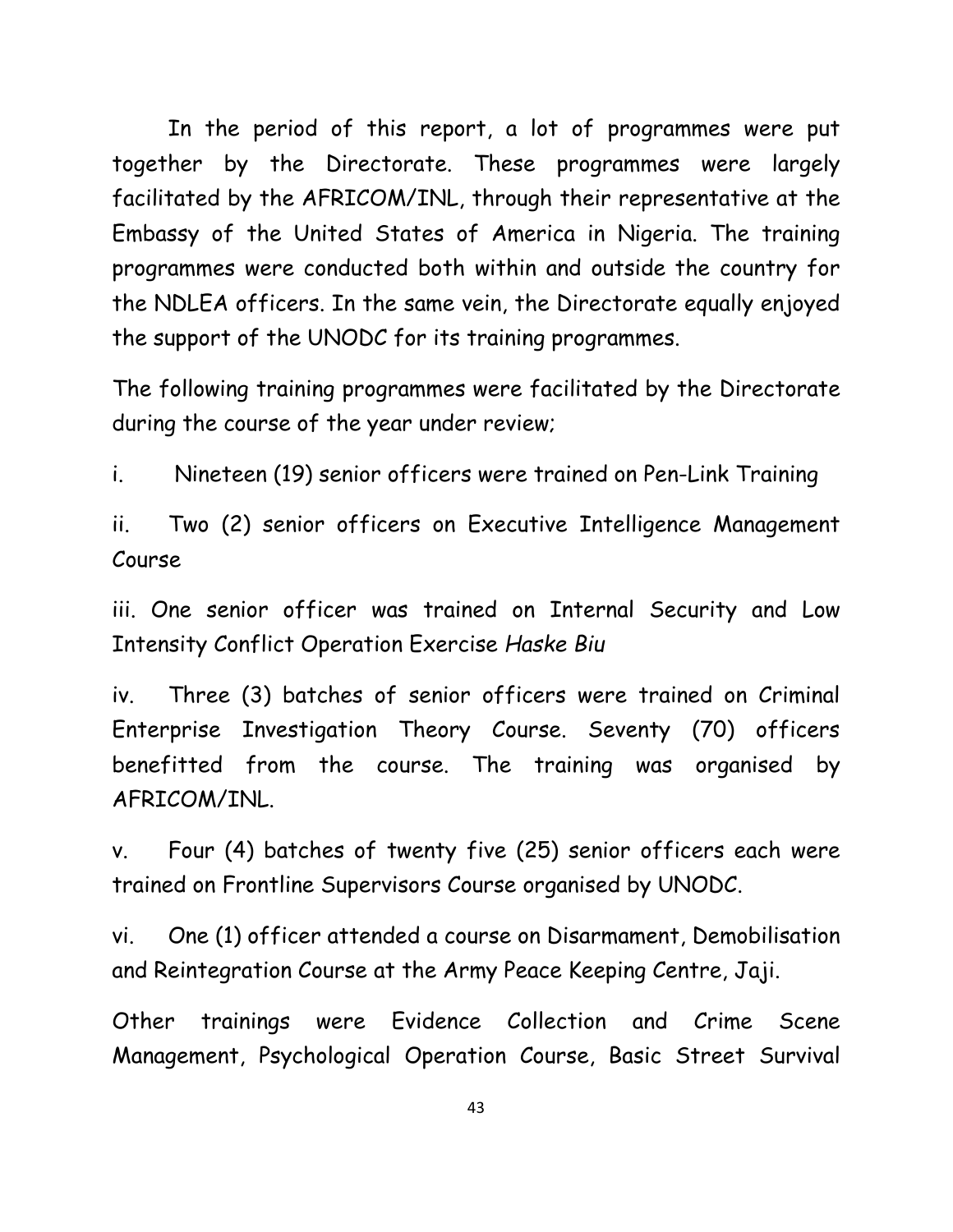In the period of this report, a lot of programmes were put together by the Directorate. These programmes were largely facilitated by the AFRICOM/INL, through their representative at the Embassy of the United States of America in Nigeria. The training programmes were conducted both within and outside the country for the NDLEA officers. In the same vein, the Directorate equally enjoyed the support of the UNODC for its training programmes.

The following training programmes were facilitated by the Directorate during the course of the year under review;

i. Nineteen (19) senior officers were trained on Pen-Link Training

ii. Two (2) senior officers on Executive Intelligence Management Course

iii. One senior officer was trained on Internal Security and Low Intensity Conflict Operation Exercise *Haske Biu*

iv. Three (3) batches of senior officers were trained on Criminal Enterprise Investigation Theory Course. Seventy (70) officers benefitted from the course. The training was organised by AFRICOM/INL.

v. Four (4) batches of twenty five (25) senior officers each were trained on Frontline Supervisors Course organised by UNODC.

vi. One (1) officer attended a course on Disarmament, Demobilisation and Reintegration Course at the Army Peace Keeping Centre, Jaji.

Other trainings were Evidence Collection and Crime Scene Management, Psychological Operation Course, Basic Street Survival

43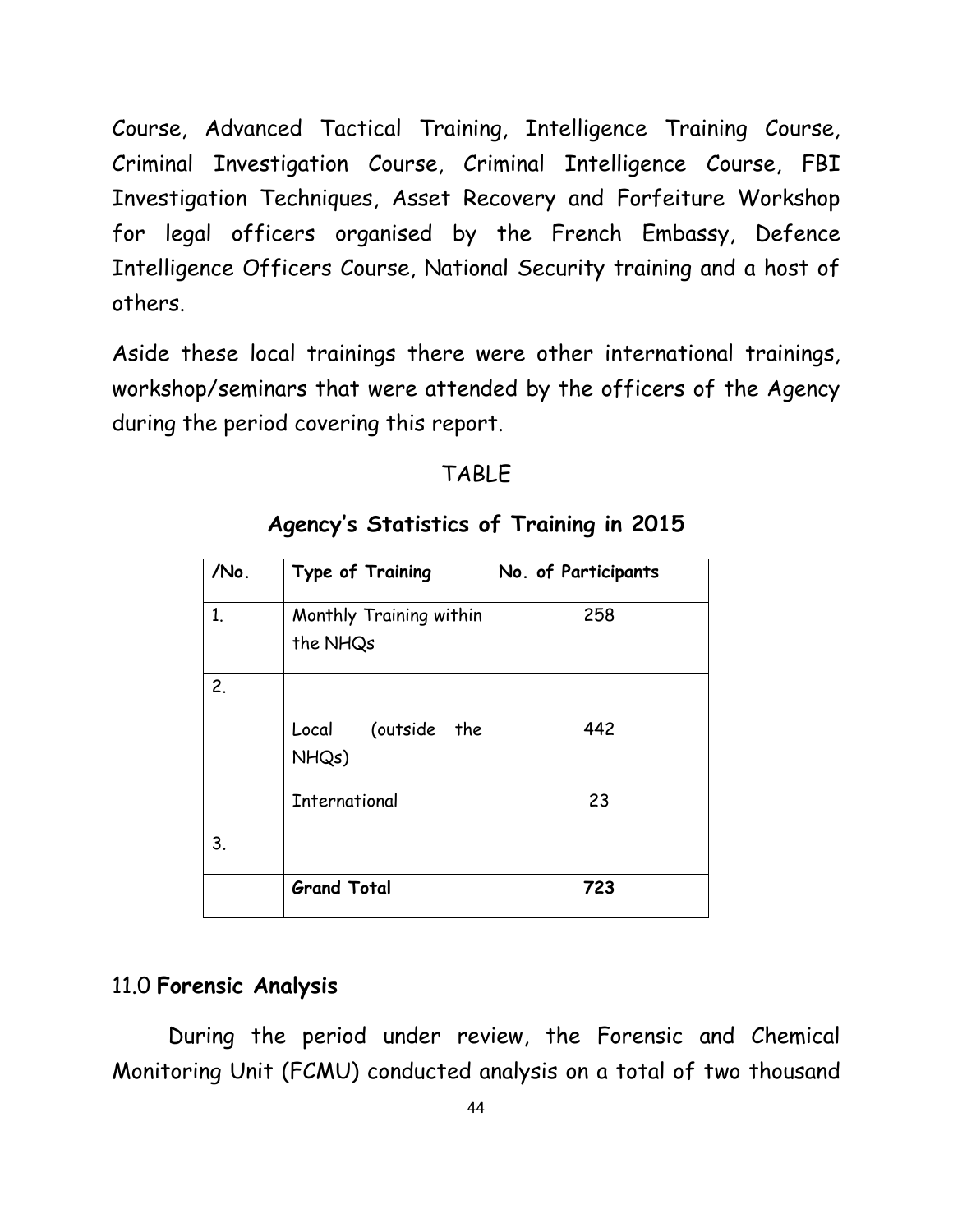Course, Advanced Tactical Training, Intelligence Training Course, Criminal Investigation Course, Criminal Intelligence Course, FBI Investigation Techniques, Asset Recovery and Forfeiture Workshop for legal officers organised by the French Embassy, Defence Intelligence Officers Course, National Security training and a host of others.

Aside these local trainings there were other international trainings, workshop/seminars that were attended by the officers of the Agency during the period covering this report.

#### TABLE

| /No.           | Type of Training                    | No. of Participants |
|----------------|-------------------------------------|---------------------|
| 1 <sub>1</sub> | Monthly Training within<br>the NHQs | 258                 |
| 2.             |                                     |                     |
|                | Local (outside the<br>NHQs)         | 442                 |
|                | <b>International</b>                | 23                  |
| 3.             |                                     |                     |
|                | <b>Grand Total</b>                  | 723                 |

### **Agency's Statistics of Training in 2015**

#### 11.0 **Forensic Analysis**

During the period under review, the Forensic and Chemical Monitoring Unit (FCMU) conducted analysis on a total of two thousand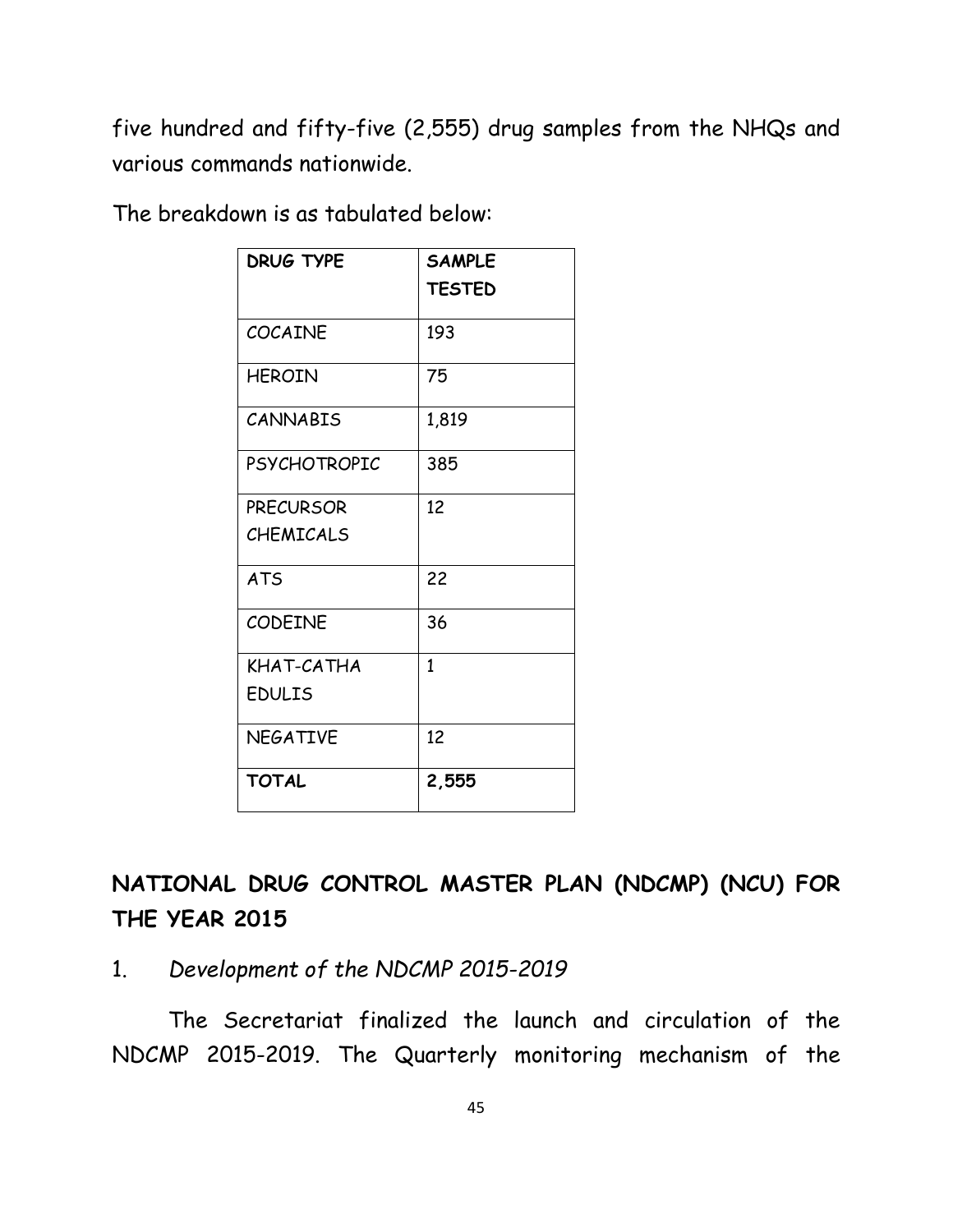five hundred and fifty-five (2,555) drug samples from the NHQs and various commands nationwide.

The breakdown is as tabulated below:

| <b>DRUG TYPE</b>    | <b>SAMPLE</b><br><b>TESTED</b> |
|---------------------|--------------------------------|
| <b>COCAINE</b>      | 193                            |
| <b>HEROIN</b>       | 75                             |
| <b>CANNABIS</b>     | 1,819                          |
| <b>PSYCHOTROPIC</b> | 385                            |
| <b>PRECURSOR</b>    | 12                             |
| <b>CHEMICALS</b>    |                                |
| <b>ATS</b>          | 22                             |
| <b>CODEINE</b>      | 36                             |
| KHAT-CATHA          | 1                              |
| <b>EDULIS</b>       |                                |
| <b>NEGATIVE</b>     | 12                             |
| <b>TOTAL</b>        | 2,555                          |

**NATIONAL DRUG CONTROL MASTER PLAN (NDCMP) (NCU) FOR THE YEAR 2015**

1. *Development of the NDCMP 2015-2019*

The Secretariat finalized the launch and circulation of the NDCMP 2015-2019. The Quarterly monitoring mechanism of the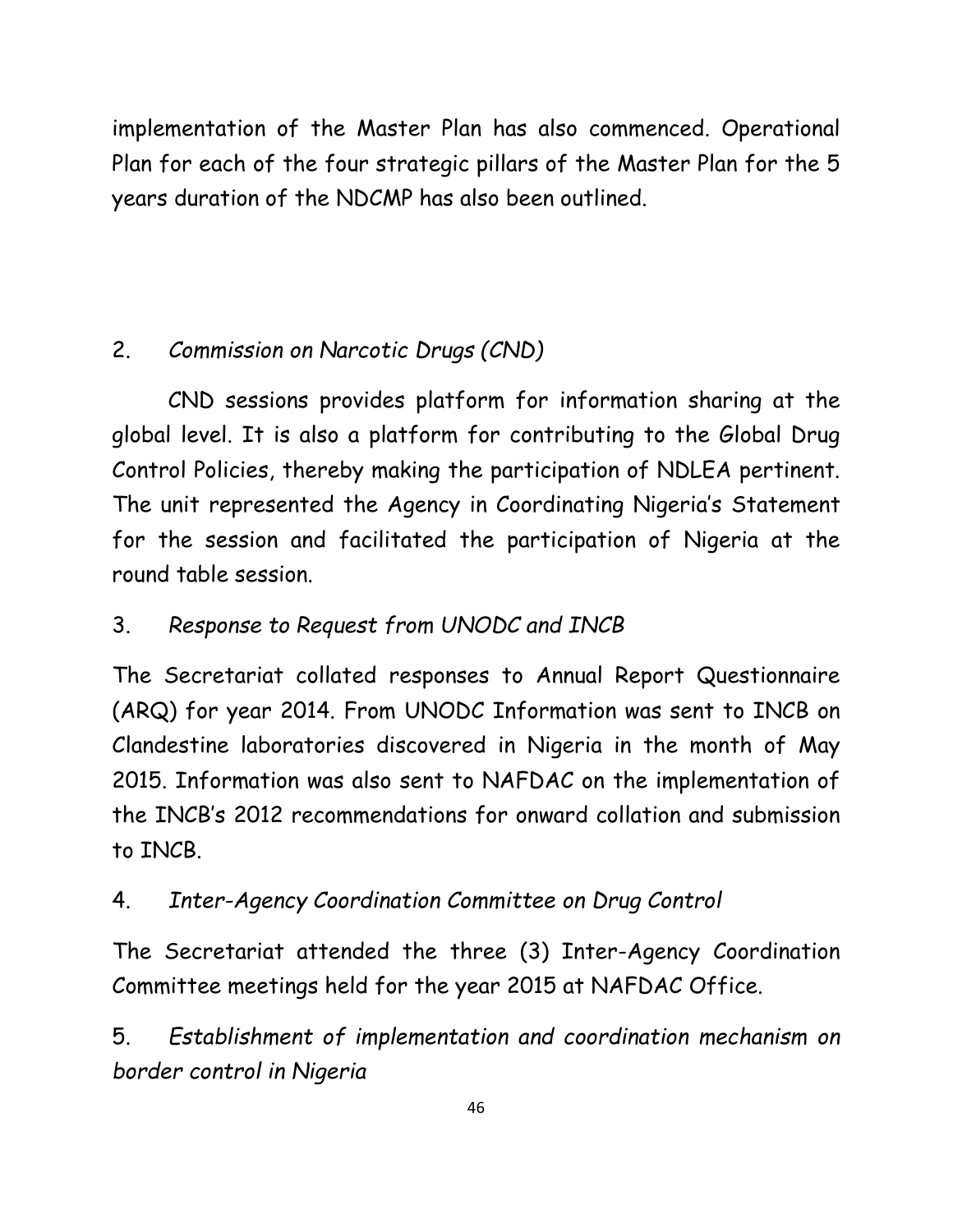implementation of the Master Plan has also commenced. Operational Plan for each of the four strategic pillars of the Master Plan for the 5 years duration of the NDCMP has also been outlined.

# 2. *Commission on Narcotic Drugs (CND)*

CND sessions provides platform for information sharing at the global level. It is also a platform for contributing to the Global Drug Control Policies, thereby making the participation of NDLEA pertinent. The unit represented the Agency in Coordinating Nigeria's Statement for the session and facilitated the participation of Nigeria at the round table session.

# 3. *Response to Request from UNODC and INCB*

The Secretariat collated responses to Annual Report Questionnaire (ARQ) for year 2014. From UNODC Information was sent to INCB on Clandestine laboratories discovered in Nigeria in the month of May 2015. Information was also sent to NAFDAC on the implementation of the INCB's 2012 recommendations for onward collation and submission to INCB.

# 4. *Inter-Agency Coordination Committee on Drug Control*

The Secretariat attended the three (3) Inter-Agency Coordination Committee meetings held for the year 2015 at NAFDAC Office.

5. *Establishment of implementation and coordination mechanism on border control in Nigeria*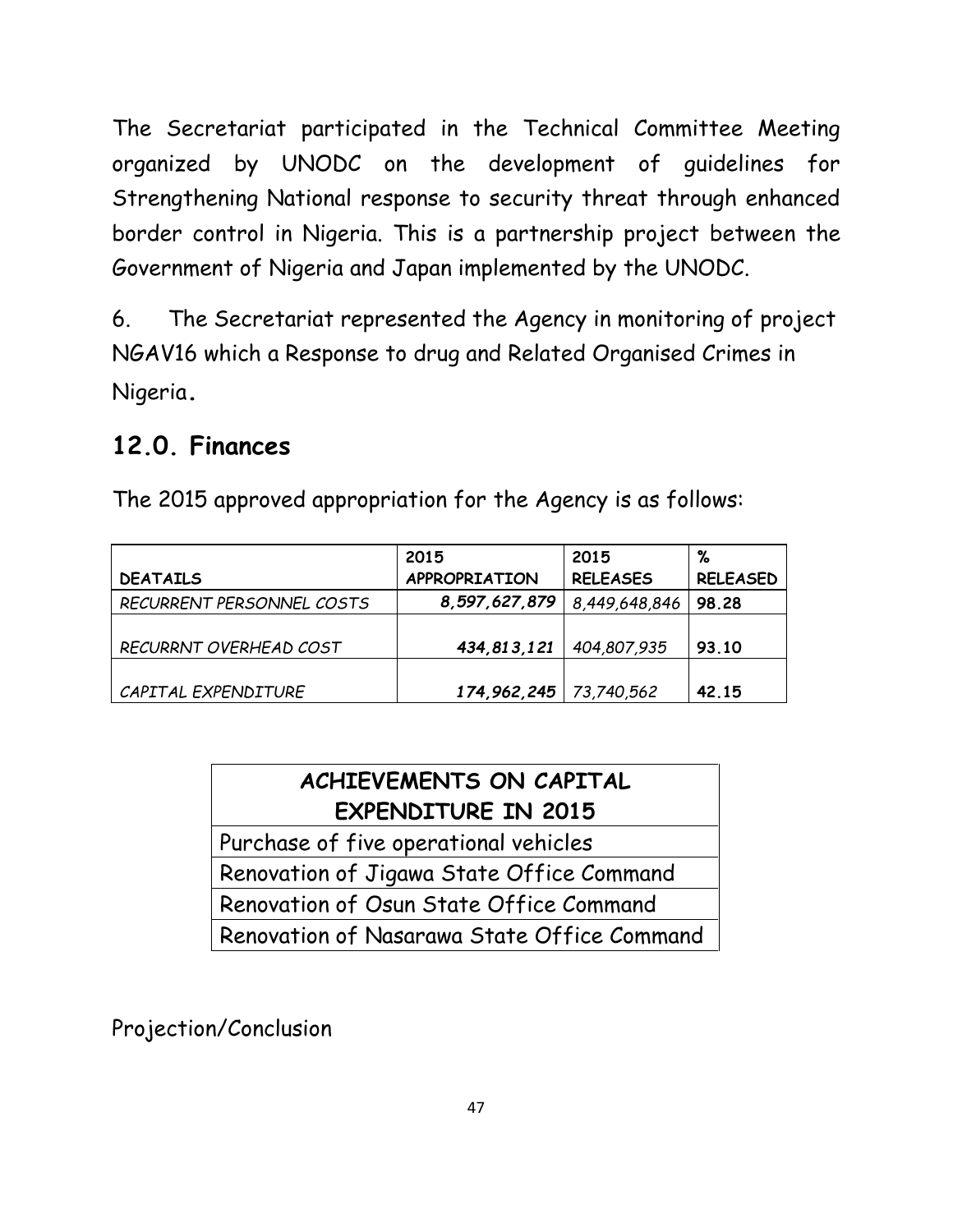The Secretariat participated in the Technical Committee Meeting organized by UNODC on the development of guidelines for Strengthening National response to security threat through enhanced border control in Nigeria. This is a partnership project between the Government of Nigeria and Japan implemented by the UNODC.

6. The Secretariat represented the Agency in monitoring of project NGAV16 which a Response to drug and Related Organised Crimes in Nigeria**.**

# **12.0. Finances**

The 2015 approved appropriation for the Agency is as follows:

|                           | 2015                     | 2015            | %               |
|---------------------------|--------------------------|-----------------|-----------------|
| <b>DEATAILS</b>           | APPROPRIATION            | <b>RELEASES</b> | <b>RELEASED</b> |
| RECURRENT PERSONNEL COSTS | 8,597,627,879            | 8,449,648,846   | 98.28           |
| RECURRNT OVERHEAD COST    | 434, 813, 121            | 404,807,935     | 93.10           |
| CAPITAL EXPENDITURE       | 174,962,245   73,740,562 |                 | 42.15           |

# **ACHIEVEMENTS ON CAPITAL EXPENDITURE IN 2015**

Purchase of five operational vehicles

Renovation of Jigawa State Office Command

Renovation of Osun State Office Command

Renovation of Nasarawa State Office Command

Projection/Conclusion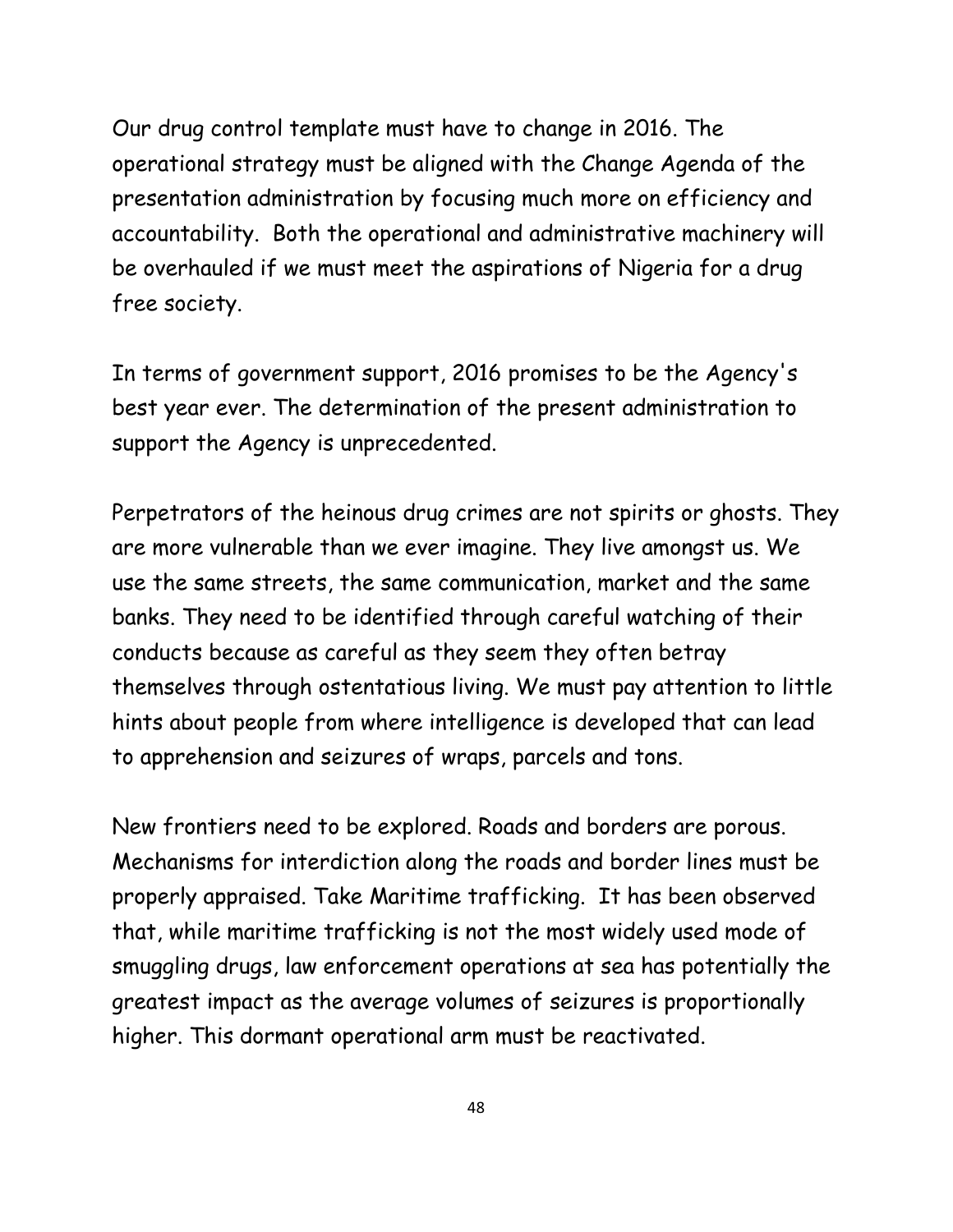Our drug control template must have to change in 2016. The operational strategy must be aligned with the Change Agenda of the presentation administration by focusing much more on efficiency and accountability. Both the operational and administrative machinery will be overhauled if we must meet the aspirations of Nigeria for a drug free society.

In terms of government support, 2016 promises to be the Agency's best year ever. The determination of the present administration to support the Agency is unprecedented.

Perpetrators of the heinous drug crimes are not spirits or ghosts. They are more vulnerable than we ever imagine. They live amongst us. We use the same streets, the same communication, market and the same banks. They need to be identified through careful watching of their conducts because as careful as they seem they often betray themselves through ostentatious living. We must pay attention to little hints about people from where intelligence is developed that can lead to apprehension and seizures of wraps, parcels and tons.

New frontiers need to be explored. Roads and borders are porous. Mechanisms for interdiction along the roads and border lines must be properly appraised. Take Maritime trafficking. It has been observed that, while maritime trafficking is not the most widely used mode of smuggling drugs, law enforcement operations at sea has potentially the greatest impact as the average volumes of seizures is proportionally higher. This dormant operational arm must be reactivated.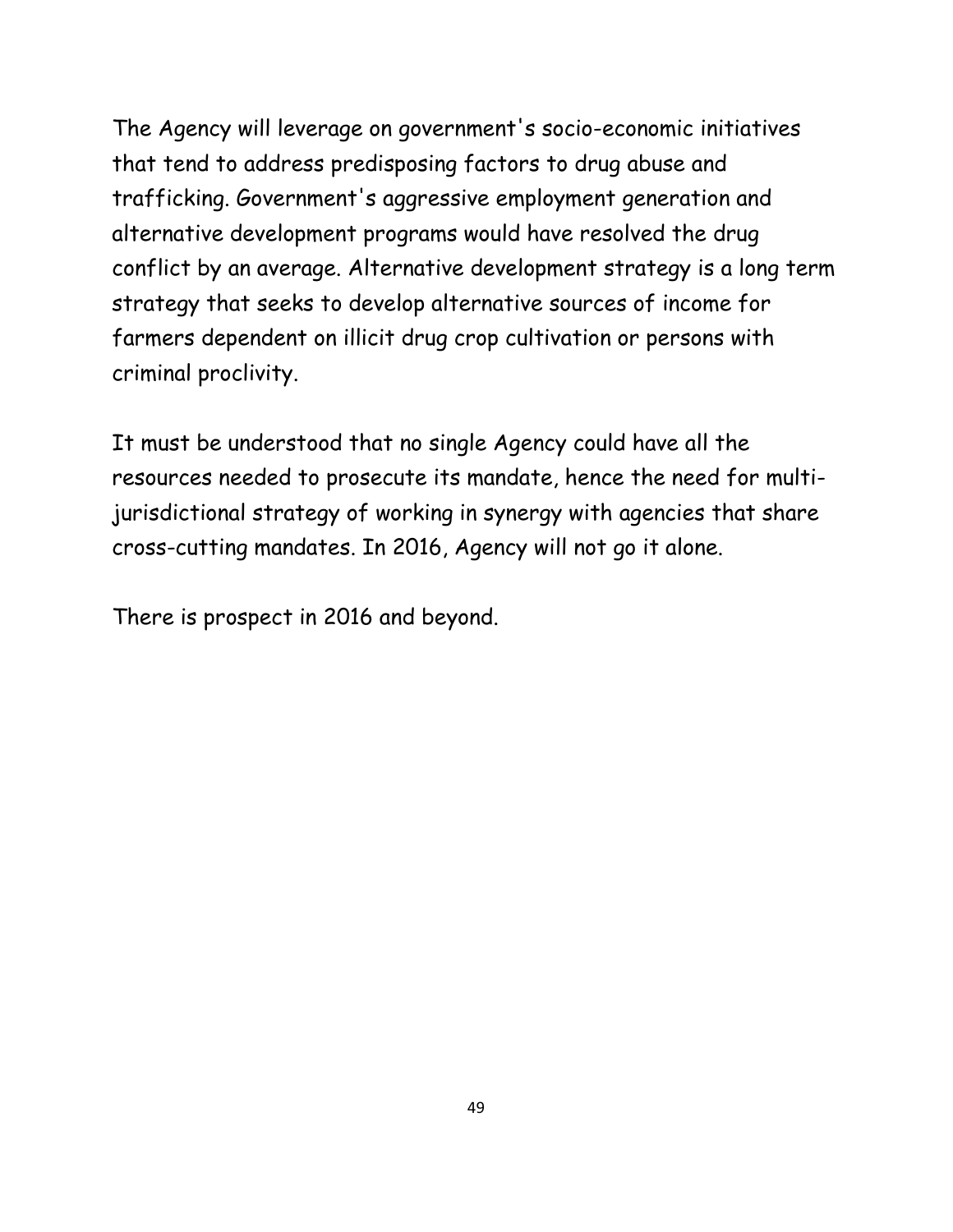The Agency will leverage on government's socio-economic initiatives that tend to address predisposing factors to drug abuse and trafficking. Government's aggressive employment generation and alternative development programs would have resolved the drug conflict by an average. Alternative development strategy is a long term strategy that seeks to develop alternative sources of income for farmers dependent on illicit drug crop cultivation or persons with criminal proclivity.

It must be understood that no single Agency could have all the resources needed to prosecute its mandate, hence the need for multijurisdictional strategy of working in synergy with agencies that share cross-cutting mandates. In 2016, Agency will not go it alone.

There is prospect in 2016 and beyond.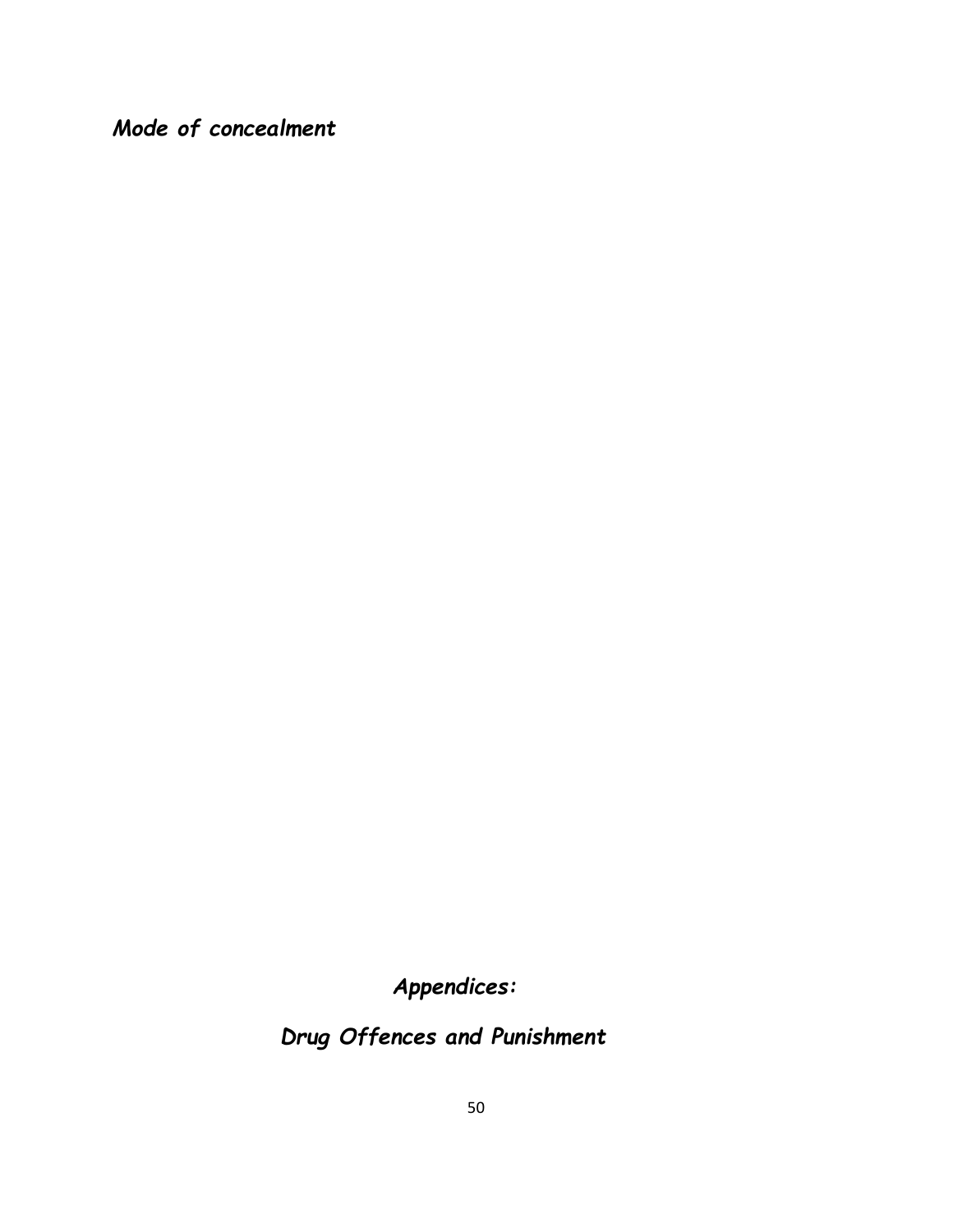*Mode of concealment* 

*Appendices:*

*Drug Offences and Punishment*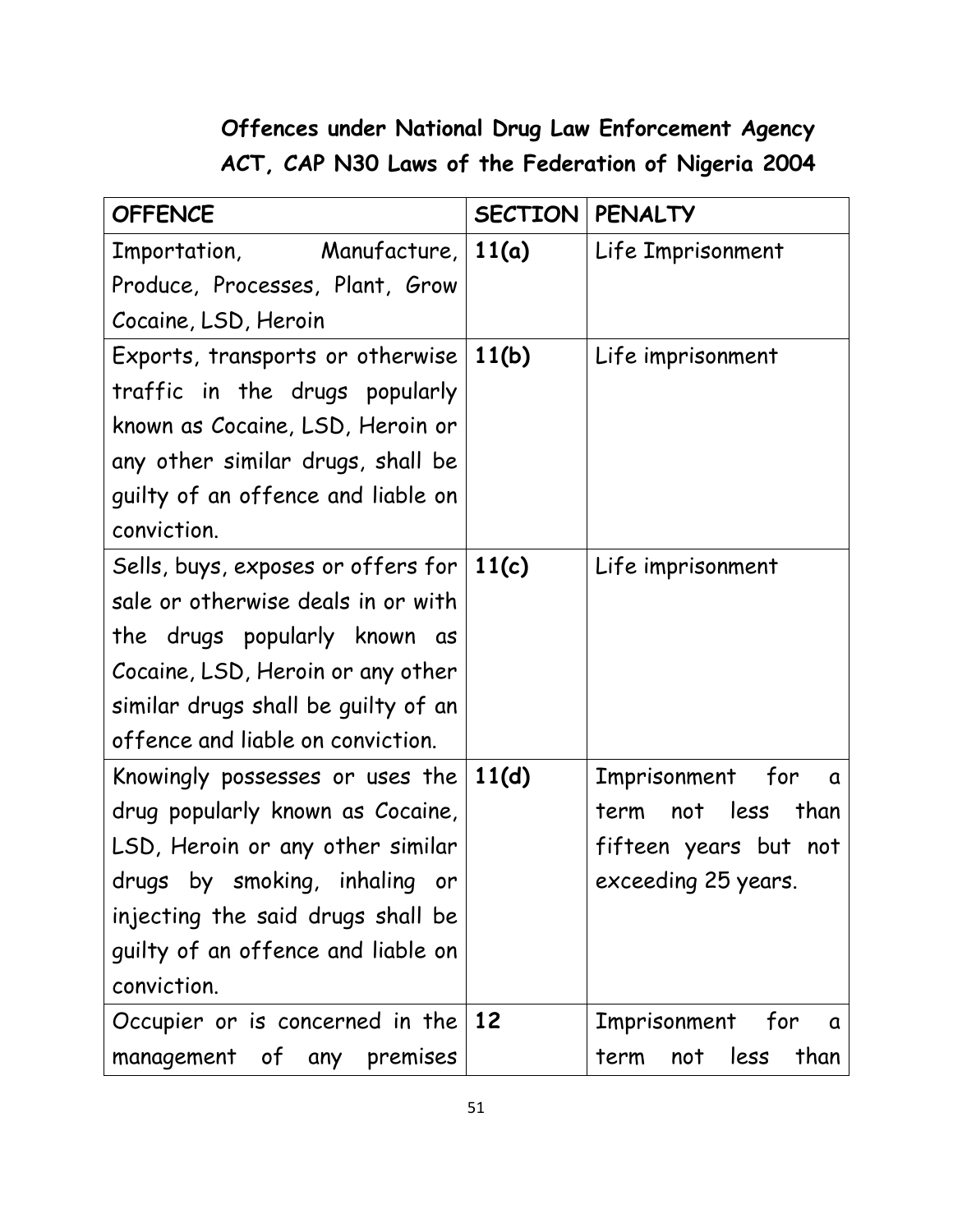# **Offences under National Drug Law Enforcement Agency ACT, CAP N30 Laws of the Federation of Nigeria 2004**

| <b>OFFENCE</b>                      | SECTION | <b>PENALTY</b>               |
|-------------------------------------|---------|------------------------------|
| Importation, Manufacture, 11(a)     |         | Life Imprisonment            |
| Produce, Processes, Plant, Grow     |         |                              |
| Cocaine, LSD, Heroin                |         |                              |
| Exports, transports or otherwise    | 11(b)   | Life imprisonment            |
| traffic in the drugs popularly      |         |                              |
| known as Cocaine, LSD, Heroin or    |         |                              |
| any other similar drugs, shall be   |         |                              |
| guilty of an offence and liable on  |         |                              |
| conviction.                         |         |                              |
| Sells, buys, exposes or offers for  | 11(c)   | Life imprisonment            |
| sale or otherwise deals in or with  |         |                              |
| the drugs popularly known as        |         |                              |
| Cocaine, LSD, Heroin or any other   |         |                              |
| similar drugs shall be guilty of an |         |                              |
| offence and liable on conviction.   |         |                              |
| Knowingly possesses or uses the     | 11(d)   | Imprisonment for<br>$\alpha$ |
| drug popularly known as Cocaine,    |         | not less<br>than<br>term     |
| LSD, Heroin or any other similar    |         | fifteen years but not        |
| drugs by smoking, inhaling<br>or    |         | exceeding 25 years.          |
| injecting the said drugs shall be   |         |                              |
| guilty of an offence and liable on  |         |                              |
| conviction.                         |         |                              |
| Occupier or is concerned in the     | $12$    | Imprisonment for<br>α        |
| management of any premises          |         | less<br>than<br>not<br>term  |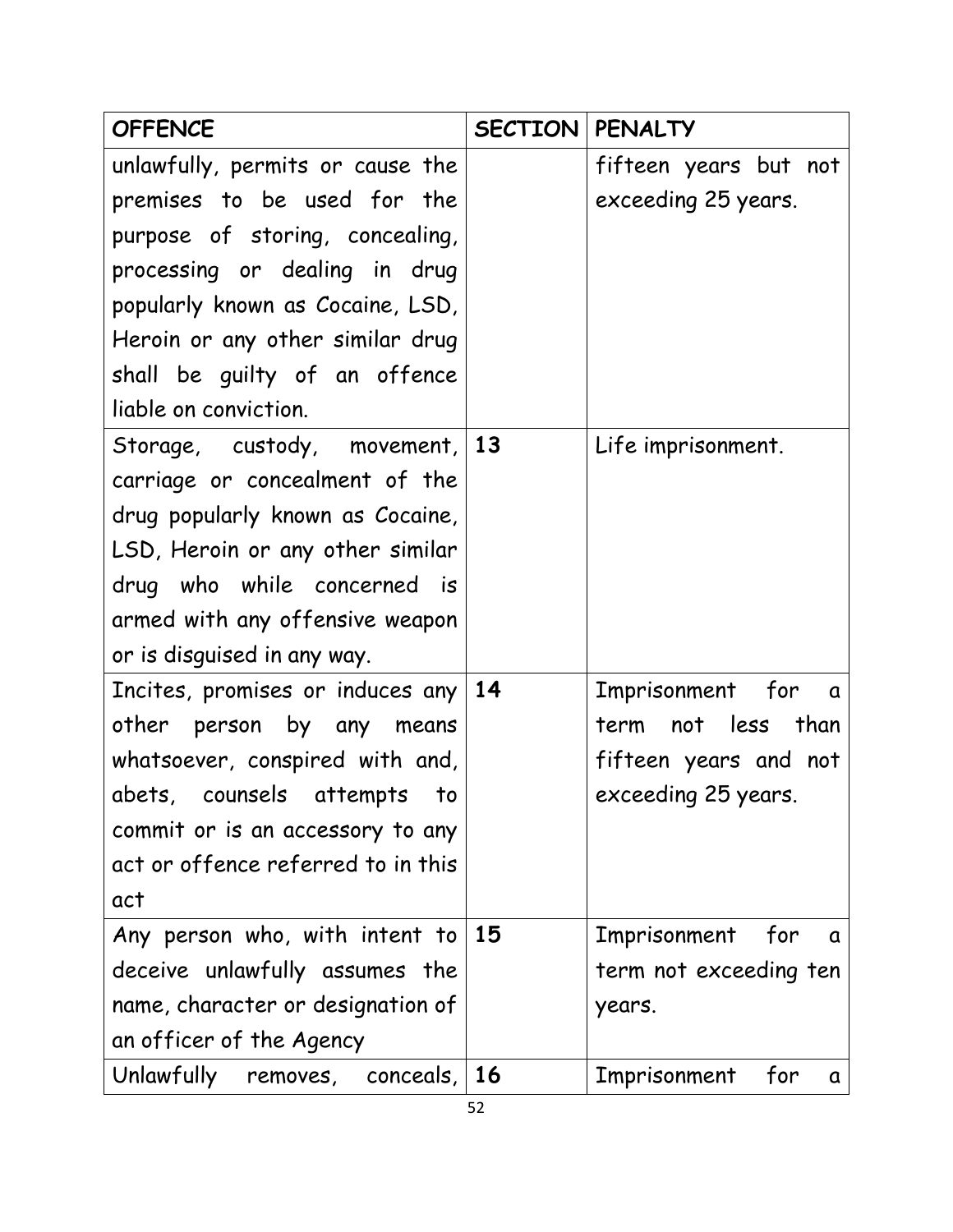| <b>OFFENCE</b>                        | <b>SECTION   PENALTY</b> |                                 |
|---------------------------------------|--------------------------|---------------------------------|
| unlawfully, permits or cause the      |                          | fifteen years but not           |
| premises to be used for the           |                          | exceeding 25 years.             |
| purpose of storing, concealing,       |                          |                                 |
| processing or dealing in drug         |                          |                                 |
| popularly known as Cocaine, LSD,      |                          |                                 |
| Heroin or any other similar drug      |                          |                                 |
| shall be guilty of an offence         |                          |                                 |
| liable on conviction.                 |                          |                                 |
| Storage, custody, movement, 13        |                          | Life imprisonment.              |
| carriage or concealment of the        |                          |                                 |
| drug popularly known as Cocaine,      |                          |                                 |
| LSD, Heroin or any other similar      |                          |                                 |
| drug who while concerned is           |                          |                                 |
| armed with any offensive weapon       |                          |                                 |
| or is disguised in any way.           |                          |                                 |
| Incites, promises or induces any $14$ |                          | Imprisonment for a              |
| other person by any means             |                          | term not less than              |
| whatsoever, conspired with and,       |                          | fifteen years and not           |
| abets, counsels attempts to           |                          | exceeding 25 years.             |
| commit or is an accessory to any      |                          |                                 |
| act or offence referred to in this    |                          |                                 |
| act                                   |                          |                                 |
| Any person who, with intent to        | 15                       | Imprisonment<br>for<br>$\alpha$ |
| deceive unlawfully assumes the        |                          | term not exceeding ten          |
| name, character or designation of     |                          | years.                          |
| an officer of the Agency              |                          |                                 |
| Unlawfully removes, conceals, $16$    |                          | Imprisonment<br>for<br>a        |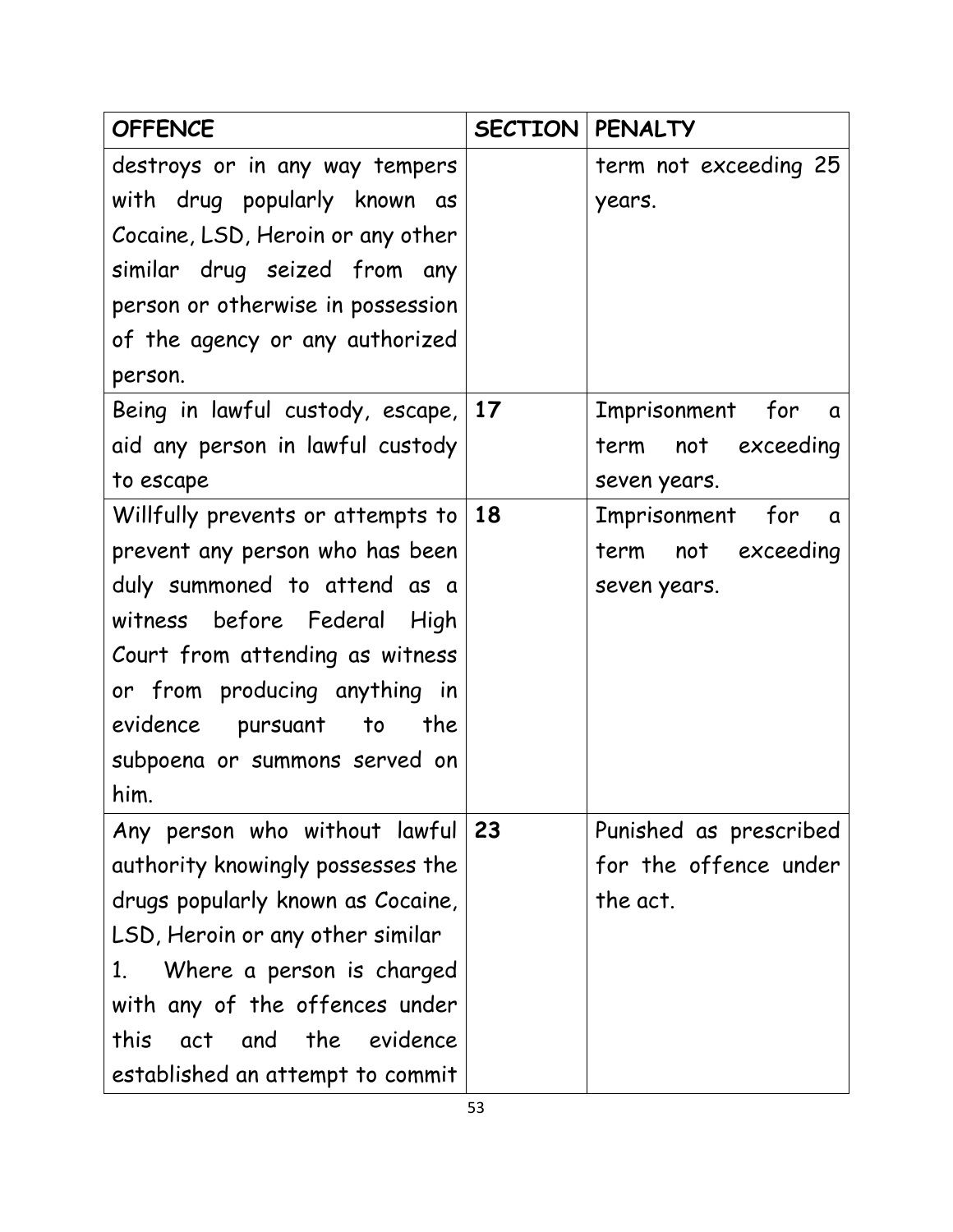| <b>OFFENCE</b>                           | <b>SECTION   PENALTY</b> |                              |
|------------------------------------------|--------------------------|------------------------------|
| destroys or in any way tempers           |                          | term not exceeding 25        |
| with drug popularly known as             |                          | years.                       |
| Cocaine, LSD, Heroin or any other        |                          |                              |
| similar drug seized from any             |                          |                              |
| person or otherwise in possession        |                          |                              |
| of the agency or any authorized          |                          |                              |
| person.                                  |                          |                              |
| Being in lawful custody, escape, 17      |                          | Imprisonment for<br>$\alpha$ |
| aid any person in lawful custody         |                          | term not exceeding           |
| to escape                                |                          | seven years.                 |
| Willfully prevents or attempts to        | 18                       | Imprisonment for<br>a d      |
| prevent any person who has been          |                          | term not exceeding           |
| duly summoned to attend as a             |                          | seven years.                 |
| witness before Federal<br>High           |                          |                              |
| Court from attending as witness          |                          |                              |
| or from producing anything in            |                          |                              |
| evidence<br>pursuant<br>the<br>to        |                          |                              |
| subpoena or summons served on            |                          |                              |
| him.                                     |                          |                              |
| Any person who without lawful            | 23                       | Punished as prescribed       |
| authority knowingly possesses the        |                          | for the offence under        |
| drugs popularly known as Cocaine,        |                          | the act.                     |
| LSD, Heroin or any other similar         |                          |                              |
| Where a person is charged<br>$1_{\cdot}$ |                          |                              |
| with any of the offences under           |                          |                              |
| and the evidence<br>this<br>act          |                          |                              |
| established an attempt to commit         |                          |                              |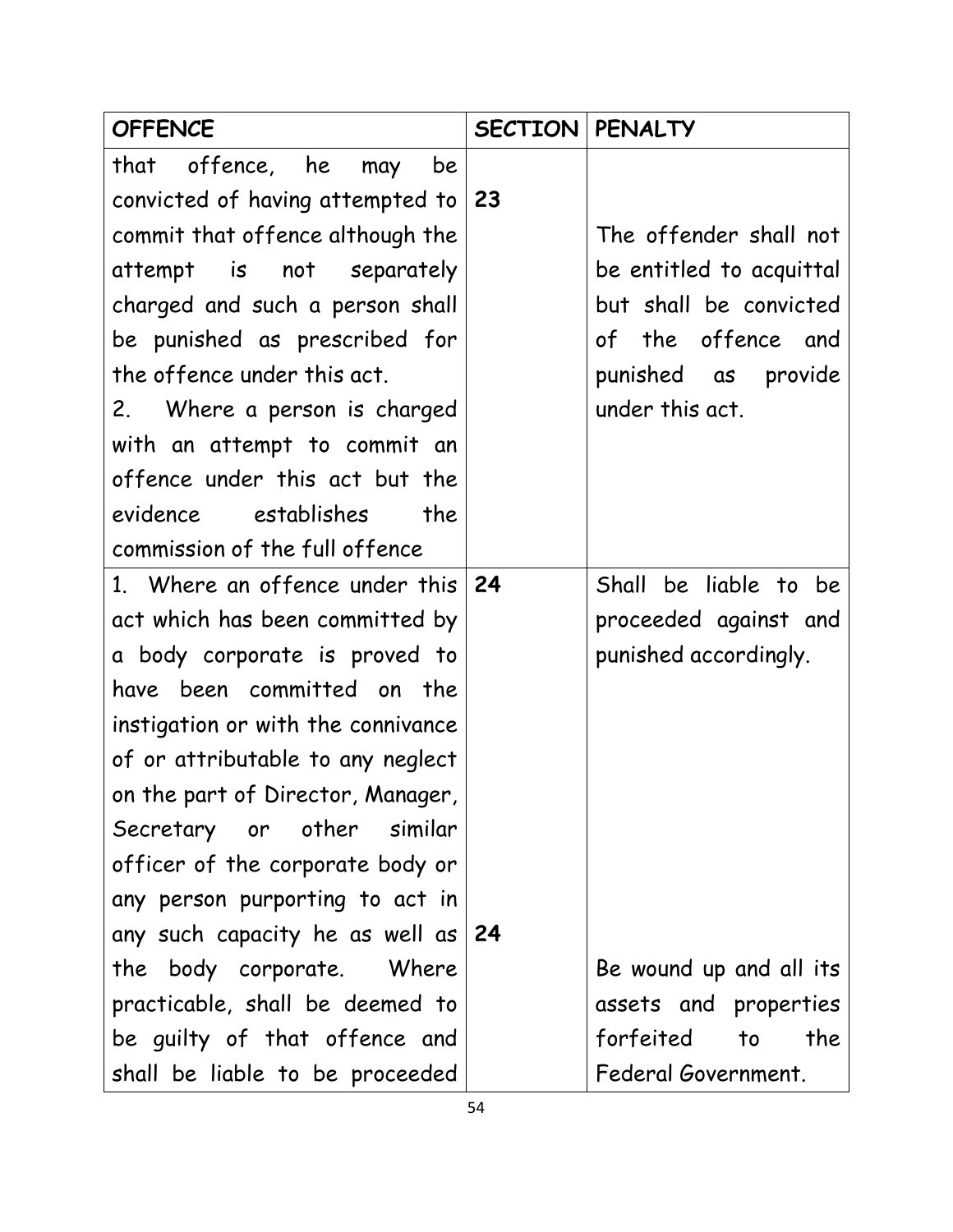| <b>OFFENCE</b>                       | <b>SECTION   PENALTY</b> |                          |
|--------------------------------------|--------------------------|--------------------------|
| offence, he<br>that<br>be<br>may     |                          |                          |
| convicted of having attempted to     | -23                      |                          |
| commit that offence although the     |                          | The offender shall not   |
| attempt is not separately            |                          | be entitled to acquittal |
| charged and such a person shall      |                          | but shall be convicted   |
| be punished as prescribed for        |                          | of the offence and       |
| the offence under this act.          |                          | punished as provide      |
| 2. Where a person is charged         |                          | under this act.          |
| with an attempt to commit an         |                          |                          |
| offence under this act but the       |                          |                          |
| evidence establishes<br>the          |                          |                          |
| commission of the full offence       |                          |                          |
| 1. Where an offence under this       | 24                       | Shall be liable to be    |
| act which has been committed by      |                          | proceeded against and    |
| a body corporate is proved to        |                          | punished accordingly.    |
| been committed on the<br>have        |                          |                          |
| instigation or with the connivance   |                          |                          |
| of or attributable to any neglect    |                          |                          |
| on the part of Director, Manager,    |                          |                          |
| Secretary or other similar           |                          |                          |
| officer of the corporate body or     |                          |                          |
| any person purporting to act in      |                          |                          |
| any such capacity he as well as $24$ |                          |                          |
| the body corporate. Where            |                          | Be wound up and all its  |
| practicable, shall be deemed to      |                          | assets and properties    |
| be guilty of that offence and        |                          | forfeited to<br>the      |
| shall be liable to be proceeded      |                          | Federal Government.      |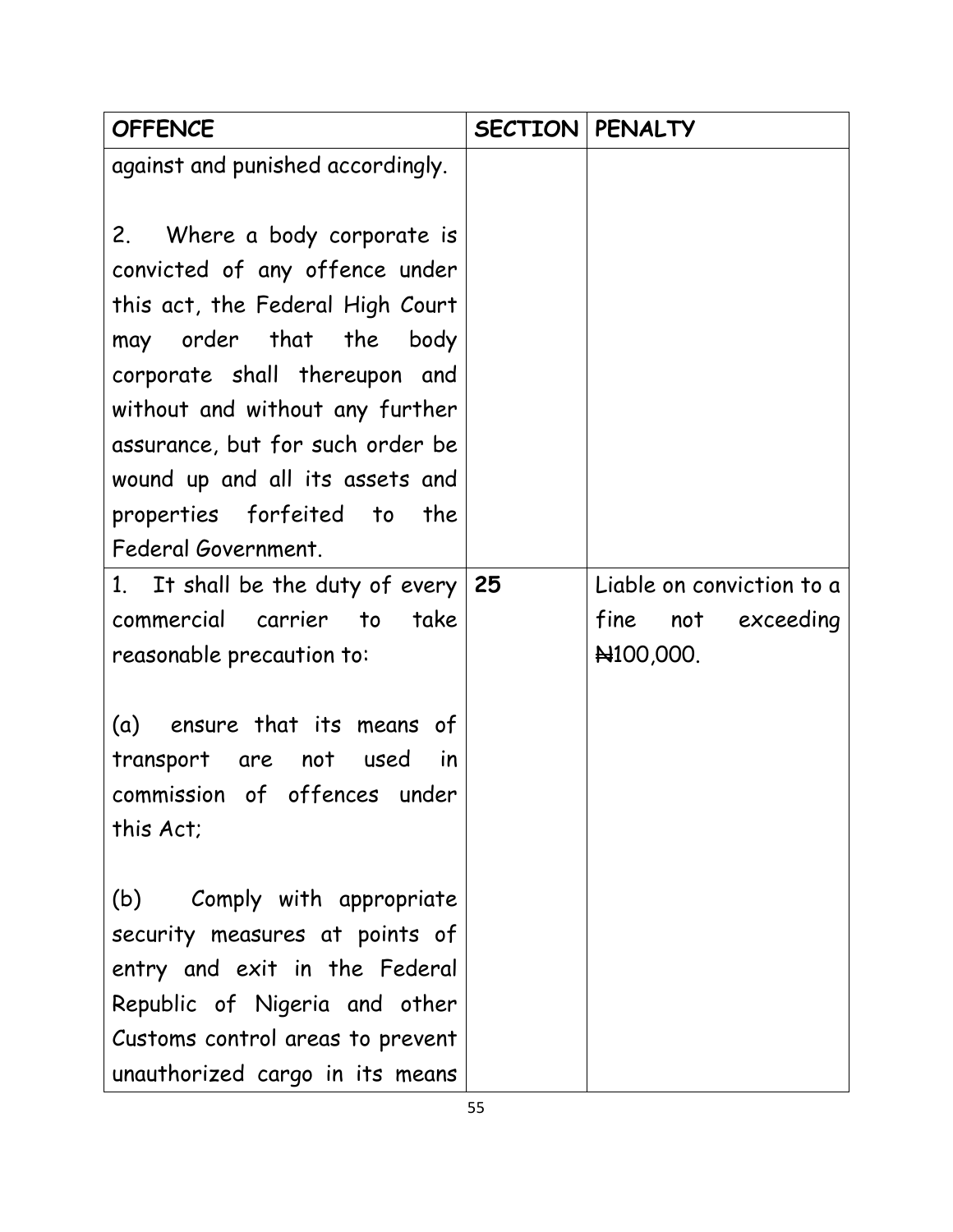| <b>OFFENCE</b>                    | <b>SECTION   PENALTY</b> |                           |
|-----------------------------------|--------------------------|---------------------------|
| against and punished accordingly. |                          |                           |
|                                   |                          |                           |
| 2. Where a body corporate is      |                          |                           |
| convicted of any offence under    |                          |                           |
| this act, the Federal High Court  |                          |                           |
| may order that the<br>body        |                          |                           |
| corporate shall thereupon and     |                          |                           |
| without and without any further   |                          |                           |
| assurance, but for such order be  |                          |                           |
| wound up and all its assets and   |                          |                           |
| properties forfeited to the       |                          |                           |
| Federal Government.               |                          |                           |
| 1. It shall be the duty of every  | 25                       | Liable on conviction to a |
| commercial carrier to<br>take     |                          | fine<br>not exceeding     |
| reasonable precaution to:         |                          | N100,000.                 |
|                                   |                          |                           |
| (a) ensure that its means of      |                          |                           |
| transport are not<br>used<br>in   |                          |                           |
| commission of offences under      |                          |                           |
| this Act;                         |                          |                           |
|                                   |                          |                           |
| Comply with appropriate<br>(b)    |                          |                           |
| security measures at points of    |                          |                           |
| entry and exit in the Federal     |                          |                           |
| Republic of Nigeria and other     |                          |                           |
| Customs control areas to prevent  |                          |                           |
| unauthorized cargo in its means   |                          |                           |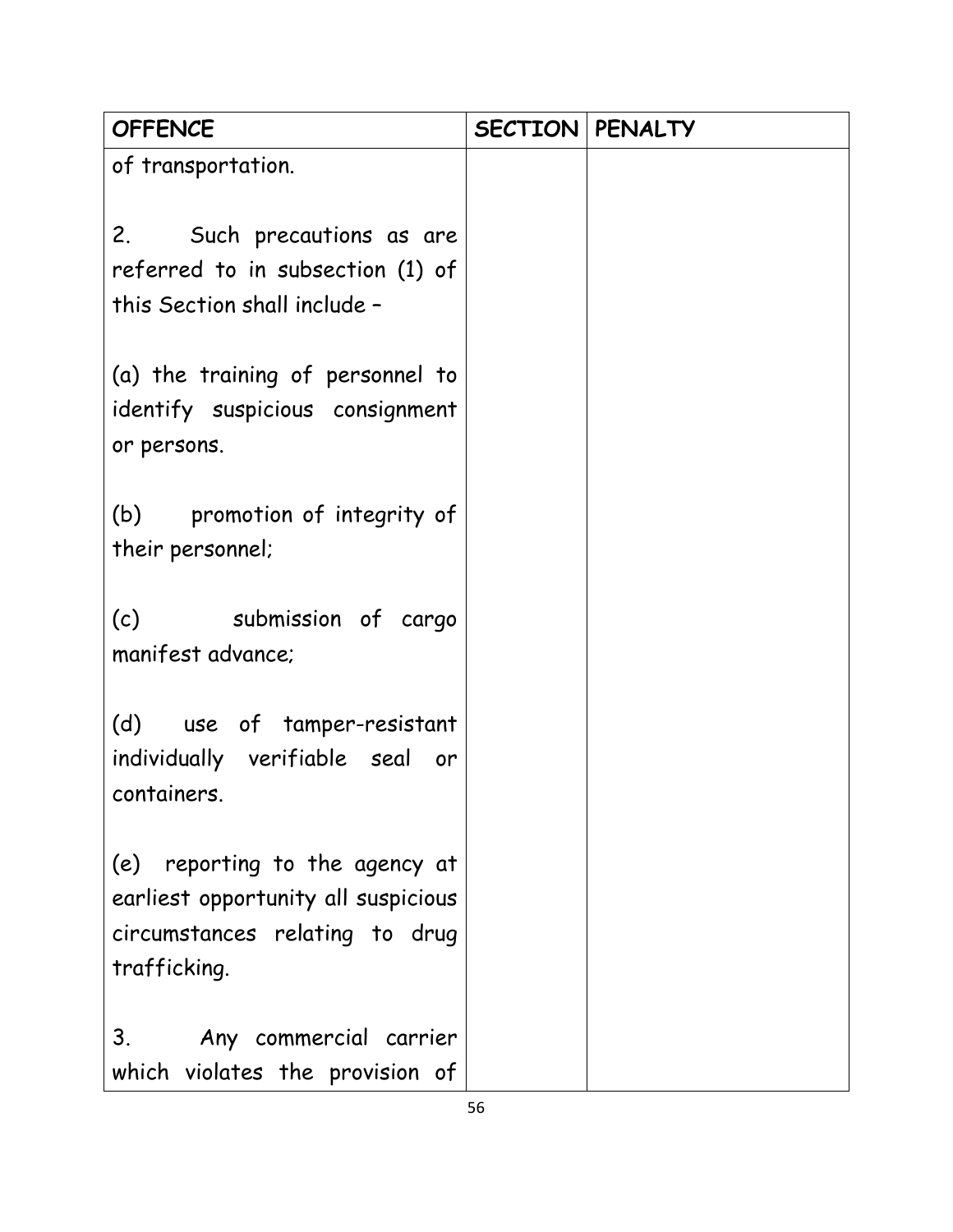| <b>OFFENCE</b>                                                                                                          | <b>SECTION PENALTY</b> |  |
|-------------------------------------------------------------------------------------------------------------------------|------------------------|--|
| of transportation.                                                                                                      |                        |  |
| 2. Such precautions as are<br>referred to in subsection (1) of<br>this Section shall include -                          |                        |  |
| (a) the training of personnel to<br>identify suspicious consignment<br>or persons.                                      |                        |  |
| (b) promotion of integrity of<br>their personnel;                                                                       |                        |  |
| (c)<br>submission of cargo<br>manifest advance;                                                                         |                        |  |
| (d) use of tamper-resistant<br>individually verifiable seal or<br>containers.                                           |                        |  |
| (e) reporting to the agency at<br>earliest opportunity all suspicious<br>circumstances relating to drug<br>trafficking. |                        |  |
| 3.<br>Any commercial carrier<br>which violates the provision of                                                         |                        |  |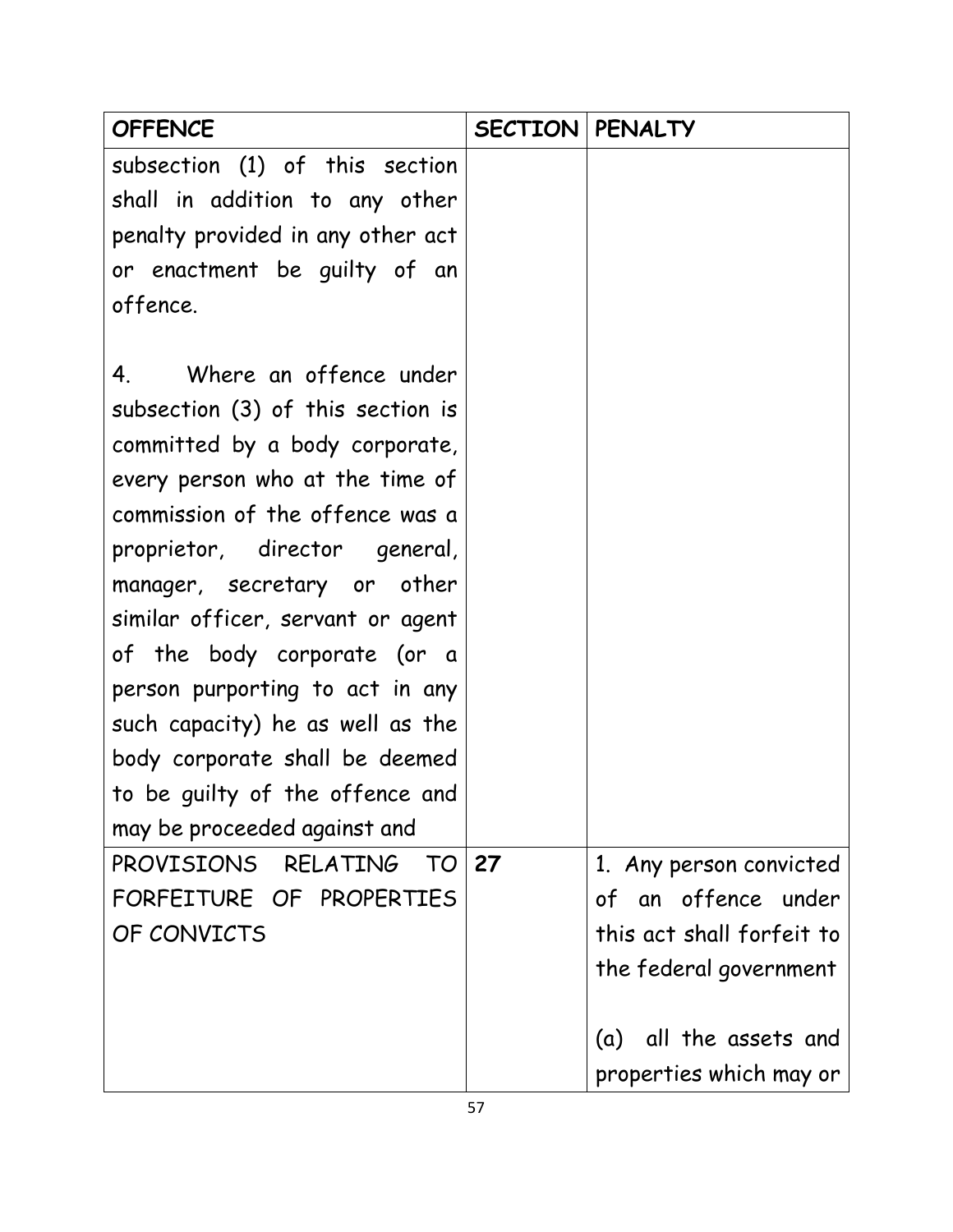| <b>OFFENCE</b>                                                                                                                                                                                                                                                                                                                                                                                                                                                                                                                                                    | <b>SECTION   PENALTY</b> |                                                                             |
|-------------------------------------------------------------------------------------------------------------------------------------------------------------------------------------------------------------------------------------------------------------------------------------------------------------------------------------------------------------------------------------------------------------------------------------------------------------------------------------------------------------------------------------------------------------------|--------------------------|-----------------------------------------------------------------------------|
| subsection (1) of this section                                                                                                                                                                                                                                                                                                                                                                                                                                                                                                                                    |                          |                                                                             |
| shall in addition to any other                                                                                                                                                                                                                                                                                                                                                                                                                                                                                                                                    |                          |                                                                             |
| penalty provided in any other act                                                                                                                                                                                                                                                                                                                                                                                                                                                                                                                                 |                          |                                                                             |
| or enactment be guilty of an                                                                                                                                                                                                                                                                                                                                                                                                                                                                                                                                      |                          |                                                                             |
| offence.                                                                                                                                                                                                                                                                                                                                                                                                                                                                                                                                                          |                          |                                                                             |
| Where an offence under<br>4.<br>subsection (3) of this section is<br>committed by a body corporate,<br>every person who at the time of<br>commission of the offence was a<br>proprietor, director general,<br>manager, secretary or other<br>similar officer, servant or agent<br>of the body corporate (or a<br>person purporting to act in any<br>such capacity) he as well as the<br>body corporate shall be deemed<br>to be guilty of the offence and<br>may be proceeded against and<br>PROVISIONS RELATING<br>TO<br>FORFEITURE OF PROPERTIES<br>OF CONVICTS | 27                       | 1. Any person convicted<br>of an offence under<br>this act shall forfeit to |
|                                                                                                                                                                                                                                                                                                                                                                                                                                                                                                                                                                   |                          | the federal government                                                      |
|                                                                                                                                                                                                                                                                                                                                                                                                                                                                                                                                                                   |                          |                                                                             |
|                                                                                                                                                                                                                                                                                                                                                                                                                                                                                                                                                                   |                          | all the assets and<br>(a)                                                   |
|                                                                                                                                                                                                                                                                                                                                                                                                                                                                                                                                                                   |                          | properties which may or                                                     |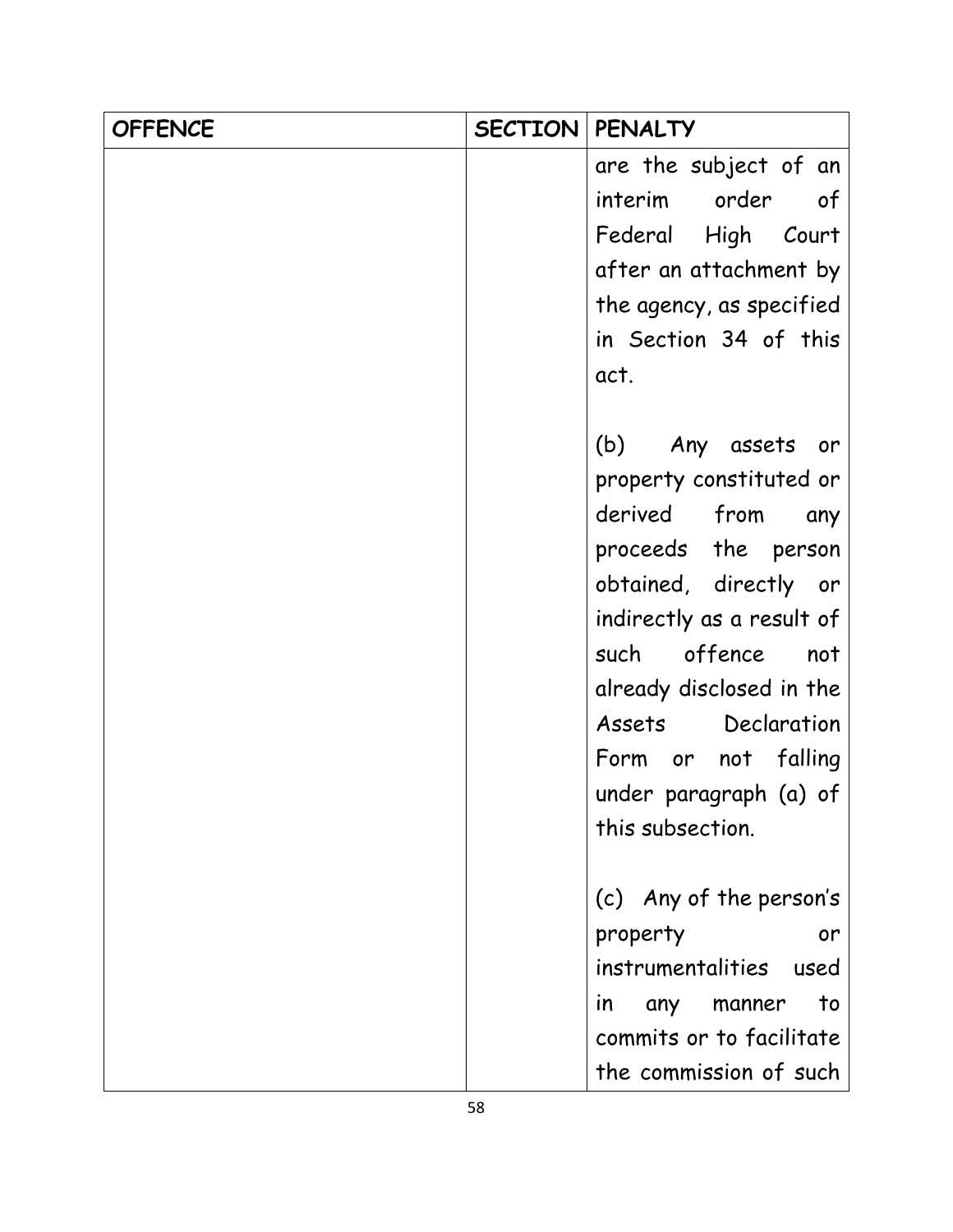| <b>OFFENCE</b> | <b>SECTION   PENALTY</b> |                                  |
|----------------|--------------------------|----------------------------------|
|                |                          | are the subject of an            |
|                |                          | interim order<br>of              |
|                |                          | Federal High Court               |
|                |                          | after an attachment by           |
|                |                          | the agency, as specified         |
|                |                          | in Section 34 of this            |
|                |                          | act.                             |
|                |                          |                                  |
|                |                          | (b) Any assets or                |
|                |                          | property constituted or          |
|                |                          | derived from<br>any              |
|                |                          | proceeds the person              |
|                |                          | obtained, directly or            |
|                |                          | indirectly as a result of        |
|                |                          | such offence<br>not              |
|                |                          | already disclosed in the         |
|                |                          | Assets Declaration               |
|                |                          | Form or not falling              |
|                |                          | under paragraph (a) of           |
|                |                          | this subsection.                 |
|                |                          |                                  |
|                |                          | (c) Any of the person's          |
|                |                          | property<br>or                   |
|                |                          | instrumentalities used           |
|                |                          | to<br>any manner<br>$\mathsf{I}$ |
|                |                          | commits or to facilitate         |
|                |                          | the commission of such           |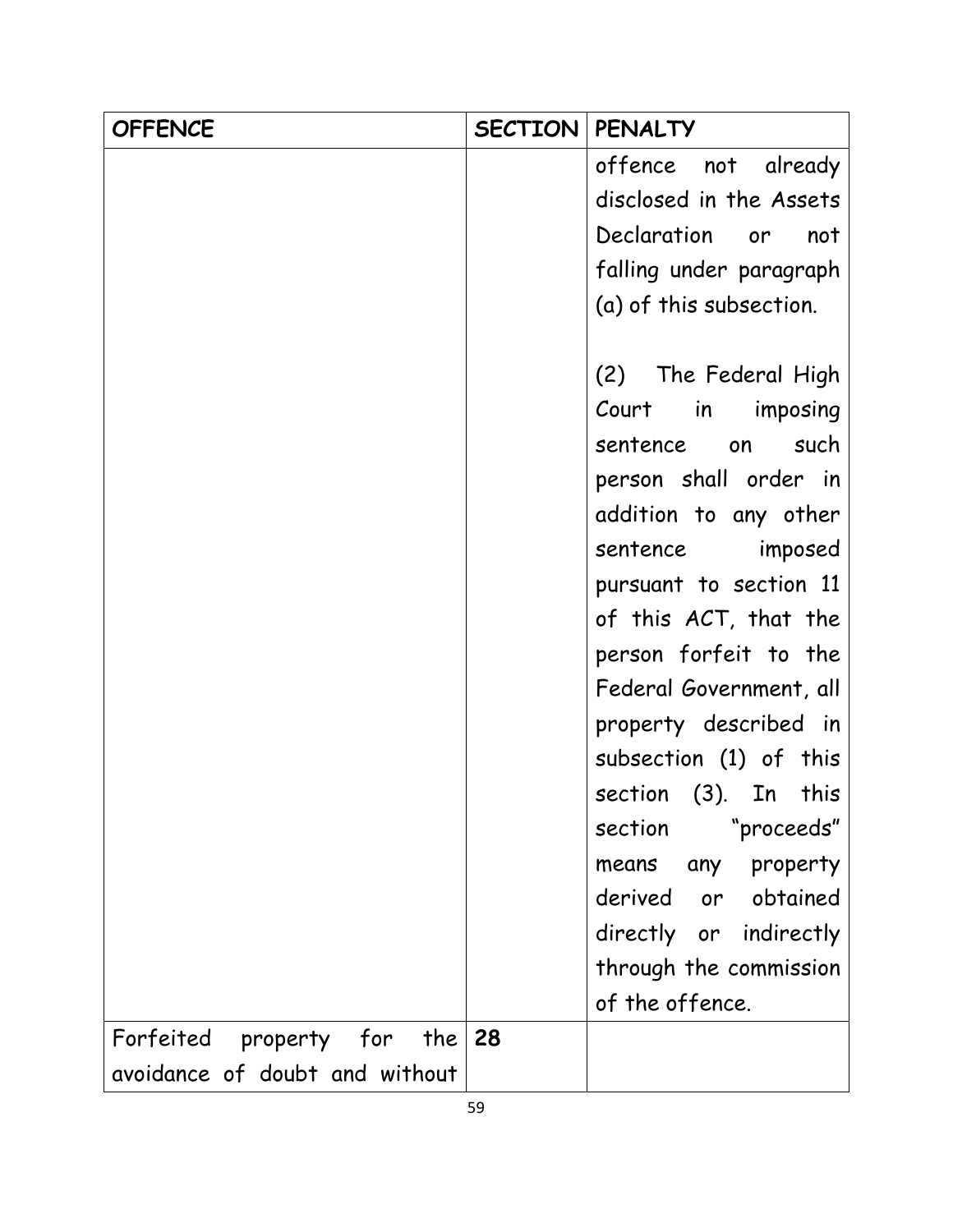| <b>OFFENCE</b>                 | SECTION | <b>PENALTY</b>           |
|--------------------------------|---------|--------------------------|
|                                |         | offence not already      |
|                                |         | disclosed in the Assets  |
|                                |         | Declaration<br>not<br>or |
|                                |         | falling under paragraph  |
|                                |         | (a) of this subsection.  |
|                                |         |                          |
|                                |         | (2) The Federal High     |
|                                |         | Court in imposing        |
|                                |         | sentence on<br>such      |
|                                |         | person shall order in    |
|                                |         | addition to any other    |
|                                |         | sentence imposed         |
|                                |         | pursuant to section 11   |
|                                |         | of this ACT, that the    |
|                                |         | person forfeit to the    |
|                                |         | Federal Government, all  |
|                                |         | property described in    |
|                                |         | subsection (1) of this   |
|                                |         | section (3). In<br>this  |
|                                |         | "proceeds"<br>section    |
|                                |         | any property<br>means    |
|                                |         | derived or obtained      |
|                                |         | directly or indirectly   |
|                                |         | through the commission   |
|                                |         | of the offence.          |
| Forfeited property for<br>the  | 28      |                          |
| avoidance of doubt and without |         |                          |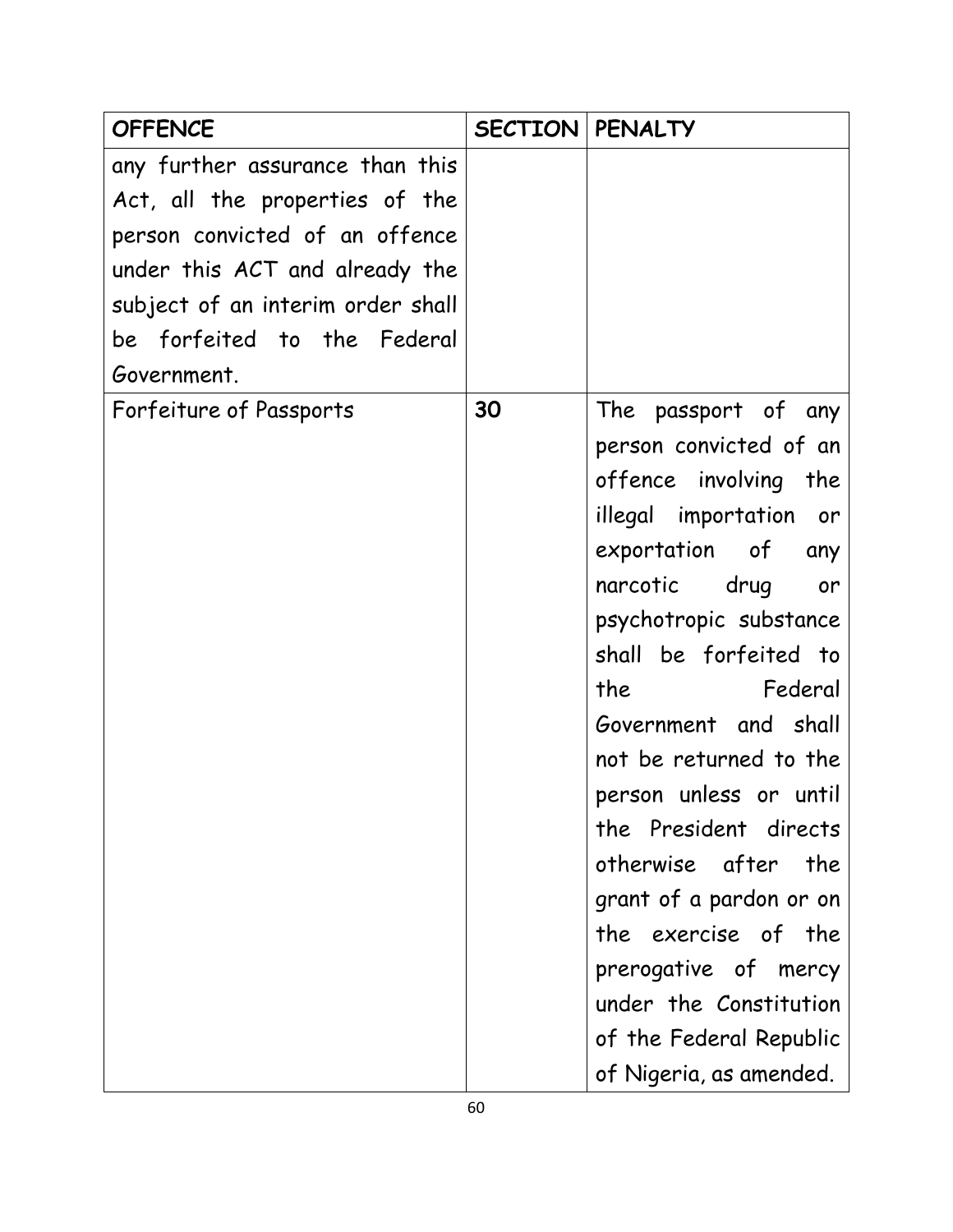| <b>OFFENCE</b>                    | <b>SECTION   PENALTY</b> |                                                                                                                            |
|-----------------------------------|--------------------------|----------------------------------------------------------------------------------------------------------------------------|
| any further assurance than this   |                          |                                                                                                                            |
| Act, all the properties of the    |                          |                                                                                                                            |
| person convicted of an offence    |                          |                                                                                                                            |
| under this ACT and already the    |                          |                                                                                                                            |
| subject of an interim order shall |                          |                                                                                                                            |
| be forfeited to the Federal       |                          |                                                                                                                            |
| Government.                       |                          |                                                                                                                            |
| Forfeiture of Passports           | 30                       | The passport of any                                                                                                        |
|                                   |                          | person convicted of an                                                                                                     |
|                                   |                          | offence involving the                                                                                                      |
|                                   |                          | illegal importation or                                                                                                     |
|                                   |                          | exportation of<br>any                                                                                                      |
|                                   |                          | narcotic drug<br>or                                                                                                        |
|                                   |                          | psychotropic substance                                                                                                     |
|                                   |                          | shall be forfeited to                                                                                                      |
|                                   |                          | the the state of the state of the state of the state of the state of the state of the state of the state of the<br>Federal |
|                                   |                          | Government and shall                                                                                                       |
|                                   |                          | not be returned to the                                                                                                     |
|                                   |                          | person unless or until                                                                                                     |
|                                   |                          | the President directs                                                                                                      |
|                                   |                          | otherwise after<br>the                                                                                                     |
|                                   |                          | grant of a pardon or on                                                                                                    |
|                                   |                          | the exercise of the                                                                                                        |
|                                   |                          | prerogative of mercy                                                                                                       |
|                                   |                          | under the Constitution                                                                                                     |
|                                   |                          | of the Federal Republic                                                                                                    |
|                                   |                          | of Nigeria, as amended.                                                                                                    |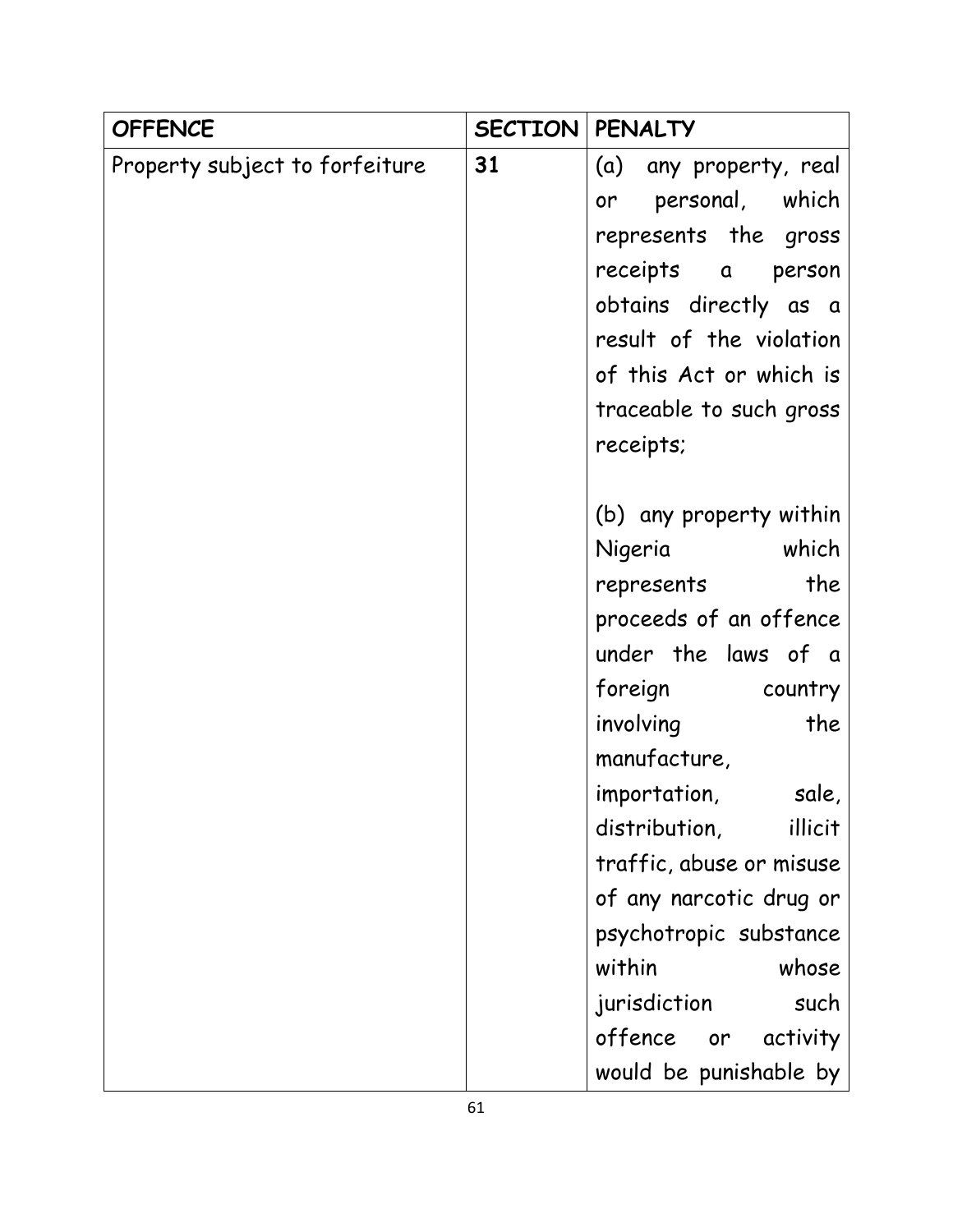| <b>OFFENCE</b>                 | <b>SECTION</b> | <b>PENALTY</b>           |
|--------------------------------|----------------|--------------------------|
| Property subject to forfeiture | 31             | (a) any property, real   |
|                                |                | personal, which<br>or    |
|                                |                | represents the gross     |
|                                |                | receipts a<br>person     |
|                                |                | obtains directly as a    |
|                                |                | result of the violation  |
|                                |                | of this Act or which is  |
|                                |                | traceable to such gross  |
|                                |                | receipts;                |
|                                |                |                          |
|                                |                | (b) any property within  |
|                                |                | Nigeria which            |
|                                |                | the<br>represents        |
|                                |                | proceeds of an offence   |
|                                |                | under the laws of a      |
|                                |                | foreign<br>country       |
|                                |                | involving<br>the         |
|                                |                | manufacture,             |
|                                |                | importation,<br>sale,    |
|                                |                | distribution,<br>illicit |
|                                |                | traffic, abuse or misuse |
|                                |                | of any narcotic drug or  |
|                                |                | psychotropic substance   |
|                                |                | within<br>whose          |
|                                |                | jurisdiction<br>such     |
|                                |                | offence or<br>activity   |
|                                |                | would be punishable by   |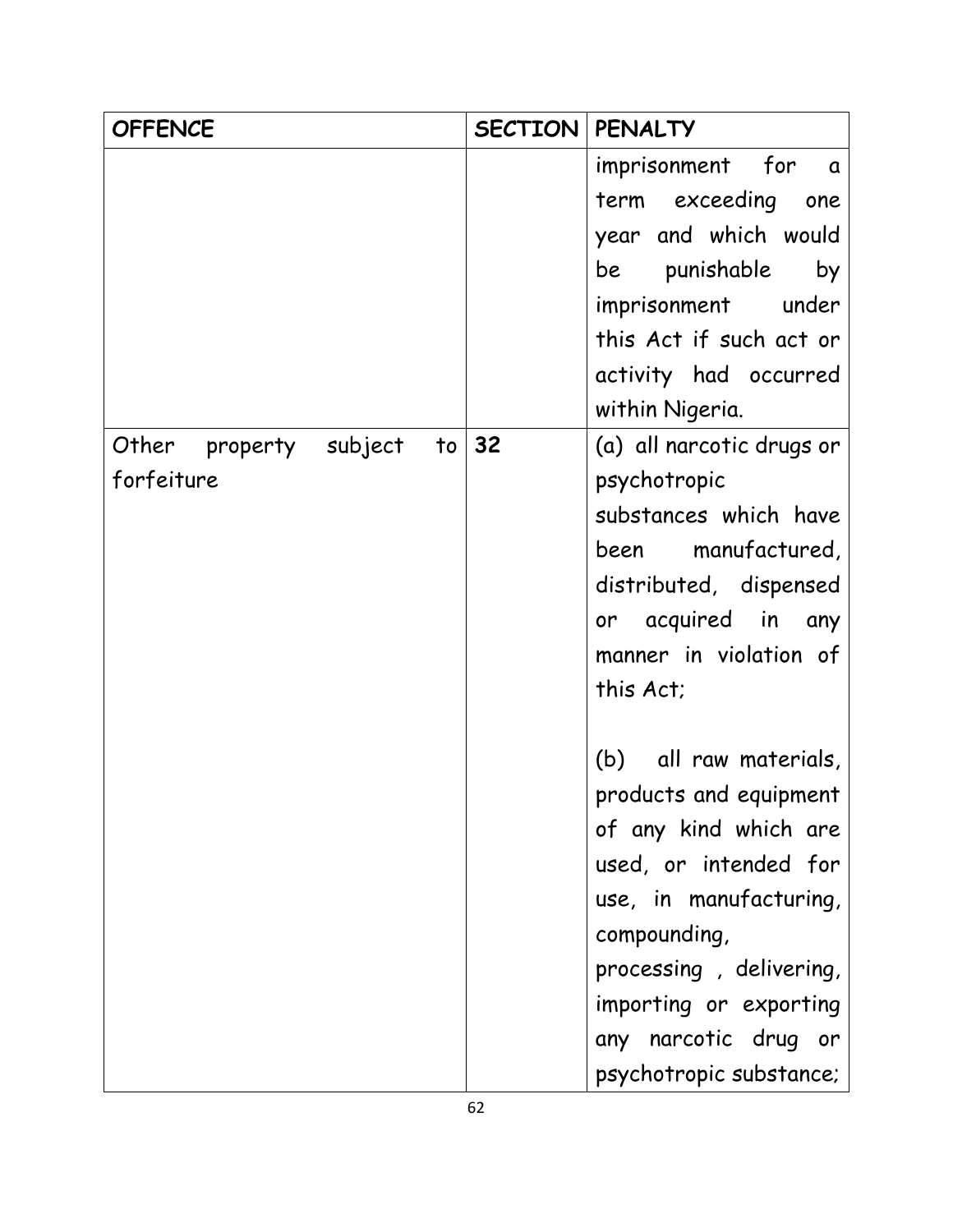| <b>OFFENCE</b>                     | SECTION | <b>PENALTY</b>            |
|------------------------------------|---------|---------------------------|
|                                    |         | imprisonment for a        |
|                                    |         | term exceeding one        |
|                                    |         | year and which would      |
|                                    |         | punishable<br>by<br>be    |
|                                    |         | imprisonment under        |
|                                    |         | this Act if such act or   |
|                                    |         | activity had occurred     |
|                                    |         | within Nigeria.           |
| Other<br>property<br>subject<br>to | 32      | (a) all narcotic drugs or |
| forfeiture                         |         | psychotropic              |
|                                    |         | substances which have     |
|                                    |         | been manufactured,        |
|                                    |         | distributed, dispensed    |
|                                    |         | or acquired in<br>any     |
|                                    |         | manner in violation of    |
|                                    |         | this Act;                 |
|                                    |         |                           |
|                                    |         | (b)<br>all raw materials, |
|                                    |         | products and equipment    |
|                                    |         | of any kind which are     |
|                                    |         | used, or intended for     |
|                                    |         | use, in manufacturing,    |
|                                    |         | compounding,              |
|                                    |         | processing, delivering,   |
|                                    |         | importing or exporting    |
|                                    |         | any narcotic drug or      |
|                                    |         | psychotropic substance;   |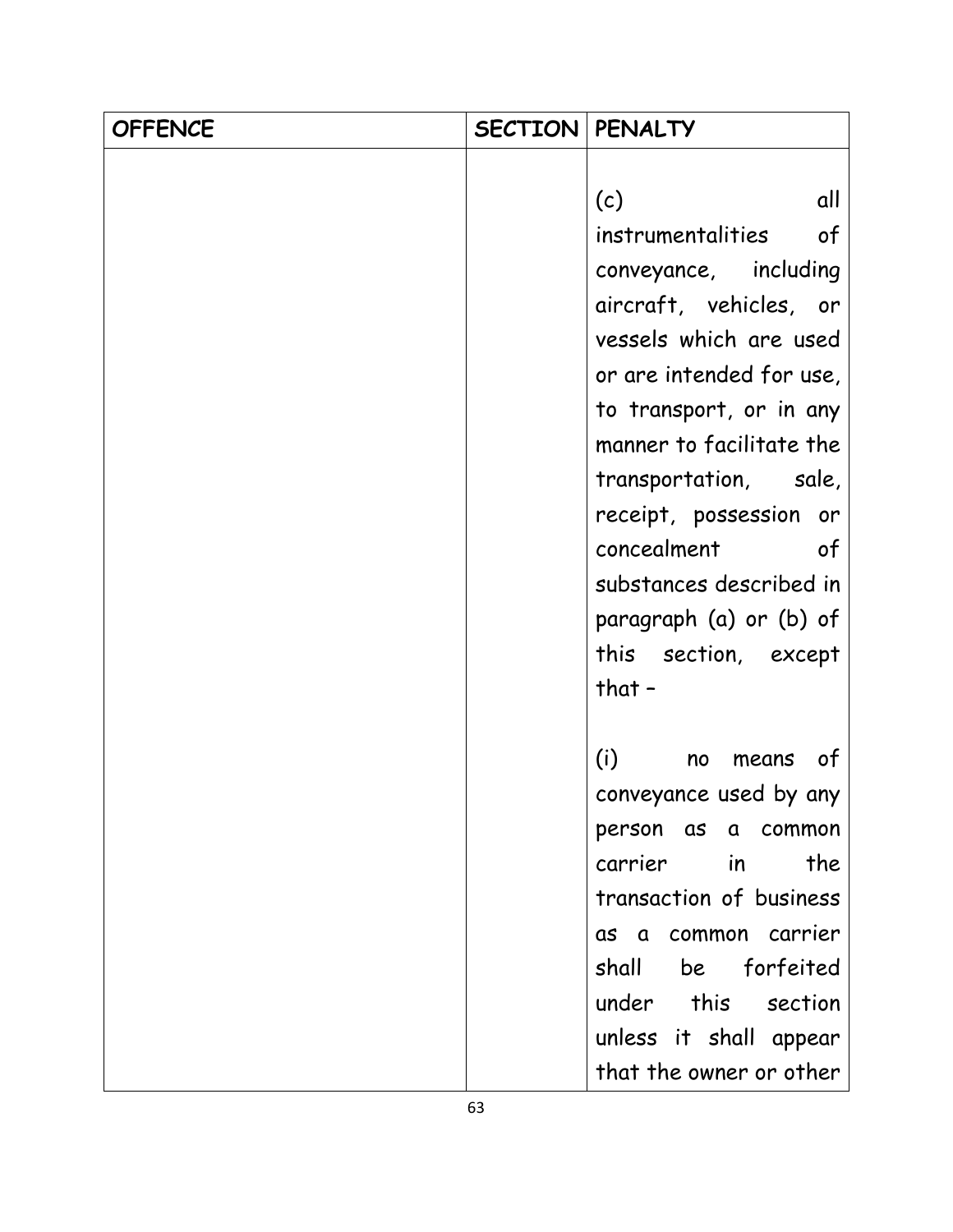| <b>OFFENCE</b> | <b>SECTION   PENALTY</b> |                          |
|----------------|--------------------------|--------------------------|
|                |                          |                          |
|                |                          | all<br>(c)               |
|                |                          | instrumentalities<br>of  |
|                |                          | conveyance, including    |
|                |                          | aircraft, vehicles, or   |
|                |                          | vessels which are used   |
|                |                          | or are intended for use, |
|                |                          | to transport, or in any  |
|                |                          | manner to facilitate the |
|                |                          | transportation, sale,    |
|                |                          | receipt, possession or   |
|                |                          | concealment of           |
|                |                          | substances described in  |
|                |                          | paragraph (a) or (b) of  |
|                |                          | this section, except     |
|                |                          | that $-$                 |
|                |                          |                          |
|                |                          | (i)<br>of<br>no<br>means |
|                |                          | conveyance used by any   |
|                |                          | person<br>as a common    |
|                |                          | carrier in<br>the        |
|                |                          | transaction of business  |
|                |                          | as a common carrier      |
|                |                          | shall be forfeited       |
|                |                          | under this section       |
|                |                          | unless it shall appear   |
|                |                          | that the owner or other  |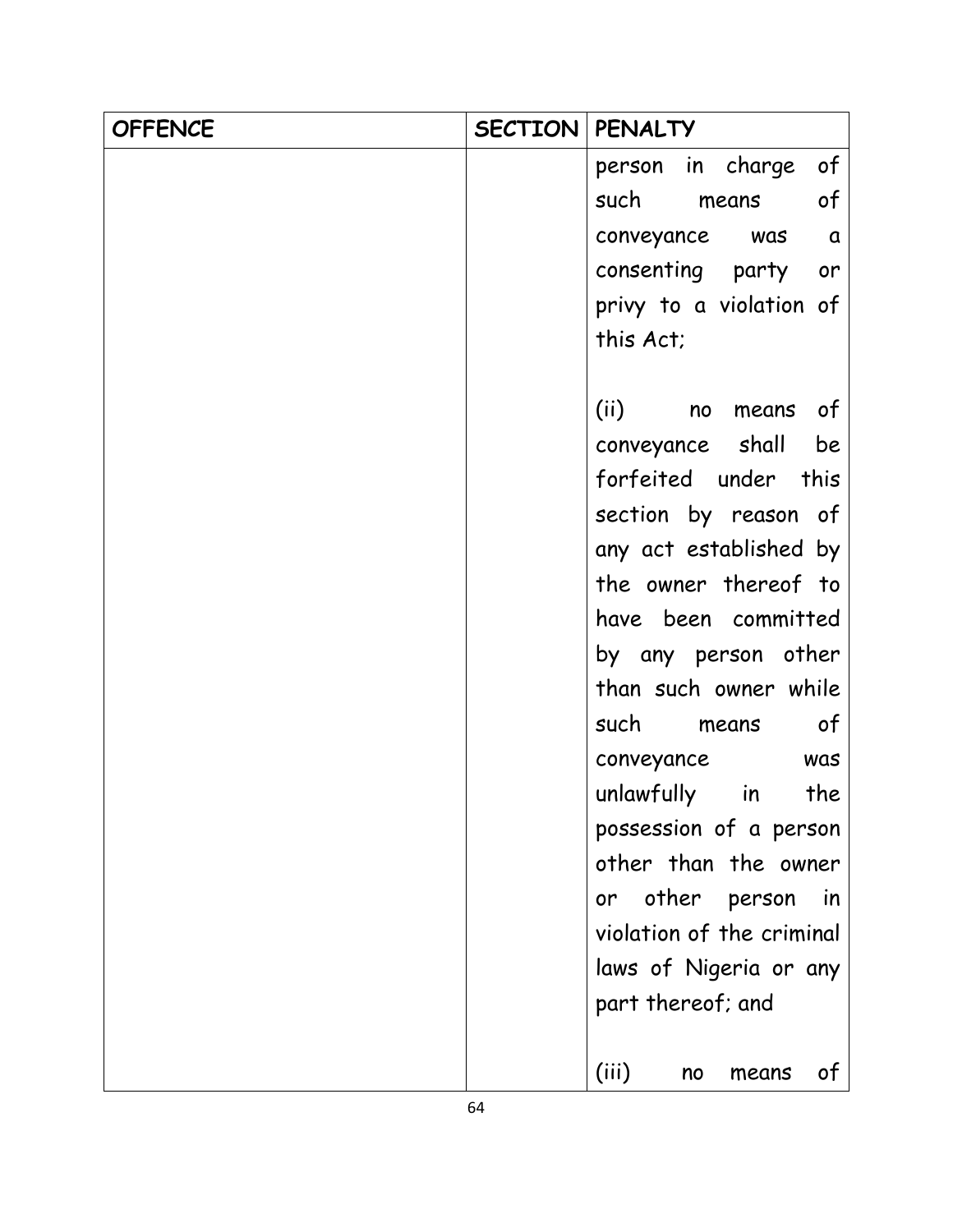| <b>OFFENCE</b> | SECTION | <b>PENALTY</b>                  |
|----------------|---------|---------------------------------|
|                |         | person in charge<br>of          |
|                |         | such<br>of<br>means             |
|                |         | conveyance was a                |
|                |         | consenting party or             |
|                |         | privy to a violation of         |
|                |         | this Act;                       |
|                |         |                                 |
|                |         | (ii) no<br>means of             |
|                |         | conveyance shall be             |
|                |         | forfeited under this            |
|                |         | section by reason of            |
|                |         | any act established by          |
|                |         | the owner thereof to            |
|                |         | have been committed             |
|                |         | by any person other             |
|                |         | than such owner while           |
|                |         | such means of                   |
|                |         | conveyance<br>was               |
|                |         | unlawfully in<br>the            |
|                |         | possession of a person          |
|                |         | other than the owner            |
|                |         | other person<br><i>in</i><br>or |
|                |         | violation of the criminal       |
|                |         | laws of Nigeria or any          |
|                |         | part thereof; and               |
|                |         | (iii)<br>of<br>means<br>no      |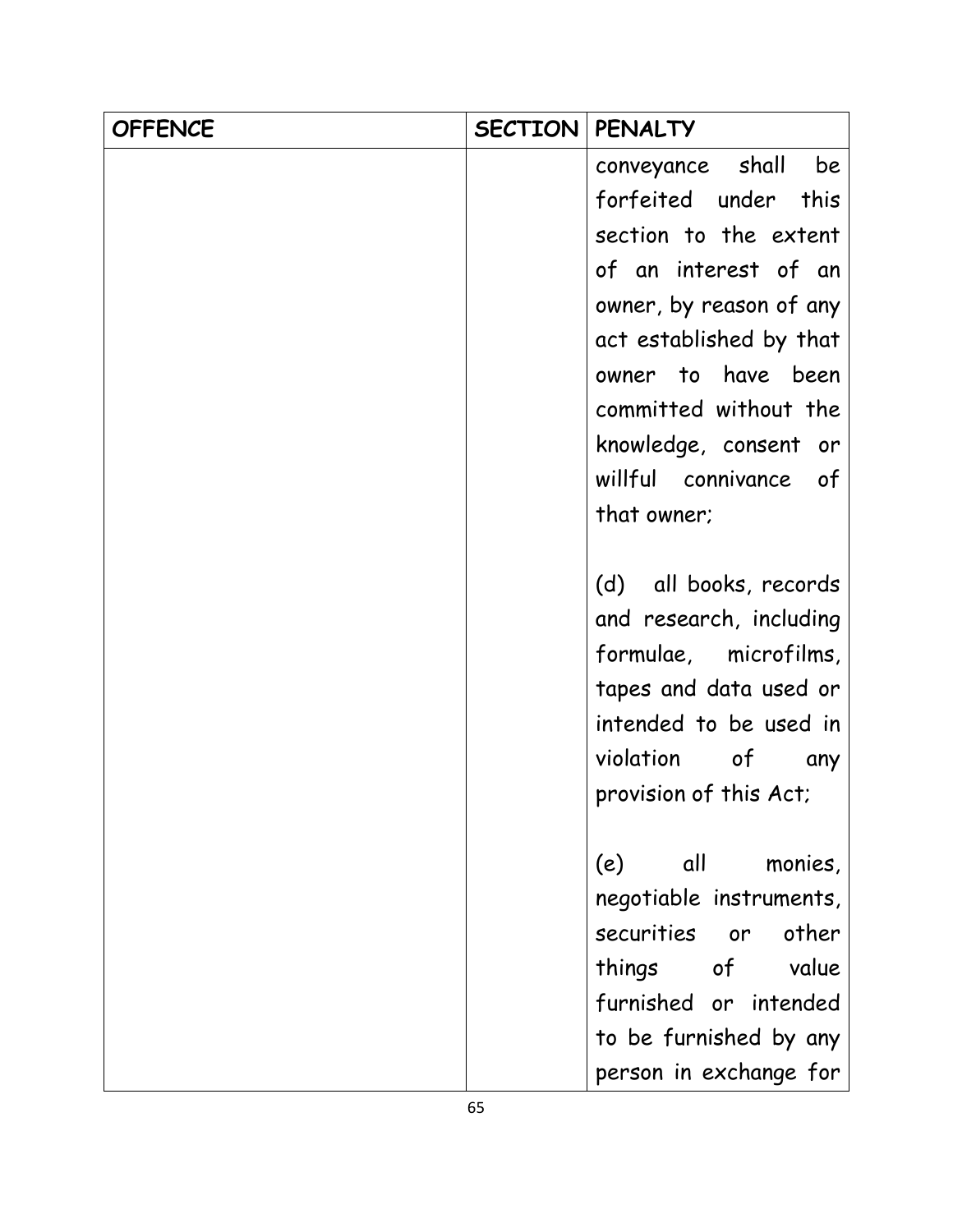| <b>OFFENCE</b> | <b>SECTION</b> | <b>PENALTY</b>          |
|----------------|----------------|-------------------------|
|                |                | conveyance shall<br>be  |
|                |                | forfeited under<br>this |
|                |                | section to the extent   |
|                |                | of an interest of an    |
|                |                | owner, by reason of any |
|                |                | act established by that |
|                |                | owner to have been      |
|                |                | committed without the   |
|                |                | knowledge, consent or   |
|                |                | willful connivance of   |
|                |                | that owner;             |
|                |                |                         |
|                |                | (d) all books, records  |
|                |                | and research, including |
|                |                | formulae, microfilms,   |
|                |                | tapes and data used or  |
|                |                | intended to be used in  |
|                |                | violation of<br>any     |
|                |                | provision of this Act;  |
|                |                |                         |
|                |                | (e) all<br>monies,      |
|                |                | negotiable instruments, |
|                |                | securities or<br>other  |
|                |                | things of value         |
|                |                | furnished or intended   |
|                |                | to be furnished by any  |
|                |                | person in exchange for  |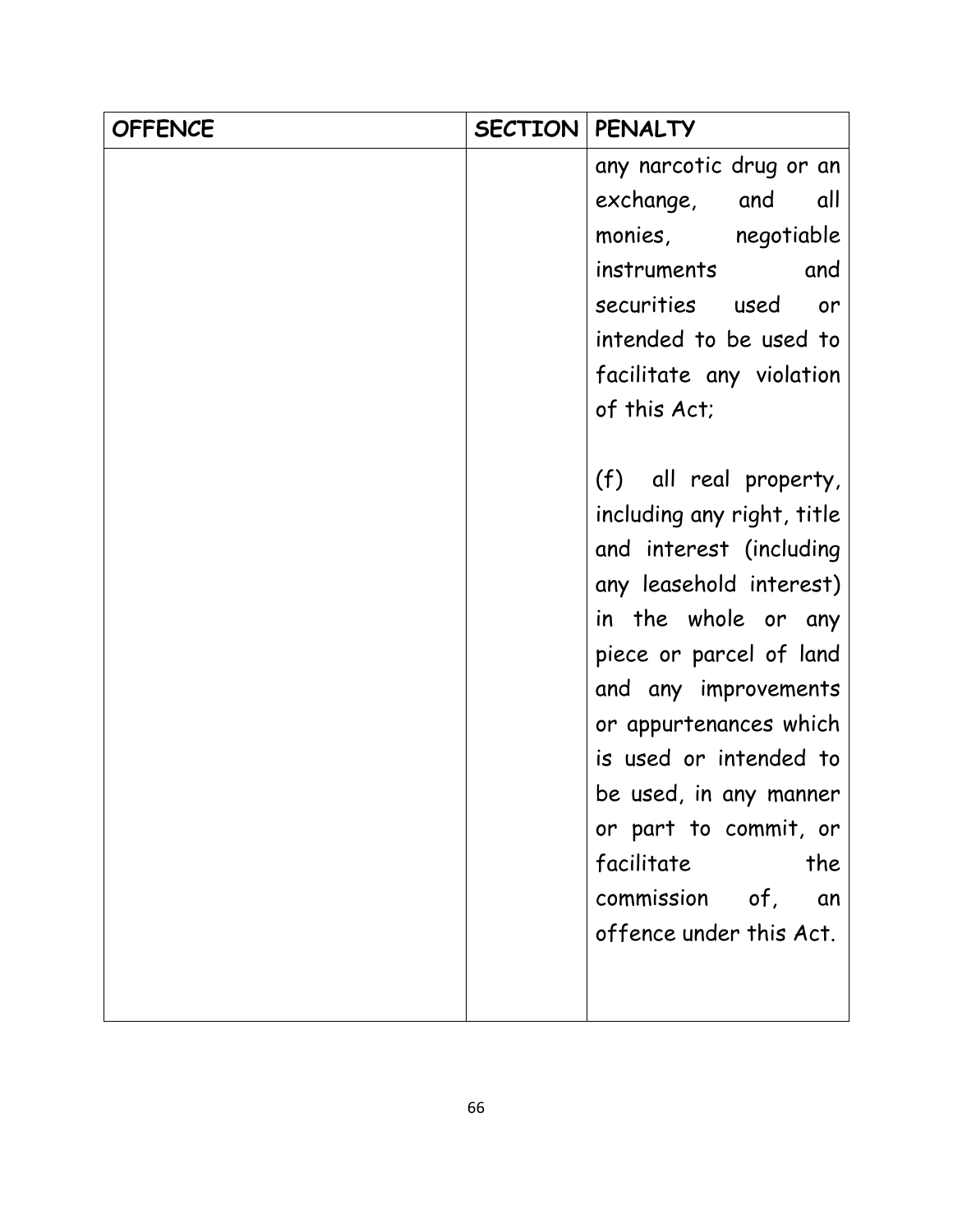| <b>OFFENCE</b> | <b>SECTION</b> | <b>PENALTY</b>             |
|----------------|----------------|----------------------------|
|                |                | any narcotic drug or an    |
|                |                | exchange, and<br>all       |
|                |                | monies, negotiable         |
|                |                | instruments and            |
|                |                | securities used or         |
|                |                | intended to be used to     |
|                |                | facilitate any violation   |
|                |                | of this Act;               |
|                |                |                            |
|                |                | (f) all real property,     |
|                |                | including any right, title |
|                |                | and interest (including    |
|                |                | any leasehold interest)    |
|                |                | in the whole or any        |
|                |                | piece or parcel of land    |
|                |                | and any improvements       |
|                |                | or appurtenances which     |
|                |                | is used or intended to     |
|                |                | be used, in any manner     |
|                |                | or part to commit, or      |
|                |                | facilitate<br>the          |
|                |                | commission of,<br>an       |
|                |                | offence under this Act.    |
|                |                |                            |
|                |                |                            |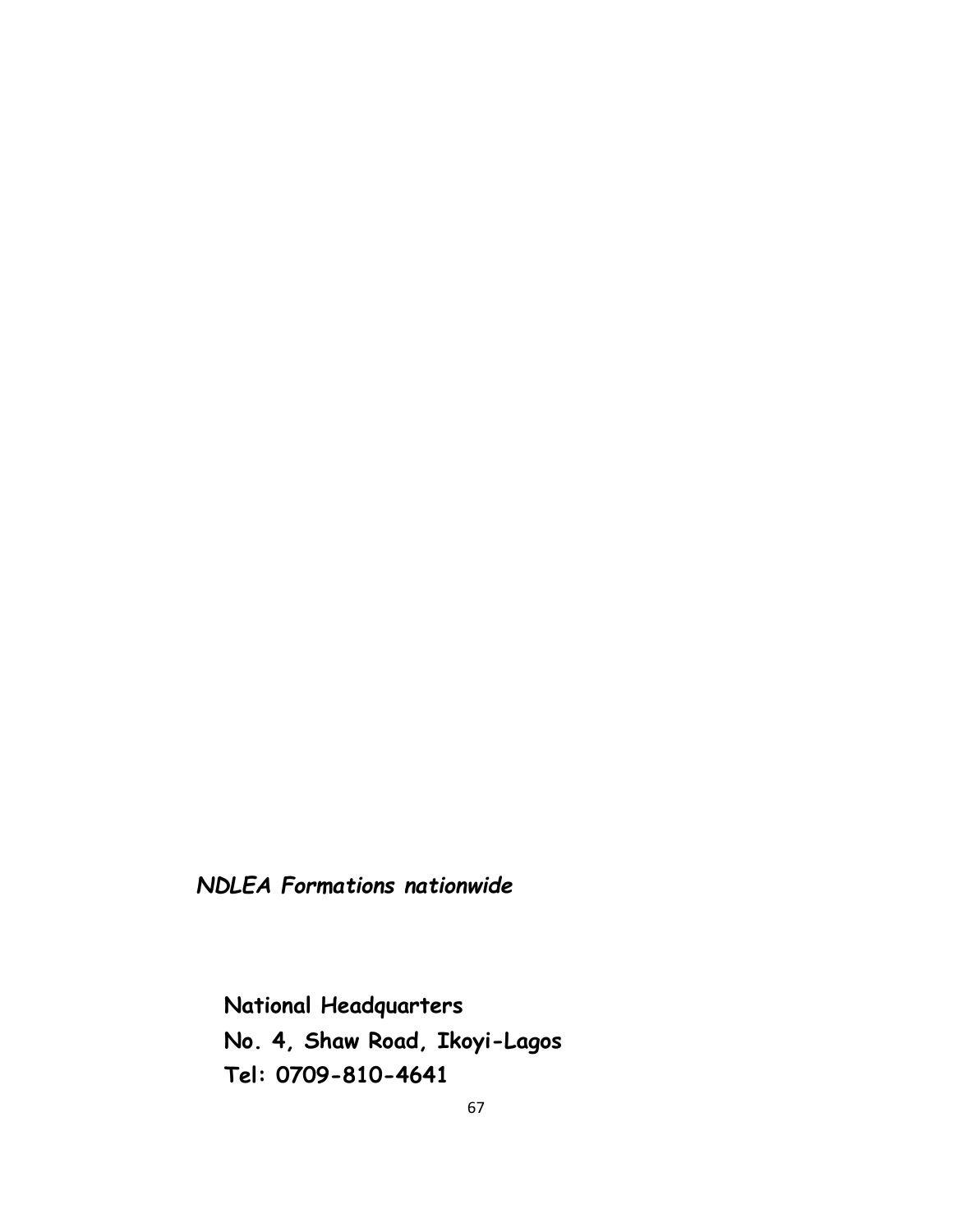*NDLEA Formations nationwide*

**National Headquarters No. 4, Shaw Road, Ikoyi-Lagos Tel: 0709-810-4641**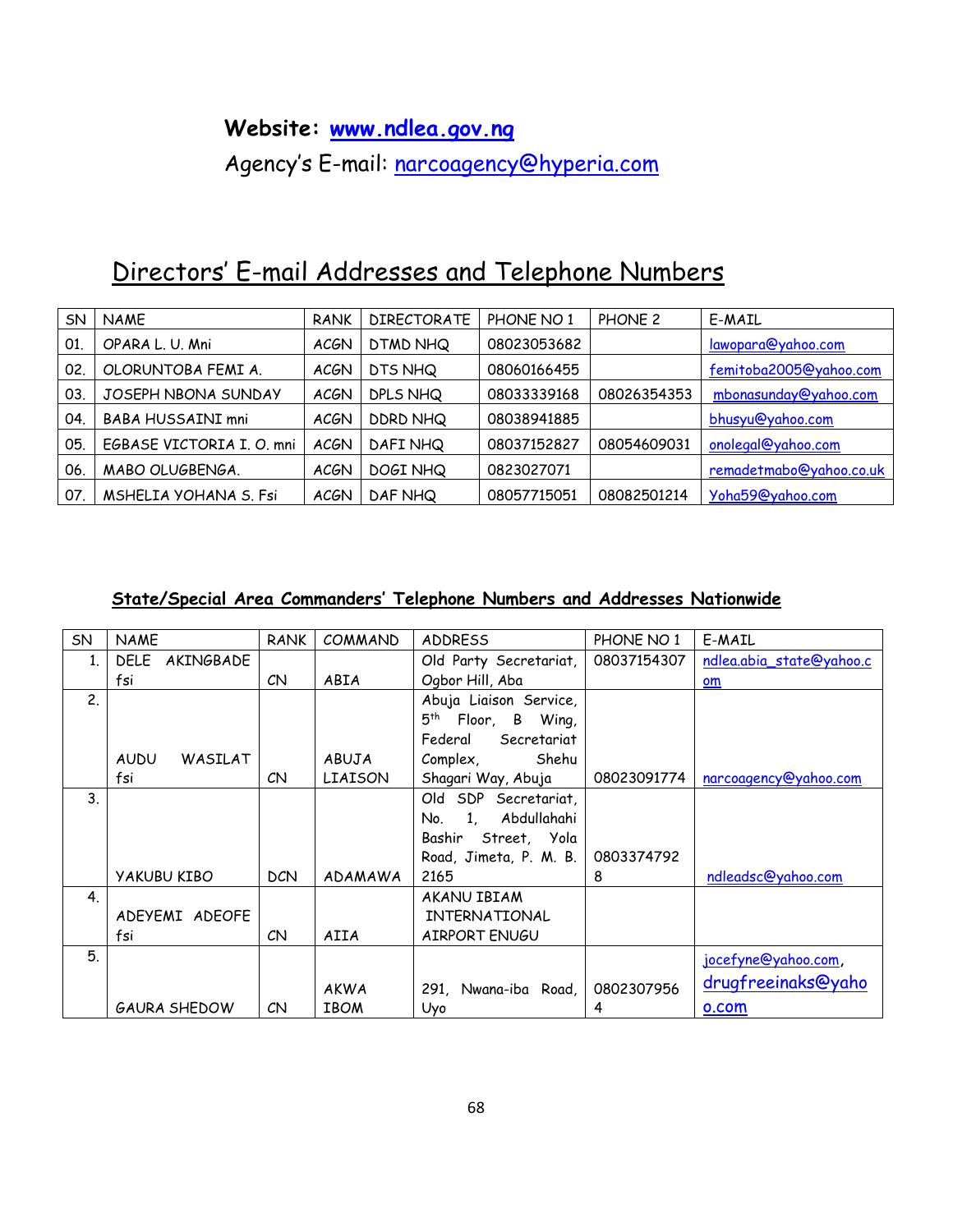### **Website: [www.ndlea.gov.ng](http://www.ndlea.gov.ng/)**

Agency's E-mail: [narcoagency@hyperia.com](mailto:narcoagency@hyperia.com)

# Directors' E-mail Addresses and Telephone Numbers

| SN  | <b>NAME</b>               | <b>RANK</b> | <b>DIRECTORATE</b> | PHONE NO 1  | PHONE 2     | E-MAIL                  |
|-----|---------------------------|-------------|--------------------|-------------|-------------|-------------------------|
| 01  | OPARA L. U. Mni           | <b>ACGN</b> | DTMD NHQ           | 08023053682 |             | lawopara@yahoo.com      |
| 02. | OLORUNTOBA FEMI A.        | <b>ACGN</b> | DTS NHQ            | 08060166455 |             | femitoba2005@yahoo.com  |
| 03. | JOSEPH NBONA SUNDAY       | <b>ACGN</b> | DPLS NHQ           | 08033339168 | 08026354353 | mbonasunday@yahoo.com   |
| 04. | <b>BABA HUSSAINI mni</b>  | <b>ACGN</b> | DDRD NHQ           | 08038941885 |             | bhusyu@yahoo.com        |
| 05. | EGBASE VICTORIA I. O. mni | <b>ACGN</b> | DAFI NHQ           | 08037152827 | 08054609031 | onolegal@yahoo.com      |
| 06. | MABO OLUGBENGA.           | <b>ACGN</b> | DOGI NHQ           | 0823027071  |             | remadetmabo@yahoo.co.uk |
| 07  | MSHELIA YOHANA S. Fsi     | <b>ACGN</b> | DAF NHQ            | 08057715051 | 08082501214 | Yoha59@yahoo.com        |

#### **State/Special Area Commanders' Telephone Numbers and Addresses Nationwide**

| <b>SN</b>      | <b>NAME</b>              | <b>RANK</b> | COMMAND                    | <b>ADDRESS</b>              | PHONE NO 1  | E-MAIL                   |
|----------------|--------------------------|-------------|----------------------------|-----------------------------|-------------|--------------------------|
| 1 <sub>1</sub> | <b>DELE</b><br>AKINGBADE |             |                            | Old Party Secretariat,      | 08037154307 | ndlea.abia_state@yahoo.c |
|                | fsi                      | CN          | ABIA                       | Ogbor Hill, Aba             |             | om                       |
| 2.             |                          |             |                            | Abuja Liaison Service,      |             |                          |
|                |                          |             |                            | $5^{th}$<br>Floor, B Wing,  |             |                          |
|                |                          |             |                            | Secretariat<br>Federal      |             |                          |
|                | <b>AUDU</b><br>WASILAT   |             | ABUJA                      | Shehu<br>Complex,           |             |                          |
|                | fsi                      | CN          | LIAISON                    | Shagari Way, Abuja          | 08023091774 | narcoagency@yahoo.com    |
| 3 <sub>1</sub> |                          |             |                            | Old SDP Secretariat,        |             |                          |
|                |                          |             |                            | Abdullahahi<br>1,<br>No.    |             |                          |
|                |                          |             |                            | Bashir Street, Yola         |             |                          |
|                |                          |             |                            | Road, Jimeta, P. M. B.      | 0803374792  |                          |
|                | <b>YAKUBU KIBO</b>       | <b>DCN</b>  | ADAMAWA                    | 2165                        | 8           | ndleadsc@yahoo.com       |
| 4.             |                          |             |                            | AKANU IBIAM                 |             |                          |
|                | ADEYEMI ADEOFE           |             |                            | INTERNATIONAL               |             |                          |
|                | fsi                      | CN          | AIIA                       | AIRPORT ENUGU               |             |                          |
| 5.             |                          |             |                            |                             |             | jocefyne@yahoo.com,      |
|                |                          |             |                            |                             | 0802307956  | drugfreeinaks@yaho       |
|                | <b>GAURA SHEDOW</b>      | CN          | <b>AKWA</b><br><b>IBOM</b> | 291, Nwana-iba Road,<br>Uyo | 4           | o.com                    |
|                |                          |             |                            |                             |             |                          |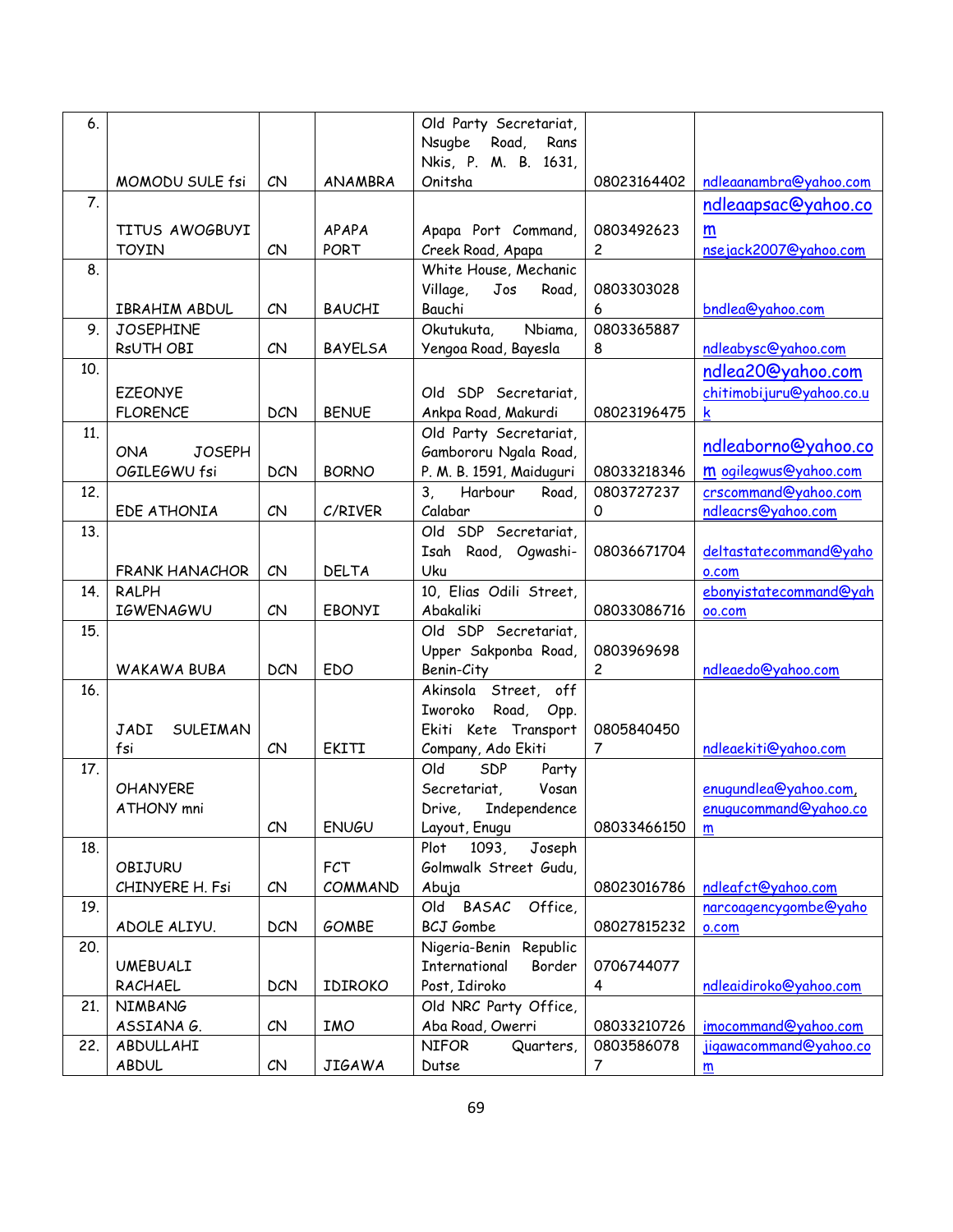| 6.               |                                       |            |                | Old Party Secretariat,                    |                |                          |
|------------------|---------------------------------------|------------|----------------|-------------------------------------------|----------------|--------------------------|
|                  |                                       |            |                | Nsugbe Road,<br>Rans                      |                |                          |
|                  |                                       |            |                | Nkis, P. M. B. 1631,                      |                |                          |
| $\overline{7}$ . | MOMODU SULE fsi                       | CN         | ANAMBRA        | Onitsha                                   | 08023164402    | ndleaanambra@yahoo.com   |
|                  |                                       |            |                |                                           |                | ndleaapsac@yahoo.co      |
|                  | TITUS AWOGBUYI                        |            | APAPA          | Apapa Port Command,                       | 0803492623     | m                        |
|                  | <b>TOYIN</b>                          | CN         | PORT           | Creek Road, Apapa                         | $\overline{c}$ | nsejack2007@yahoo.com    |
| 8.               |                                       |            |                | White House, Mechanic                     |                |                          |
|                  |                                       |            |                | Village,<br>Jos<br>Road,                  | 0803303028     |                          |
|                  | IBRAHIM ABDUL                         | CN         | <b>BAUCHI</b>  | Bauchi                                    | 6              | bndlea@yahoo.com         |
| 9.               | <b>JOSEPHINE</b>                      |            |                | Nbiama,<br>Okutukuta,                     | 0803365887     |                          |
|                  | RsUTH OBI                             | CN         | <b>BAYELSA</b> | Yengoa Road, Bayesla                      | 8              | ndleabysc@yahoo.com      |
| 10.              |                                       |            |                |                                           |                | ndlea20@yahoo.com        |
|                  | <b>EZEONYE</b>                        |            |                | Old SDP Secretariat,                      |                | chitimobijuru@yahoo.co.u |
|                  | <b>FLORENCE</b>                       | <b>DCN</b> | <b>BENUE</b>   | Ankpa Road, Makurdi                       | 08023196475    | $\mathsf k$              |
| 11.              |                                       |            |                | Old Party Secretariat,                    |                | ndleaborno@yahoo.co      |
|                  | <b>JOSEPH</b><br><b>ONA</b>           |            |                | Gambororu Ngala Road,                     |                |                          |
|                  | OGILEGWU fsi                          | <b>DCN</b> | <b>BORNO</b>   | P. M. B. 1591, Maiduguri                  | 08033218346    | m ogilegwus@yahoo.com    |
| 12.              |                                       |            |                | Harbour<br>3,<br>Road,                    | 0803727237     | crscommand@yahoo.com     |
|                  | EDE ATHONIA                           | CN         | C/RIVER        | Calabar                                   | 0              | ndleacrs@yahoo.com       |
| 13.              |                                       |            |                | Old SDP Secretariat,                      |                |                          |
|                  |                                       |            |                | Isah Raod, Ogwashi-                       | 08036671704    | deltastatecommand@yaho   |
| 14.              | <b>FRANK HANACHOR</b><br><b>RALPH</b> | CN         | <b>DELTA</b>   | Uku<br>10, Elias Odili Street,            |                | o.com                    |
|                  | <b>IGWENAGWU</b>                      | CN         | EBONYI         | Abakaliki                                 | 08033086716    | ebonyistatecommand@yah   |
| 15.              |                                       |            |                | Old SDP Secretariat,                      |                | oo.com                   |
|                  |                                       |            |                | Upper Sakponba Road,                      | 0803969698     |                          |
|                  | WAKAWA BUBA                           | <b>DCN</b> | EDO            | Benin-City                                | $\overline{c}$ | ndleaedo@yahoo.com       |
| 16.              |                                       |            |                | Akinsola Street, off                      |                |                          |
|                  |                                       |            |                | Iworoko Road, Opp.                        |                |                          |
|                  | JADI<br>SULEIMAN                      |            |                | Ekiti Kete Transport                      | 0805840450     |                          |
|                  | fsi                                   | CN         | EKITI          | Company, Ado Ekiti                        | 7              | ndleaekiti@yahoo.com     |
| 17.              |                                       |            |                | Old<br>SDP<br>Party                       |                |                          |
|                  | <b>OHANYERE</b>                       |            |                | Secretariat,<br>Vosan                     |                | enugundlea@yahoo.com,    |
|                  | ATHONY mni                            |            |                | Drive, Independence                       |                | enuqucommand@yahoo.co    |
|                  |                                       | CN         | <b>ENUGU</b>   | Layout, Enugu                             | 08033466150    | m                        |
| 18.              |                                       |            |                | Plot<br>1093,<br>Joseph                   |                |                          |
|                  | OBIJURU                               |            | <b>FCT</b>     | Golmwalk Street Gudu,                     |                |                          |
|                  | CHINYERE H. Fsi                       | CN         | COMMAND        | Abuja                                     | 08023016786    | ndleafct@yahoo.com       |
| 19.              |                                       |            |                | BASAC<br>Office,<br>Old                   |                | narcoagencygombe@yaho    |
|                  | ADOLE ALIYU.                          | <b>DCN</b> | GOMBE          | <b>BCJ</b> Gombe                          | 08027815232    | o.com                    |
| 20.              |                                       |            |                | Republic<br>Nigeria-Benin                 |                |                          |
|                  | <b>UMEBUALI</b>                       |            |                | International<br>Border                   | 0706744077     |                          |
|                  | RACHAEL                               | <b>DCN</b> | IDIROKO        | Post, Idiroko                             | 4              | ndleaidiroko@yahoo.com   |
| 21.              | NIMBANG<br>ASSIANA G.                 | CN         | <b>IMO</b>     | Old NRC Party Office,<br>Aba Road, Owerri | 08033210726    | imocommand@yahoo.com     |
| 22.              | ABDULLAHI                             |            |                | <b>NIFOR</b><br>Quarters,                 | 0803586078     | jigawacommand@yahoo.co   |
|                  | <b>ABDUL</b>                          | CN         | <b>JIGAWA</b>  | Dutse                                     | 7              | m                        |
|                  |                                       |            |                |                                           |                |                          |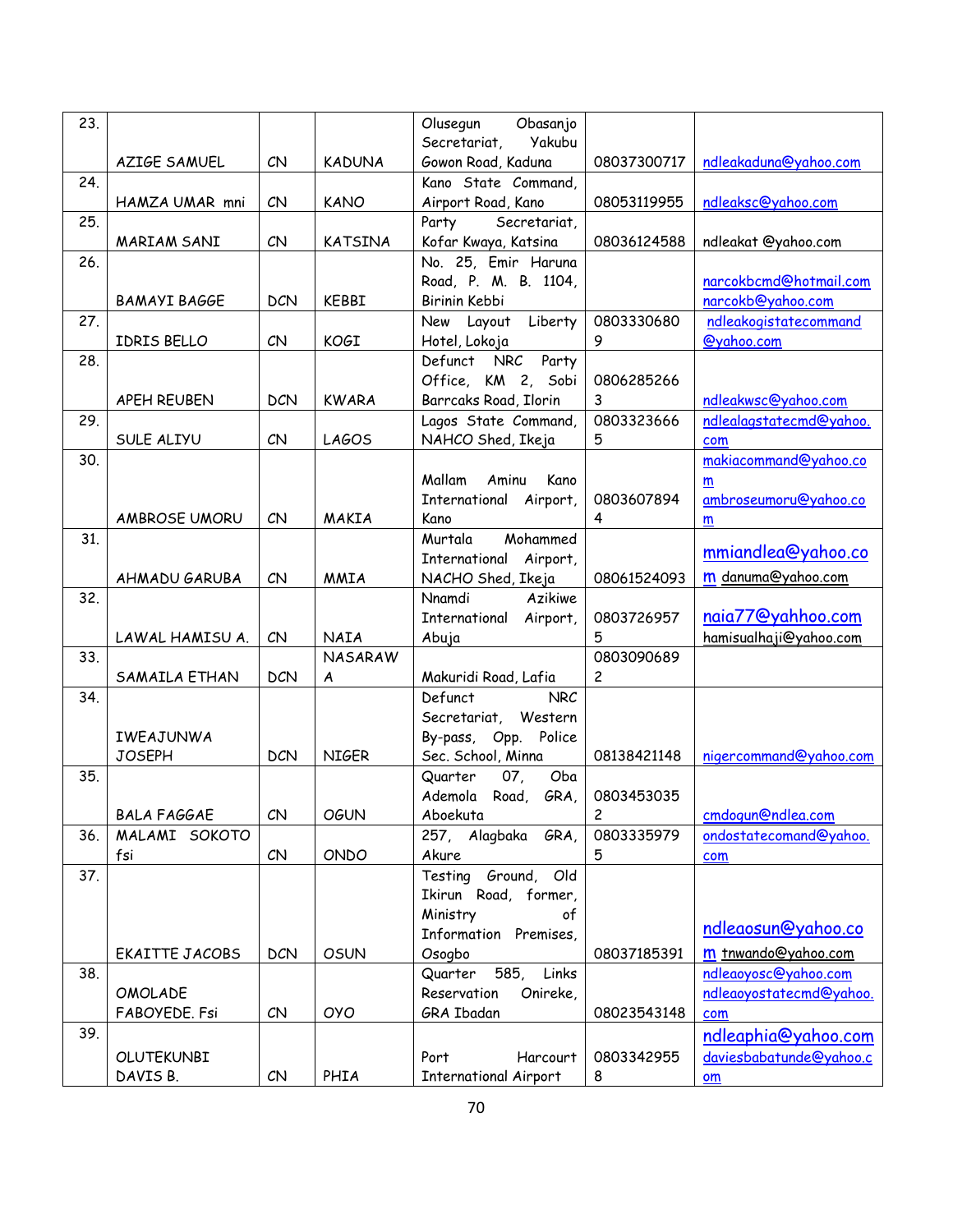| 23. |                      |                   |                | Olusegun<br>Obasanjo          |                |                         |
|-----|----------------------|-------------------|----------------|-------------------------------|----------------|-------------------------|
|     |                      |                   |                | Secretariat,<br><b>Yakubu</b> |                |                         |
|     | AZIGE SAMUEL         | CN                | <b>KADUNA</b>  | Gowon Road, Kaduna            | 08037300717    | ndleakaduna@yahoo.com   |
| 24. |                      |                   |                | Kano State Command,           |                |                         |
|     | HAMZA UMAR mni       | CN                | <b>KANO</b>    | Airport Road, Kano            | 08053119955    | ndleaksc@yahoo.com      |
| 25. |                      |                   |                | Party<br>Secretariat,         |                |                         |
|     | MARIAM SANI          | CN                | <b>KATSINA</b> | Kofar Kwaya, Katsina          | 08036124588    | ndleakat @yahoo.com     |
| 26. |                      |                   |                | No. 25, Emir Haruna           |                |                         |
|     |                      |                   |                | Road, P. M. B. 1104,          |                | narcokbcmd@hotmail.com  |
|     | <b>BAMAYI BAGGE</b>  | <b>DCN</b>        | <b>KEBBI</b>   | Birinin Kebbi                 |                | narcokb@yahoo.com       |
| 27. |                      |                   |                | Liberty<br>New Layout         | 0803330680     | ndleakogistatecommand   |
|     | IDRIS BELLO          | CN                | KOGI           | Hotel, Lokoja                 | 9              | @yahoo.com              |
| 28. |                      |                   |                | Defunct NRC<br>Party          |                |                         |
|     |                      |                   |                | Office, KM 2, Sobi            | 0806285266     |                         |
|     | APEH REUBEN          | <b>DCN</b>        | <b>KWARA</b>   | Barrcaks Road, Ilorin         | 3              | ndleakwsc@yahoo.com     |
| 29. |                      |                   |                | Lagos State Command,          | 0803323666     | ndlealagstatecmd@yahoo. |
|     | SULE ALIYU           | CN                | <b>LAGOS</b>   | NAHCO Shed, Ikeja             | 5              | com                     |
| 30. |                      |                   |                |                               |                | makiacommand@yahoo.co   |
|     |                      |                   |                | Mallam<br>Aminu<br>Kano       |                | m                       |
|     |                      |                   |                | International Airport,        | 0803607894     | ambroseumoru@yahoo.co   |
|     | <b>AMBROSE UMORU</b> | CN                | MAKIA          | Kano                          | 4              | m                       |
| 31. |                      |                   |                | Murtala<br>Mohammed           |                |                         |
|     |                      |                   |                | International Airport,        |                | mmiandlea@yahoo.co      |
|     | AHMADU GARUBA        | CN                | <b>MMIA</b>    | NACHO Shed, Ikeja             | 08061524093    | m danuma@yahoo.com      |
| 32. |                      |                   |                | Nnamdi<br>Azikiwe             |                |                         |
|     |                      |                   |                | International<br>Airport,     | 0803726957     | naia77@yahhoo.com       |
|     | LAWAL HAMISU A.      | CN                | <b>NAIA</b>    | Abuja                         | 5              | hamisualhaji@yahoo.com  |
| 33. |                      |                   | <b>NASARAW</b> |                               | 0803090689     |                         |
|     | SAMAILA ETHAN        | <b>DCN</b>        | A              | Makuridi Road, Lafia          | $\overline{c}$ |                         |
| 34. |                      |                   |                | Defunct<br><b>NRC</b>         |                |                         |
|     |                      |                   |                | Secretariat, Western          |                |                         |
|     | IWEAJUNWA            |                   |                | By-pass, Opp. Police          |                |                         |
|     | <b>JOSEPH</b>        | <b>DCN</b>        | <b>NIGER</b>   | Sec. School, Minna            | 08138421148    | nigercommand@yahoo.com  |
| 35. |                      |                   |                | 07,<br>Quarter<br>Oba         |                |                         |
|     |                      |                   |                | Ademola Road, GRA,            | 0803453035     |                         |
|     | <b>BALA FAGGAE</b>   | ${\cal C}{\sf N}$ | <b>OGUN</b>    | Aboekuta                      | $\overline{c}$ | cmdogun@ndlea.com       |
| 36. | MALAMI SOKOTO        |                   |                | 257, Alagbaka GRA,            | 0803335979     | ondostatecomand@yahoo.  |
|     | fsi                  | CN                | ONDO           | Akure                         | 5              | com                     |
| 37. |                      |                   |                | Testing Ground,<br>Old        |                |                         |
|     |                      |                   |                | Ikirun Road, former,          |                |                         |
|     |                      |                   |                | Ministry<br>оf                |                |                         |
|     |                      |                   |                | Information Premises,         |                | ndleaosun@yahoo.co      |
|     | EKAITTE JACOBS       | <b>DCN</b>        | <b>OSUN</b>    | Osogbo                        | 08037185391    | m tnwando@yahoo.com     |
| 38. |                      |                   |                | Quarter<br>585, Links         |                | ndleaoyosc@yahoo.com    |
|     | <b>OMOLADE</b>       |                   |                | Reservation<br>Onireke,       |                | ndleaoyostatecmd@yahoo. |
|     | FABOYEDE. Fsi        | CN                | <b>OYO</b>     | GRA Ibadan                    | 08023543148    | com                     |
| 39. |                      |                   |                |                               |                | ndleaphia@yahoo.com     |
|     | OLUTEKUNBI           |                   |                | Harcourt<br>Port              | 0803342955     | daviesbabatunde@yahoo.c |
|     | DAVIS B.             | CN                | PHIA           | <b>International Airport</b>  | 8              |                         |
|     |                      |                   |                |                               |                | om                      |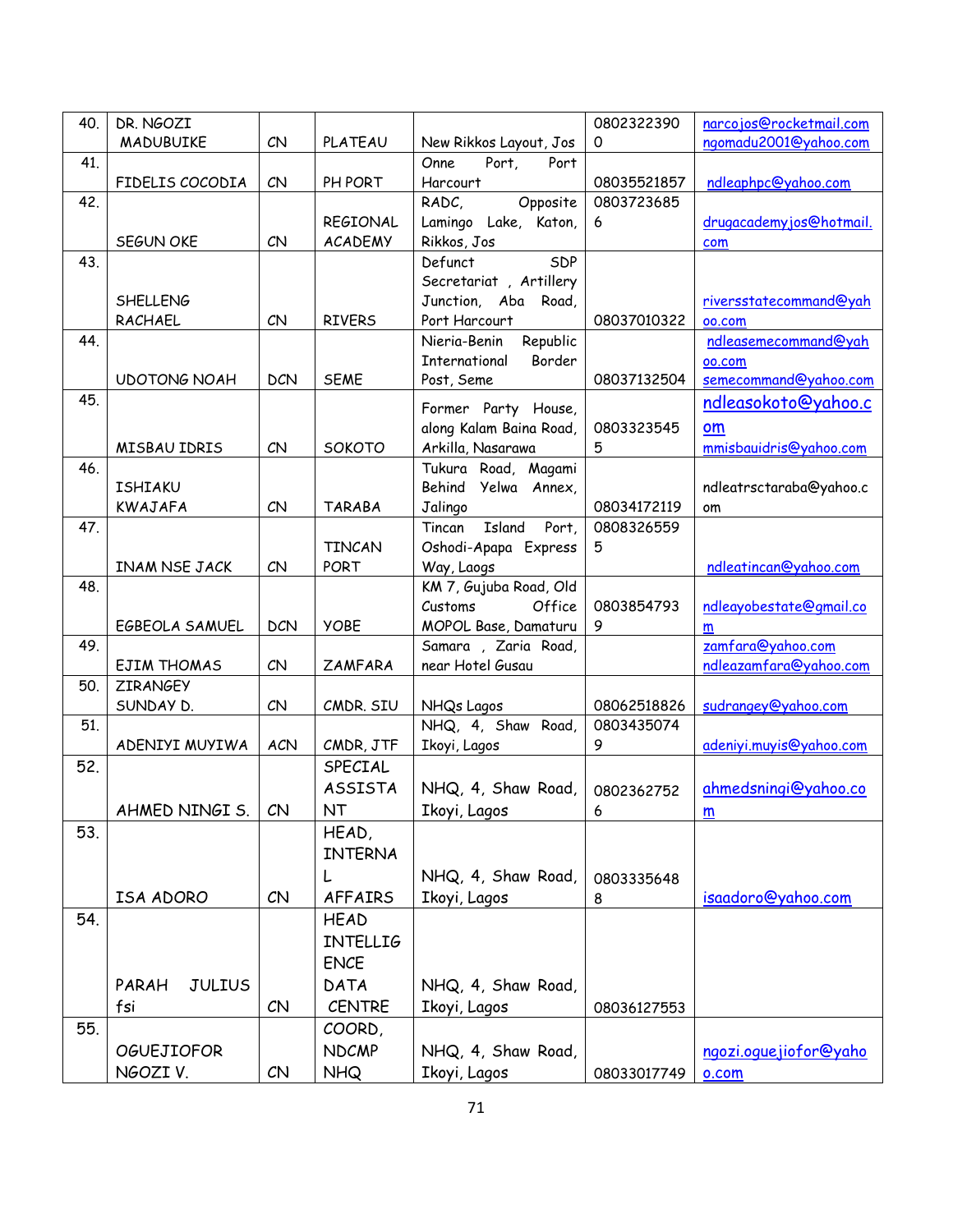| 40. | DR. NGOZI              |                 |                 |                          | 0802322390  | narcojos@rocketmail.com  |
|-----|------------------------|-----------------|-----------------|--------------------------|-------------|--------------------------|
|     | MADUBUIKE              | CN              | <b>PLATEAU</b>  | New Rikkos Layout, Jos   | 0           | ngomadu2001@yahoo.com    |
| 41. |                        |                 |                 | Port,<br>Onne<br>Port    |             |                          |
|     | FIDELIS COCODIA        | CN              | PH PORT         | Harcourt                 | 08035521857 | ndleaphpc@yahoo.com      |
| 42. |                        |                 |                 | Opposite<br>RADC,        | 0803723685  |                          |
|     |                        |                 | <b>REGIONAL</b> | Lamingo Lake, Katon,     | 6           | drugacademyjos@hotmail.  |
|     | SEGUN OKE              | CN              | <b>ACADEMY</b>  | Rikkos, Jos              |             | com                      |
| 43. |                        |                 |                 | SDP<br>Defunct           |             |                          |
|     |                        |                 |                 | Secretariat, Artillery   |             |                          |
|     | <b>SHELLENG</b>        |                 |                 | Junction, Aba Road,      |             | riversstatecommand@yah   |
|     | RACHAEL                | CN              | <b>RIVERS</b>   | Port Harcourt            | 08037010322 | 00.COM                   |
| 44. |                        |                 |                 | Republic<br>Nieria-Benin |             | ndleasemecommand@yah     |
|     |                        |                 |                 | Border<br>International  |             | 00.COM                   |
|     | <b>UDOTONG NOAH</b>    | <b>DCN</b>      | <b>SEME</b>     | Post, Seme               | 08037132504 | semecommand@yahoo.com    |
| 45. |                        |                 |                 | Former Party House,      |             | ndleasokoto@yahoo.c      |
|     |                        |                 |                 | along Kalam Baina Road,  | 0803323545  | om                       |
|     | MISBAU IDRIS           | CN              | SOKOTO          | Arkilla, Nasarawa        | 5           | mmisbauidris@yahoo.com   |
| 46. |                        |                 |                 | Tukura Road, Magami      |             |                          |
|     | <b>ISHIAKU</b>         |                 |                 | Behind Yelwa Annex,      |             | ndleatrsctaraba@yahoo.c  |
|     | <b>KWAJAFA</b>         | CN              | <b>TARABA</b>   | Jalingo                  | 08034172119 | om                       |
| 47. |                        |                 |                 | Tincan Island Port,      | 0808326559  |                          |
|     |                        |                 | <b>TINCAN</b>   | Oshodi-Apapa Express     | 5           |                          |
|     | INAM NSE JACK          | CN              | PORT            | Way, Laogs               |             | ndleatincan@yahoo.com    |
| 48. |                        |                 |                 | KM 7, Gujuba Road, Old   |             |                          |
|     |                        |                 |                 | Customs<br>Office        | 0803854793  | ndleayobestate@gmail.co  |
|     | EGBEOLA SAMUEL         | <b>DCN</b>      | <b>YOBE</b>     | MOPOL Base, Damaturu     | 9           | m                        |
| 49. |                        |                 |                 | Samara, Zaria Road,      |             | zamfara@yahoo.com        |
|     | <b>EJIM THOMAS</b>     | CN              | <b>ZAMFARA</b>  | near Hotel Gusau         |             | ndleazamfara@yahoo.com   |
| 50. | <b>ZIRANGEY</b>        |                 |                 |                          |             |                          |
|     | SUNDAY D.              | CN              | CMDR. SIU       | NHQs Lagos               | 08062518826 | sudrangey@yahoo.com      |
| 51. |                        |                 |                 | NHQ, 4, Shaw Road,       | 0803435074  |                          |
|     | ADENIYI MUYIWA         | <b>ACN</b>      | CMDR, JTF       | Ikoyi, Lagos             | 9           | adeniyi.muyis@yahoo.com  |
| 52. |                        |                 | SPECIAL         |                          |             |                          |
|     |                        |                 | <b>ASSISTA</b>  | NHQ, 4, Shaw Road,       | 0802362752  | ahmedsningi@yahoo.co     |
|     | AHMED NINGI S.         | CN              | <b>NT</b>       | Ikoyi, Lagos             | 6           | $\underline{\mathsf{m}}$ |
| 53. |                        |                 | HEAD,           |                          |             |                          |
|     |                        |                 | <b>INTERNA</b>  |                          |             |                          |
|     |                        |                 | L               | NHQ, 4, Shaw Road,       | 0803335648  |                          |
|     | ISA ADORO              | CN              | <b>AFFAIRS</b>  | Ikoyi, Lagos             | 8           | isaadoro@yahoo.com       |
| 54. |                        |                 | <b>HEAD</b>     |                          |             |                          |
|     |                        |                 | <b>INTELLIG</b> |                          |             |                          |
|     |                        |                 | <b>ENCE</b>     |                          |             |                          |
|     | PARAH<br><b>JULIUS</b> |                 | DATA            | NHQ, 4, Shaw Road,       |             |                          |
|     | fsi                    | CN              | <b>CENTRE</b>   | Ikoyi, Lagos             | 08036127553 |                          |
| 55. |                        |                 | COORD,          |                          |             |                          |
|     |                        |                 | <b>NDCMP</b>    |                          |             |                          |
|     | <b>OGUEJIOFOR</b>      |                 |                 | NHQ, 4, Shaw Road,       |             | ngozi.oguejiofor@yaho    |
|     | NGOZI V.               | $\mathcal{C}$ N | <b>NHQ</b>      | Ikoyi, Lagos             | 08033017749 | o.com                    |